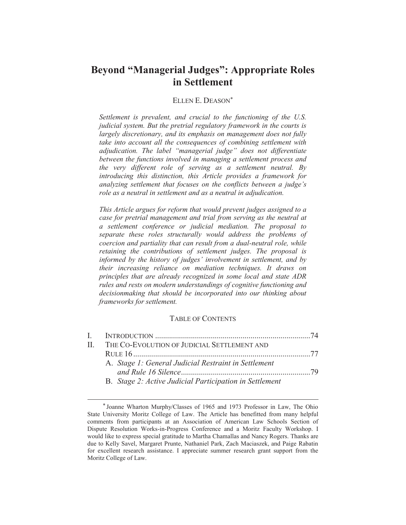# **Beyond "Managerial Judges": Appropriate Roles in Settlement**

### ELLEN E. DEASON\*

*Settlement is prevalent, and crucial to the functioning of the U.S. judicial system. But the pretrial regulatory framework in the courts is largely discretionary, and its emphasis on management does not fully take into account all the consequences of combining settlement with adjudication. The label "managerial judge" does not differentiate between the functions involved in managing a settlement process and the very different role of serving as a settlement neutral. By introducing this distinction, this Article provides a framework for analyzing settlement that focuses on the conflicts between a judge's role as a neutral in settlement and as a neutral in adjudication.*

*This Article argues for reform that would prevent judges assigned to a case for pretrial management and trial from serving as the neutral at a settlement conference or judicial mediation. The proposal to separate these roles structurally would address the problems of coercion and partiality that can result from a dual-neutral role, while retaining the contributions of settlement judges. The proposal is informed by the history of judges' involvement in settlement, and by their increasing reliance on mediation techniques. It draws on principles that are already recognized in some local and state ADR rules and rests on modern understandings of cognitive functioning and decisionmaking that should be incorporated into our thinking about frameworks for settlement.* 

### TABLE OF CONTENTS

|  | II. THE CO-EVOLUTION OF JUDICIAL SETTLEMENT AND         |  |
|--|---------------------------------------------------------|--|
|  |                                                         |  |
|  | A. Stage 1: General Judicial Restraint in Settlement    |  |
|  |                                                         |  |
|  | B. Stage 2: Active Judicial Participation in Settlement |  |

 <sup>\*</sup> Joanne Wharton Murphy/Classes of 1965 and 1973 Professor in Law, The Ohio State University Moritz College of Law. The Article has benefitted from many helpful comments from participants at an Association of American Law Schools Section of Dispute Resolution Works-in-Progress Conference and a Moritz Faculty Workshop. I would like to express special gratitude to Martha Chamallas and Nancy Rogers. Thanks are due to Kelly Savel, Margaret Prunte, Nathaniel Park, Zach Maciaszek, and Paige Rabatin for excellent research assistance. I appreciate summer research grant support from the Moritz College of Law.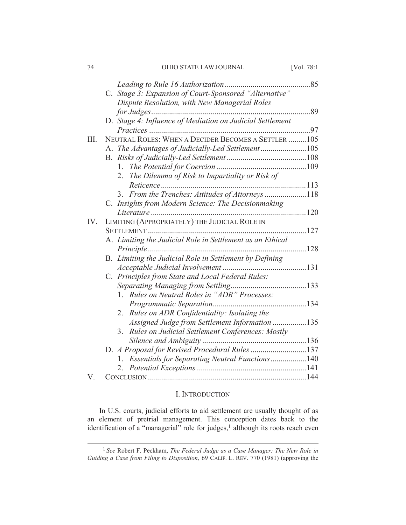| 74  | OHIO STATE LAW JOURNAL                                     | [Vol. $78:1$ |
|-----|------------------------------------------------------------|--------------|
|     |                                                            |              |
|     | C. Stage 3: Expansion of Court-Sponsored "Alternative"     |              |
|     | Dispute Resolution, with New Managerial Roles              |              |
|     |                                                            |              |
|     | D. Stage 4: Influence of Mediation on Judicial Settlement  |              |
|     |                                                            |              |
| Ш.  | NEUTRAL ROLES: WHEN A DECIDER BECOMES A SETTLER 105        |              |
|     | A. The Advantages of Judicially-Led Settlement 105         |              |
|     |                                                            |              |
|     | 1.                                                         |              |
|     | The Dilemma of Risk to Impartiality or Risk of<br>2.       |              |
|     |                                                            |              |
|     | From the Trenches: Attitudes of Attorneys 118<br>3.        |              |
|     | C. Insights from Modern Science: The Decisionmaking        |              |
|     |                                                            |              |
| IV. | LIMITING (APPROPRIATELY) THE JUDICIAL ROLE IN              |              |
|     |                                                            |              |
|     | A. Limiting the Judicial Role in Settlement as an Ethical  |              |
|     |                                                            |              |
|     | B. Limiting the Judicial Role in Settlement by Defining    |              |
|     |                                                            |              |
|     | C. Principles from State and Local Federal Rules:          |              |
|     |                                                            |              |
|     | Rules on Neutral Roles in "ADR" Processes:<br>$\mathbf{1}$ |              |
|     |                                                            |              |
|     | Rules on ADR Confidentiality: Isolating the<br>2.          |              |
|     | Assigned Judge from Settlement Information 135             |              |
|     | Rules on Judicial Settlement Conferences: Mostly<br>3.     |              |
|     |                                                            |              |
|     | D. A Proposal for Revised Procedural Rules 137             |              |
|     | Essentials for Separating Neutral Functions140<br>1.       |              |
|     |                                                            |              |
| V   |                                                            |              |

# I. INTRODUCTION

In U.S. courts, judicial efforts to aid settlement are usually thought of as an element of pretrial management. This conception dates back to the identification of a "managerial" role for judges,<sup>1</sup> although its roots reach even

 <sup>1</sup> *See* Robert F. Peckham, *The Federal Judge as a Case Manager: The New Role in Guiding a Case from Filing to Disposition*, 69 CALIF. L. REV. 770 (1981) (approving the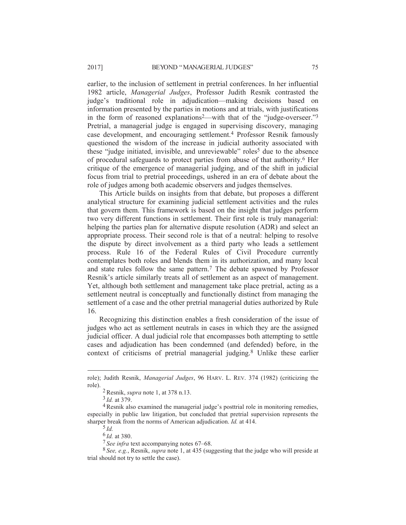earlier, to the inclusion of settlement in pretrial conferences. In her influential 1982 article, *Managerial Judges*, Professor Judith Resnik contrasted the judge's traditional role in adjudication—making decisions based on information presented by the parties in motions and at trials, with justifications in the form of reasoned explanations<sup>2</sup>—with that of the "judge-overseer."<sup>3</sup> Pretrial, a managerial judge is engaged in supervising discovery, managing case development, and encouraging settlement.4 Professor Resnik famously questioned the wisdom of the increase in judicial authority associated with these "judge initiated, invisible, and unreviewable" roles<sup>5</sup> due to the absence of procedural safeguards to protect parties from abuse of that authority.6 Her critique of the emergence of managerial judging, and of the shift in judicial focus from trial to pretrial proceedings, ushered in an era of debate about the role of judges among both academic observers and judges themselves.

This Article builds on insights from that debate, but proposes a different analytical structure for examining judicial settlement activities and the rules that govern them. This framework is based on the insight that judges perform two very different functions in settlement. Their first role is truly managerial: helping the parties plan for alternative dispute resolution (ADR) and select an appropriate process. Their second role is that of a neutral: helping to resolve the dispute by direct involvement as a third party who leads a settlement process. Rule 16 of the Federal Rules of Civil Procedure currently contemplates both roles and blends them in its authorization, and many local and state rules follow the same pattern.7 The debate spawned by Professor Resnik's article similarly treats all of settlement as an aspect of management. Yet, although both settlement and management take place pretrial, acting as a settlement neutral is conceptually and functionally distinct from managing the settlement of a case and the other pretrial managerial duties authorized by Rule 16.

Recognizing this distinction enables a fresh consideration of the issue of judges who act as settlement neutrals in cases in which they are the assigned judicial officer. A dual judicial role that encompasses both attempting to settle cases and adjudication has been condemned (and defended) before, in the context of criticisms of pretrial managerial judging.8 Unlike these earlier

role); Judith Resnik, *Managerial Judges*, 96 HARV. L. REV. 374 (1982) (criticizing the role).

<sup>2</sup>Resnik, *supra* note 1, at 378 n.13.

<sup>3</sup> *Id.* at 379.

<sup>4</sup>Resnik also examined the managerial judge's posttrial role in monitoring remedies, especially in public law litigation, but concluded that pretrial supervision represents the sharper break from the norms of American adjudication. *Id.* at 414.

<sup>5</sup> *Id.*

<sup>6</sup> *Id.* at 380.

<sup>7</sup> *See infra* text accompanying notes 67–68.

<sup>8</sup> *See, e.g.*, Resnik, *supra* note 1, at 435 (suggesting that the judge who will preside at trial should not try to settle the case).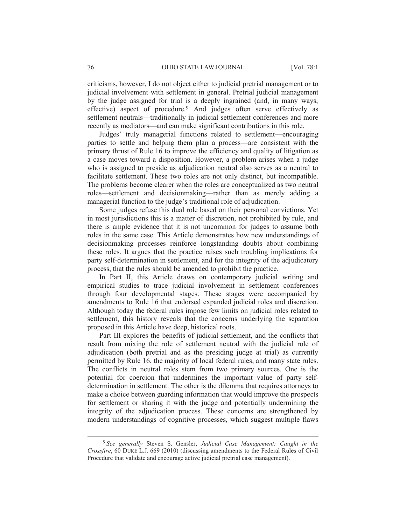criticisms, however, I do not object either to judicial pretrial management or to judicial involvement with settlement in general. Pretrial judicial management by the judge assigned for trial is a deeply ingrained (and, in many ways, effective) aspect of procedure.9 And judges often serve effectively as settlement neutrals—traditionally in judicial settlement conferences and more recently as mediators—and can make significant contributions in this role.

Judges' truly managerial functions related to settlement—encouraging parties to settle and helping them plan a process—are consistent with the primary thrust of Rule 16 to improve the efficiency and quality of litigation as a case moves toward a disposition. However, a problem arises when a judge who is assigned to preside as adjudication neutral also serves as a neutral to facilitate settlement. These two roles are not only distinct, but incompatible. The problems become clearer when the roles are conceptualized as two neutral roles—settlement and decisionmaking—rather than as merely adding a managerial function to the judge's traditional role of adjudication.

Some judges refuse this dual role based on their personal convictions. Yet in most jurisdictions this is a matter of discretion, not prohibited by rule, and there is ample evidence that it is not uncommon for judges to assume both roles in the same case. This Article demonstrates how new understandings of decisionmaking processes reinforce longstanding doubts about combining these roles. It argues that the practice raises such troubling implications for party self-determination in settlement, and for the integrity of the adjudicatory process, that the rules should be amended to prohibit the practice.

In Part II, this Article draws on contemporary judicial writing and empirical studies to trace judicial involvement in settlement conferences through four developmental stages. These stages were accompanied by amendments to Rule 16 that endorsed expanded judicial roles and discretion. Although today the federal rules impose few limits on judicial roles related to settlement, this history reveals that the concerns underlying the separation proposed in this Article have deep, historical roots.

Part III explores the benefits of judicial settlement, and the conflicts that result from mixing the role of settlement neutral with the judicial role of adjudication (both pretrial and as the presiding judge at trial) as currently permitted by Rule 16, the majority of local federal rules, and many state rules. The conflicts in neutral roles stem from two primary sources. One is the potential for coercion that undermines the important value of party selfdetermination in settlement. The other is the dilemma that requires attorneys to make a choice between guarding information that would improve the prospects for settlement or sharing it with the judge and potentially undermining the integrity of the adjudication process. These concerns are strengthened by modern understandings of cognitive processes, which suggest multiple flaws

 <sup>9</sup> *See generally* Steven S. Gensler, *Judicial Case Management: Caught in the Crossfire*, 60 DUKE L.J. 669 (2010) (discussing amendments to the Federal Rules of Civil Procedure that validate and encourage active judicial pretrial case management).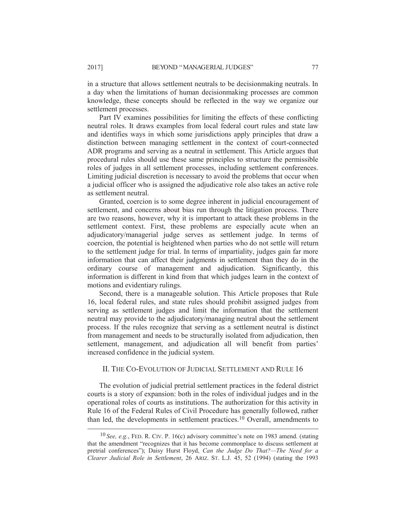in a structure that allows settlement neutrals to be decisionmaking neutrals. In a day when the limitations of human decisionmaking processes are common knowledge, these concepts should be reflected in the way we organize our settlement processes.

Part IV examines possibilities for limiting the effects of these conflicting neutral roles. It draws examples from local federal court rules and state law and identifies ways in which some jurisdictions apply principles that draw a distinction between managing settlement in the context of court-connected ADR programs and serving as a neutral in settlement. This Article argues that procedural rules should use these same principles to structure the permissible roles of judges in all settlement processes, including settlement conferences. Limiting judicial discretion is necessary to avoid the problems that occur when a judicial officer who is assigned the adjudicative role also takes an active role as settlement neutral.

Granted, coercion is to some degree inherent in judicial encouragement of settlement, and concerns about bias run through the litigation process. There are two reasons, however, why it is important to attack these problems in the settlement context. First, these problems are especially acute when an adjudicatory/managerial judge serves as settlement judge. In terms of coercion, the potential is heightened when parties who do not settle will return to the settlement judge for trial. In terms of impartiality, judges gain far more information that can affect their judgments in settlement than they do in the ordinary course of management and adjudication. Significantly, this information is different in kind from that which judges learn in the context of motions and evidentiary rulings.

Second, there is a manageable solution. This Article proposes that Rule 16, local federal rules, and state rules should prohibit assigned judges from serving as settlement judges and limit the information that the settlement neutral may provide to the adjudicatory/managing neutral about the settlement process. If the rules recognize that serving as a settlement neutral is distinct from management and needs to be structurally isolated from adjudication, then settlement, management, and adjudication all will benefit from parties' increased confidence in the judicial system.

## II. THE CO-EVOLUTION OF JUDICIAL SETTLEMENT AND RULE 16

The evolution of judicial pretrial settlement practices in the federal district courts is a story of expansion: both in the roles of individual judges and in the operational roles of courts as institutions. The authorization for this activity in Rule 16 of the Federal Rules of Civil Procedure has generally followed, rather than led, the developments in settlement practices.10 Overall, amendments to

 <sup>10</sup> *See, e.g.*, FED. R. CIV. P. 16(c) advisory committee's note on 1983 amend. (stating that the amendment "recognizes that it has become commonplace to discuss settlement at pretrial conferences"); Daisy Hurst Floyd, *Can the Judge Do That?—The Need for a Clearer Judicial Role in Settlement*, 26 ARIZ. ST. L.J. 45, 52 (1994) (stating the 1993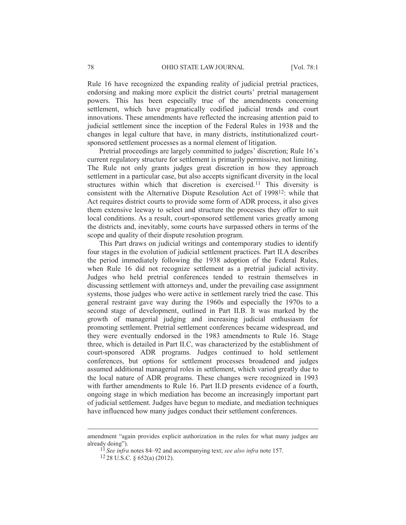Rule 16 have recognized the expanding reality of judicial pretrial practices, endorsing and making more explicit the district courts' pretrial management powers. This has been especially true of the amendments concerning settlement, which have pragmatically codified judicial trends and court innovations. These amendments have reflected the increasing attention paid to judicial settlement since the inception of the Federal Rules in 1938 and the changes in legal culture that have, in many districts, institutionalized courtsponsored settlement processes as a normal element of litigation.

Pretrial proceedings are largely committed to judges' discretion; Rule 16's current regulatory structure for settlement is primarily permissive, not limiting. The Rule not only grants judges great discretion in how they approach settlement in a particular case, but also accepts significant diversity in the local structures within which that discretion is exercised.<sup>11</sup> This diversity is consistent with the Alternative Dispute Resolution Act of 199812: while that Act requires district courts to provide some form of ADR process, it also gives them extensive leeway to select and structure the processes they offer to suit local conditions. As a result, court-sponsored settlement varies greatly among the districts and, inevitably, some courts have surpassed others in terms of the scope and quality of their dispute resolution program.

This Part draws on judicial writings and contemporary studies to identify four stages in the evolution of judicial settlement practices. Part II.A describes the period immediately following the 1938 adoption of the Federal Rules, when Rule 16 did not recognize settlement as a pretrial judicial activity. Judges who held pretrial conferences tended to restrain themselves in discussing settlement with attorneys and, under the prevailing case assignment systems, those judges who were active in settlement rarely tried the case. This general restraint gave way during the 1960s and especially the 1970s to a second stage of development, outlined in Part II.B. It was marked by the growth of managerial judging and increasing judicial enthusiasm for promoting settlement. Pretrial settlement conferences became widespread, and they were eventually endorsed in the 1983 amendments to Rule 16. Stage three, which is detailed in Part II.C, was characterized by the establishment of court-sponsored ADR programs. Judges continued to hold settlement conferences, but options for settlement processes broadened and judges assumed additional managerial roles in settlement, which varied greatly due to the local nature of ADR programs. These changes were recognized in 1993 with further amendments to Rule 16. Part II.D presents evidence of a fourth, ongoing stage in which mediation has become an increasingly important part of judicial settlement. Judges have begun to mediate, and mediation techniques have influenced how many judges conduct their settlement conferences.

amendment "again provides explicit authorization in the rules for what many judges are already doing").

<sup>11</sup> *See infra* notes 84–92 and accompanying text; *see also infra* note 157.

 $12$  28 U.S.C. § 652(a) (2012).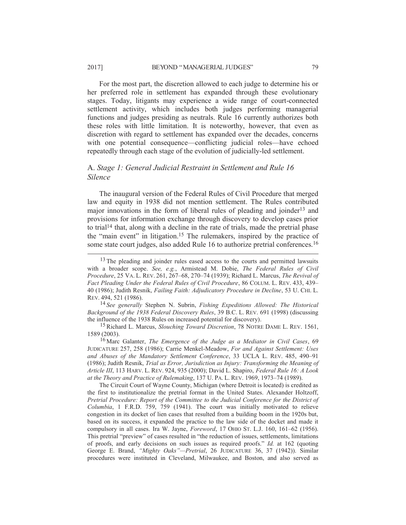For the most part, the discretion allowed to each judge to determine his or her preferred role in settlement has expanded through these evolutionary stages. Today, litigants may experience a wide range of court-connected settlement activity, which includes both judges performing managerial functions and judges presiding as neutrals. Rule 16 currently authorizes both these roles with little limitation. It is noteworthy, however, that even as discretion with regard to settlement has expanded over the decades, concerns with one potential consequence—conflicting judicial roles—have echoed repeatedly through each stage of the evolution of judicially-led settlement.

### A. *Stage 1: General Judicial Restraint in Settlement and Rule 16 Silence*

The inaugural version of the Federal Rules of Civil Procedure that merged law and equity in 1938 did not mention settlement. The Rules contributed major innovations in the form of liberal rules of pleading and joinder<sup>13</sup> and provisions for information exchange through discovery to develop cases prior to trial<sup>14</sup> that, along with a decline in the rate of trials, made the pretrial phase the "main event" in litigation.15 The rulemakers, inspired by the practice of some state court judges, also added Rule 16 to authorize pretrial conferences.<sup>16</sup>

14 *See generally* Stephen N. Subrin, *Fishing Expeditions Allowed: The Historical Background of the 1938 Federal Discovery Rules*, 39 B.C. L. REV. 691 (1998) (discussing the influence of the 1938 Rules on increased potential for discovery).

15Richard L. Marcus, *Slouching Toward Discretion*, 78 NOTRE DAME L. REV. 1561, 1589 (2003).

16 Marc Galanter, *The Emergence of the Judge as a Mediator in Civil Cases*, 69 JUDICATURE 257, 258 (1986); Carrie Menkel-Meadow, *For and Against Settlement: Uses and Abuses of the Mandatory Settlement Conference*, 33 UCLA L. REV. 485, 490–91 (1986); Judith Resnik, *Trial as Error, Jurisdiction as Injury: Transforming the Meaning of Article III*, 113 HARV. L. REV. 924, 935 (2000); David L. Shapiro, *Federal Rule 16: A Look at the Theory and Practice of Rulemaking*, 137 U. PA. L. REV. 1969, 1973–74 (1989).

The Circuit Court of Wayne County, Michigan (where Detroit is located) is credited as the first to institutionalize the pretrial format in the United States. Alexander Holtzoff, *Pretrial Procedure: Report of the Committee to the Judicial Conference for the District of Columbia*, 1 F.R.D. 759, 759 (1941). The court was initially motivated to relieve congestion in its docket of lien cases that resulted from a building boom in the 1920s but, based on its success, it expanded the practice to the law side of the docket and made it compulsory in all cases. Ira W. Jayne, *Foreword*, 17 OHIO ST. L.J. 160, 161–62 (1956). This pretrial "preview" of cases resulted in "the reduction of issues, settlements, limitations of proofs, and early decisions on such issues as required proofs." *Id.* at 162 (quoting George E. Brand, *"Mighty Oaks"—Pretrial*, 26 JUDICATURE 36, 37 (1942)). Similar procedures were instituted in Cleveland, Milwaukee, and Boston, and also served as

<sup>&</sup>lt;sup>13</sup> The pleading and joinder rules eased access to the courts and permitted lawsuits with a broader scope. *See, e.g.*, Armistead M. Dobie, *The Federal Rules of Civil Procedure*, 25 VA. L. REV. 261, 267–68, 270–74 (1939); Richard L. Marcus, *The Revival of Fact Pleading Under the Federal Rules of Civil Procedure*, 86 COLUM. L. REV. 433, 439– 40 (1986); Judith Resnik, *Failing Faith: Adjudicatory Procedure in Decline*, 53 U. CHI. L. REV. 494, 521 (1986).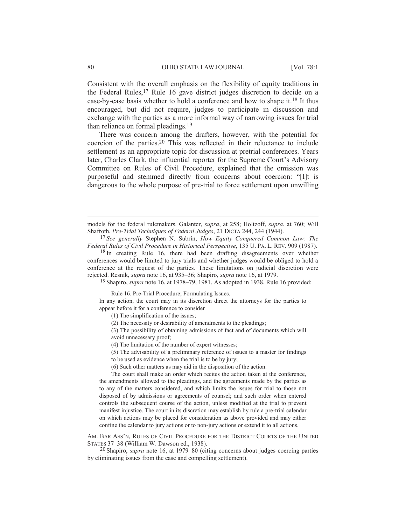Consistent with the overall emphasis on the flexibility of equity traditions in the Federal Rules,<sup>17</sup> Rule 16 gave district judges discretion to decide on a case-by-case basis whether to hold a conference and how to shape it.18 It thus encouraged, but did not require, judges to participate in discussion and exchange with the parties as a more informal way of narrowing issues for trial than reliance on formal pleadings.19

There was concern among the drafters, however, with the potential for coercion of the parties.20 This was reflected in their reluctance to include settlement as an appropriate topic for discussion at pretrial conferences. Years later, Charles Clark, the influential reporter for the Supreme Court's Advisory Committee on Rules of Civil Procedure, explained that the omission was purposeful and stemmed directly from concerns about coercion: "[I]t is dangerous to the whole purpose of pre-trial to force settlement upon unwilling

19 Shapiro, *supra* note 16, at 1978–79, 1981. As adopted in 1938, Rule 16 provided:

Rule 16. Pre-Trial Procedure; Formulating Issues.

In any action, the court may in its discretion direct the attorneys for the parties to appear before it for a conference to consider

(1) The simplification of the issues;

(2) The necessity or desirability of amendments to the pleadings;

(3) The possibility of obtaining admissions of fact and of documents which will avoid unnecessary proof;

(4) The limitation of the number of expert witnesses;

(5) The advisability of a preliminary reference of issues to a master for findings

to be used as evidence when the trial is to be by jury;

(6) Such other matters as may aid in the disposition of the action.

The court shall make an order which recites the action taken at the conference, the amendments allowed to the pleadings, and the agreements made by the parties as to any of the matters considered, and which limits the issues for trial to those not disposed of by admissions or agreements of counsel; and such order when entered controls the subsequent course of the action, unless modified at the trial to prevent manifest injustice. The court in its discretion may establish by rule a pre-trial calendar on which actions may be placed for consideration as above provided and may either confine the calendar to jury actions or to non-jury actions or extend it to all actions.

AM. BAR ASS'N, RULES OF CIVIL PROCEDURE FOR THE DISTRICT COURTS OF THE UNITED STATES 37–38 (William W. Dawson ed., 1938).

20 Shapiro, *supra* note 16, at 1979–80 (citing concerns about judges coercing parties by eliminating issues from the case and compelling settlement).

models for the federal rulemakers. Galanter, *supra*, at 258; Holtzoff, *supra*, at 760; Will Shafroth, *Pre-Trial Techniques of Federal Judges*, 21 DICTA 244, 244 (1944).

<sup>17</sup> *See generally* Stephen N. Subrin, *How Equity Conquered Common Law: The Federal Rules of Civil Procedure in Historical Perspective*, 135 U. PA. L. REV. 909 (1987).

<sup>&</sup>lt;sup>18</sup> In creating Rule 16, there had been drafting disagreements over whether conferences would be limited to jury trials and whether judges would be obliged to hold a conference at the request of the parties. These limitations on judicial discretion were rejected. Resnik, *supra* note 16, at 935–36; Shapiro, *supra* note 16, at 1979.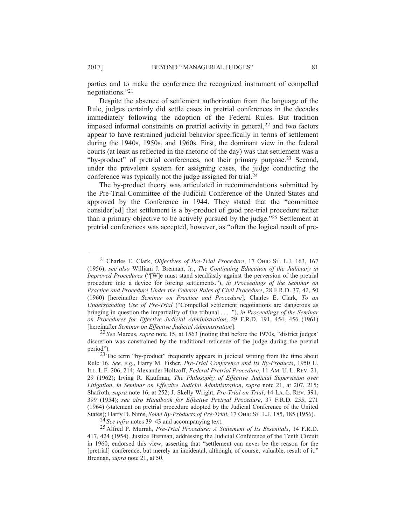parties and to make the conference the recognized instrument of compelled negotiations."21

Despite the absence of settlement authorization from the language of the Rule, judges certainly did settle cases in pretrial conferences in the decades immediately following the adoption of the Federal Rules. But tradition imposed informal constraints on pretrial activity in general,<sup>22</sup> and two factors appear to have restrained judicial behavior specifically in terms of settlement during the 1940s, 1950s, and 1960s. First, the dominant view in the federal courts (at least as reflected in the rhetoric of the day) was that settlement was a "by-product" of pretrial conferences, not their primary purpose.23 Second, under the prevalent system for assigning cases, the judge conducting the conference was typically not the judge assigned for trial.24

The by-product theory was articulated in recommendations submitted by the Pre-Trial Committee of the Judicial Conference of the United States and approved by the Conference in 1944. They stated that the "committee consider[ed] that settlement is a by-product of good pre-trial procedure rather than a primary objective to be actively pursued by the judge."25 Settlement at pretrial conferences was accepted, however, as "often the logical result of pre-

22 *See* Marcus, *supra* note 15, at 1563 (noting that before the 1970s, "district judges' discretion was constrained by the traditional reticence of the judge during the pretrial period").

24 *See infra* notes 39–43 and accompanying text.

 <sup>21</sup>Charles E. Clark, *Objectives of Pre-Trial Procedure*, 17 OHIO ST. L.J. 163, 167 (1956); *see also* William J. Brennan, Jr., *The Continuing Education of the Judiciary in Improved Procedures* ("[W]e must stand steadfastly against the perversion of the pretrial procedure into a device for forcing settlements."), *in Proceedings of the Seminar on Practice and Procedure Under the Federal Rules of Civil Procedure*, 28 F.R.D. 37, 42, 50 (1960) [hereinafter *Seminar on Practice and Procedure*]; Charles E. Clark, *To an Understanding Use of Pre-Trial* ("Compelled settlement negotiations are dangerous as bringing in question the impartiality of the tribunal . . . ."), *in Proceedings of the Seminar on Procedures for Effective Judicial Administration*, 29 F.R.D. 191, 454, 456 (1961) [hereinafter *Seminar on Effective Judicial Administration*].

 $23$  The term "by-product" frequently appears in judicial writing from the time about Rule 16. *See, e.g.*, Harry M. Fisher, *Pre-Trial Conference and Its By-Products*, 1950 U. ILL. L.F. 206, 214; Alexander Holtzoff, *Federal Pretrial Procedure*, 11 AM. U. L. REV. 21, 29 (1962); Irving R. Kaufman, *The Philosophy of Effective Judicial Supervision over Litigation*, *in Seminar on Effective Judicial Administration*, *supra* note 21, at 207, 215; Shafroth, *supra* note 16, at 252; J. Skelly Wright, *Pre-Trial on Trial*, 14 LA. L. REV. 391, 399 (1954); *see also Handbook for Effective Pretrial Procedure*, 37 F.R.D. 255, 271 (1964) (statement on pretrial procedure adopted by the Judicial Conference of the United States); Harry D. Nims, *Some By-Products of Pre-Trial*, 17 OHIO ST. L.J. 185, 185 (1956).

<sup>25</sup> Alfred P. Murrah, *Pre-Trial Procedure: A Statement of Its Essentials*, 14 F.R.D. 417, 424 (1954). Justice Brennan, addressing the Judicial Conference of the Tenth Circuit in 1960, endorsed this view, asserting that "settlement can never be the reason for the [pretrial] conference, but merely an incidental, although, of course, valuable, result of it." Brennan, *supra* note 21, at 50.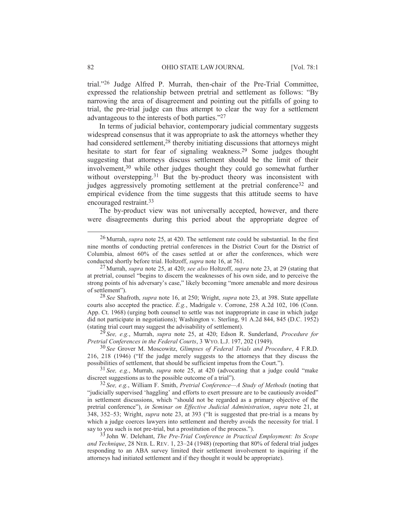trial."26 Judge Alfred P. Murrah, then-chair of the Pre-Trial Committee, expressed the relationship between pretrial and settlement as follows: "By narrowing the area of disagreement and pointing out the pitfalls of going to trial, the pre-trial judge can thus attempt to clear the way for a settlement advantageous to the interests of both parties."27

In terms of judicial behavior, contemporary judicial commentary suggests widespread consensus that it was appropriate to ask the attorneys whether they had considered settlement,<sup>28</sup> thereby initiating discussions that attorneys might hesitate to start for fear of signaling weakness.29 Some judges thought suggesting that attorneys discuss settlement should be the limit of their involvement,30 while other judges thought they could go somewhat further without overstepping.<sup>31</sup> But the by-product theory was inconsistent with judges aggressively promoting settlement at the pretrial conference<sup>32</sup> and empirical evidence from the time suggests that this attitude seems to have encouraged restraint.33

The by-product view was not universally accepted, however, and there were disagreements during this period about the appropriate degree of

29 *See, e.g.*, Murrah, *supra* note 25, at 420; Edson R. Sunderland, *Procedure for Pretrial Conferences in the Federal Courts*,3WYO. L.J. 197, 202 (1949).

 <sup>26</sup> Murrah, *supra* note 25, at 420. The settlement rate could be substantial. In the first nine months of conducting pretrial conferences in the District Court for the District of Columbia, almost 60% of the cases settled at or after the conferences, which were conducted shortly before trial. Holtzoff, *supra* note 16, at 761.

<sup>27</sup> Murrah, *supra* note 25, at 420; *see also* Holtzoff, *supra* note 23, at 29 (stating that at pretrial, counsel "begins to discern the weaknesses of his own side, and to perceive the strong points of his adversary's case," likely becoming "more amenable and more desirous of settlement").

<sup>28</sup> *See* Shafroth, *supra* note 16, at 250; Wright, *supra* note 23, at 398. State appellate courts also accepted the practice. *E.g.*, Madrigale v. Corrone, 258 A.2d 102, 106 (Conn. App. Ct. 1968) (urging both counsel to settle was not inappropriate in case in which judge did not participate in negotiations); Washington v. Sterling, 91 A.2d 844, 845 (D.C. 1952) (stating trial court may suggest the advisability of settlement).

<sup>30</sup> *See* Grover M. Moscowitz, *Glimpses of Federal Trials and Procedure*, 4 F.R.D. 216, 218 (1946) ("If the judge merely suggests to the attorneys that they discuss the possibilities of settlement, that should be sufficient impetus from the Court.").

<sup>31</sup> *See, e.g.*, Murrah, *supra* note 25, at 420 (advocating that a judge could "make discreet suggestions as to the possible outcome of a trial").

<sup>32</sup> *See, e.g.*, William F. Smith, *Pretrial Conference—A Study of Methods* (noting that "judicially supervised 'haggling' and efforts to exert pressure are to be cautiously avoided" in settlement discussions, which "should not be regarded as a primary objective of the pretrial conference"), *in Seminar on Effective Judicial Administration*, *supra* note 21, at 348, 352–53; Wright, *supra* note 23, at 393 ("It is suggested that pre-trial is a means by which a judge coerces lawyers into settlement and thereby avoids the necessity for trial. I say to you such is not pre-trial, but a prostitution of the process.").

<sup>33</sup> John W. Delehant, *The Pre-Trial Conference in Practical Employment: Its Scope and Technique*, 28 NEB. L. REV. 1, 23–24 (1948) (reporting that 80% of federal trial judges responding to an ABA survey limited their settlement involvement to inquiring if the attorneys had initiated settlement and if they thought it would be appropriate).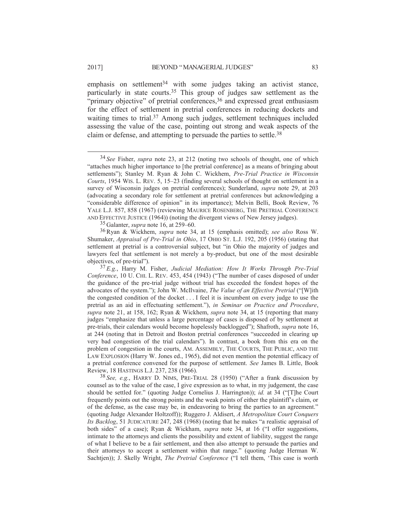emphasis on settlement<sup>34</sup> with some judges taking an activist stance, particularly in state courts.35 This group of judges saw settlement as the "primary objective" of pretrial conferences,  $36$  and expressed great enthusiasm for the effect of settlement in pretrial conferences in reducing dockets and waiting times to trial.<sup>37</sup> Among such judges, settlement techniques included assessing the value of the case, pointing out strong and weak aspects of the claim or defense, and attempting to persuade the parties to settle.<sup>38</sup>

35 Galanter, *supra* note 16, at 259–60.

36Ryan & Wickhem, *supra* note 34, at 15 (emphasis omitted); *see also* Ross W. Shumaker, *Appraisal of Pre-Trial in Ohio*, 17 OHIO ST. L.J. 192, 205 (1956) (stating that settlement at pretrial is a controversial subject, but "in Ohio the majority of judges and lawyers feel that settlement is not merely a by-product, but one of the most desirable objectives, of pre-trial").

38 *See, e.g.*, HARRY D. NIMS, PRE-TRIAL 28 (1950) ("After a frank discussion by counsel as to the value of the case, I give expression as to what, in my judgement, the case should be settled for." (quoting Judge Cornelius J. Harrington)); *id.* at 34 ("[T]he Court frequently points out the strong points and the weak points of either the plaintiff's claim, or of the defense, as the case may be, in endeavoring to bring the parties to an agreement." (quoting Judge Alexander Holtzoff)); Ruggero J. Aldisert, *A Metropolitan Court Conquers Its Backlog*, 51 JUDICATURE 247, 248 (1968) (noting that he makes "a realistic appraisal of both sides" of a case); Ryan & Wickham, *supra* note 34, at 16 ("I offer suggestions, intimate to the attorneys and clients the possibility and extent of liability, suggest the range of what I believe to be a fair settlement, and then also attempt to persuade the parties and their attorneys to accept a settlement within that range." (quoting Judge Herman W. Sachtjen)); J. Skelly Wright, *The Pretrial Conference* ("I tell them, 'This case is worth

 <sup>34</sup> *See* Fisher, *supra* note 23, at 212 (noting two schools of thought, one of which "attaches much higher importance to [the pretrial conference] as a means of bringing about settlements"); Stanley M. Ryan & John C. Wickhem, *Pre-Trial Practice in Wisconsin Courts*, 1954 WIS. L. REV. 5, 15–23 (finding several schools of thought on settlement in a survey of Wisconsin judges on pretrial conferences); Sunderland, *supra* note 29, at 203 (advocating a secondary role for settlement at pretrial conferences but acknowledging a "considerable difference of opinion" in its importance); Melvin Belli, Book Review, 76 YALE L.J. 857, 858 (1967) (reviewing MAURICE ROSENBERG, THE PRETRIAL CONFERENCE AND EFFECTIVE JUSTICE (1964)) (noting the divergent views of New Jersey judges).

<sup>37</sup> *E.g.*, Harry M. Fisher, *Judicial Mediation: How It Works Through Pre-Trial Conference*, 10 U. CHI. L. REV. 453, 454 (1943) ("The number of cases disposed of under the guidance of the pre-trial judge without trial has exceeded the fondest hopes of the advocates of the system."); John W. McIlvaine, *The Value of an Effective Pretrial* ("[W]ith the congested condition of the docket . . . I feel it is incumbent on every judge to use the pretrial as an aid in effectuating settlement."), *in Seminar on Practice and Procedure*, *supra* note 21, at 158, 162; Ryan & Wickhem, *supra* note 34, at 15 (reporting that many judges "emphasize that unless a large percentage of cases is disposed of by settlement at pre-trials, their calendars would become hopelessly backlogged"); Shafroth, *supra* note 16, at 244 (noting that in Detroit and Boston pretrial conferences "succeeded in clearing up very bad congestion of the trial calendars"). In contrast, a book from this era on the problem of congestion in the courts, AM. ASSEMBLY, THE COURTS, THE PUBLIC, AND THE LAW EXPLOSION (Harry W. Jones ed., 1965), did not even mention the potential efficacy of a pretrial conference convened for the purpose of settlement. *See* James B. Little, Book Review, 18 HASTINGS L.J. 237, 238 (1966).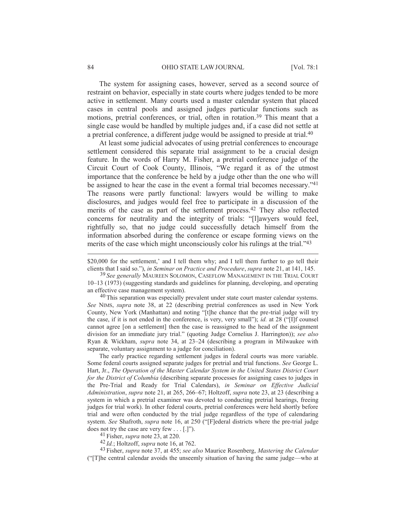#### 84 OHIO STATE LAW JOURNAL [Vol. 78:1

The system for assigning cases, however, served as a second source of restraint on behavior, especially in state courts where judges tended to be more active in settlement. Many courts used a master calendar system that placed cases in central pools and assigned judges particular functions such as motions, pretrial conferences, or trial, often in rotation.39 This meant that a single case would be handled by multiple judges and, if a case did not settle at a pretrial conference, a different judge would be assigned to preside at trial.40

At least some judicial advocates of using pretrial conferences to encourage settlement considered this separate trial assignment to be a crucial design feature. In the words of Harry M. Fisher, a pretrial conference judge of the Circuit Court of Cook County, Illinois, "We regard it as of the utmost importance that the conference be held by a judge other than the one who will be assigned to hear the case in the event a formal trial becomes necessary."41 The reasons were partly functional: lawyers would be willing to make disclosures, and judges would feel free to participate in a discussion of the merits of the case as part of the settlement process.<sup>42</sup> They also reflected concerns for neutrality and the integrity of trials: "[l]awyers would feel, rightfully so, that no judge could successfully detach himself from the information absorbed during the conference or escape forming views on the merits of the case which might unconsciously color his rulings at the trial."43

<sup>40</sup> This separation was especially prevalent under state court master calendar systems. *See* NIMS, *supra* note 38, at 22 (describing pretrial conferences as used in New York County, New York (Manhattan) and noting "[t]he chance that the pre-trial judge will try the case, if it is not ended in the conference, is very, very small"); *id.* at 28 ("[I]f counsel cannot agree [on a settlement] then the case is reassigned to the head of the assignment division for an immediate jury trial." (quoting Judge Cornelius J. Harrington)); *see also* Ryan & Wickham, *supra* note 34, at 23–24 (describing a program in Milwaukee with separate, voluntary assignment to a judge for conciliation).

The early practice regarding settlement judges in federal courts was more variable. Some federal courts assigned separate judges for pretrial and trial functions. *See* George L. Hart, Jr., *The Operation of the Master Calendar System in the United States District Court for the District of Columbia* (describing separate processes for assigning cases to judges in the Pre-Trial and Ready for Trial Calendars), *in Seminar on Effective Judicial Administration*, *supra* note 21, at 265, 266–67; Holtzoff, *supra* note 23, at 23 (describing a system in which a pretrial examiner was devoted to conducting pretrial hearings, freeing judges for trial work). In other federal courts, pretrial conferences were held shortly before trial and were often conducted by the trial judge regardless of the type of calendaring system. *See* Shafroth, *supra* note 16, at 250 ("[F]ederal districts where the pre-trial judge does not try the case are very few . . . [.]").

41 Fisher, *supra* note 23, at 220.

42 *Id.*; Holtzoff, *supra* note 16, at 762.

43 Fisher, *supra* note 37, at 455; *see also* Maurice Rosenberg, *Mastering the Calendar* ("[T]he central calendar avoids the unseemly situation of having the same judge—who at

<sup>\$20,000</sup> for the settlement,' and I tell them why; and I tell them further to go tell their clients that I said so."), *in Seminar on Practice and Procedure*, *supra* note 21, at 141, 145.

<sup>39</sup> *See generally* MAUREEN SOLOMON, CASEFLOW MANAGEMENT IN THE TRIAL COURT 10–13 (1973) (suggesting standards and guidelines for planning, developing, and operating an effective case management system).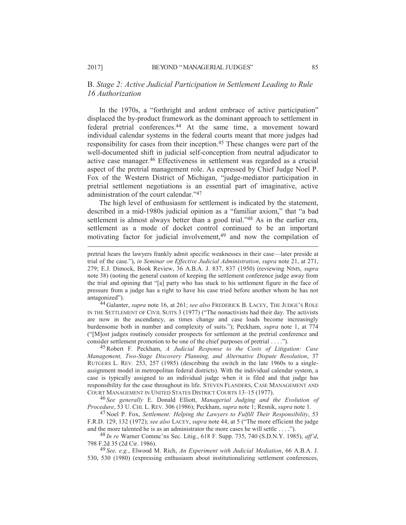### B. *Stage 2: Active Judicial Participation in Settlement Leading to Rule 16 Authorization*

In the 1970s, a "forthright and ardent embrace of active participation" displaced the by-product framework as the dominant approach to settlement in federal pretrial conferences.44 At the same time, a movement toward individual calendar systems in the federal courts meant that more judges had responsibility for cases from their inception.45 These changes were part of the well-documented shift in judicial self-conception from neutral adjudicator to active case manager.46 Effectiveness in settlement was regarded as a crucial aspect of the pretrial management role. As expressed by Chief Judge Noel P. Fox of the Western District of Michigan, "judge-mediator participation in pretrial settlement negotiations is an essential part of imaginative, active administration of the court calendar."47

The high level of enthusiasm for settlement is indicated by the statement, described in a mid-1980s judicial opinion as a "familiar axiom," that "a bad settlement is almost always better than a good trial."<sup>48</sup> As in the earlier era, settlement as a mode of docket control continued to be an important motivating factor for judicial involvement,<sup>49</sup> and now the compilation of

44 Galanter, *supra* note 16, at 261; *see also* FREDERICK B. LACEY, THE JUDGE'S ROLE IN THE SETTLEMENT OF CIVIL SUITS 3 (1977) ("The nonactivists had their day. The activists are now in the ascendancy, as times change and case loads become increasingly burdensome both in number and complexity of suits."); Peckham, *supra* note 1, at 774 ("[M]ost judges routinely consider prospects for settlement at the pretrial conference and consider settlement promotion to be one of the chief purposes of pretrial . . . .").

45Robert F. Peckham, *A Judicial Response to the Costs of Litigation: Case Management, Two-Stage Discovery Planning, and Alternative Dispute Resolution*, 37 RUTGERS L. REV. 253, 257 (1985) (describing the switch in the late 1960s to a singleassignment model in metropolitan federal districts). With the individual calendar system, a case is typically assigned to an individual judge when it is filed and that judge has responsibility for the case throughout its life. STEVEN FLANDERS, CASE MANAGEMENT AND COURT MANAGEMENT IN UNITED STATES DISTRICT COURTS 13–15 (1977).

46 *See generally* E. Donald Elliott, *Managerial Judging and the Evolution of Procedure*, 53 U. CHI. L. REV. 306 (1986); Peckham, *supra* note 1; Resnik, *supra* note 1.

47 Noel P. Fox, *Settlement: Helping the Lawyers to Fulfill Their Responsibility*, 53 F.R.D. 129, 132 (1972); *see also* LACEY, *supra* note 44, at 5 ("The more efficient the judge and the more talented he is as an administrator the more cases he will settle . . . .").

48 *In re* Warner Commc'ns Sec. Litig., 618 F. Supp. 735, 740 (S.D.N.Y. 1985), *aff'd*, 798 F.2d 35 (2d Cir. 1986).

49 *See, e.g.*, Elwood M. Rich, *An Experiment with Judicial Mediation*, 66 A.B.A. J. 530, 530 (1980) (expressing enthusiasm about institutionalizing settlement conferences,

pretrial hears the lawyers frankly admit specific weaknesses in their case—later preside at trial of the case."), *in Seminar on Effective Judicial Administration*, *supra* note 21, at 271, 279; E.J. Dimock, Book Review, 36 A.B.A. J. 837, 837 (1950) (reviewing NIMS, *supra* note 38) (noting the general custom of keeping the settlement conference judge away from the trial and opining that "[a] party who has stuck to his settlement figure in the face of pressure from a judge has a right to have his case tried before another whom he has not antagonized").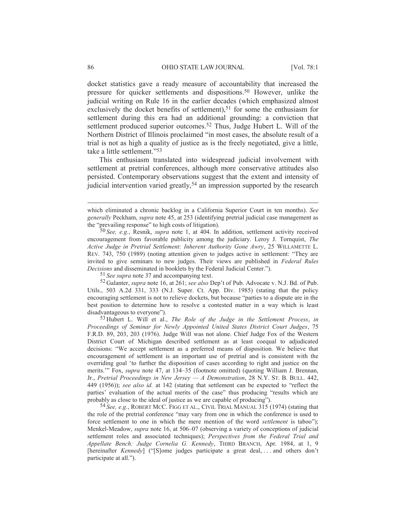docket statistics gave a ready measure of accountability that increased the pressure for quicker settlements and dispositions.50 However, unlike the judicial writing on Rule 16 in the earlier decades (which emphasized almost exclusively the docket benefits of settlement),<sup>51</sup> for some the enthusiasm for settlement during this era had an additional grounding: a conviction that settlement produced superior outcomes.52 Thus, Judge Hubert L. Will of the Northern District of Illinois proclaimed "in most cases, the absolute result of a trial is not as high a quality of justice as is the freely negotiated, give a little, take a little settlement."53

This enthusiasm translated into widespread judicial involvement with settlement at pretrial conferences, although more conservative attitudes also persisted. Contemporary observations suggest that the extent and intensity of judicial intervention varied greatly,<sup>54</sup> an impression supported by the research

51 *See supra* note 37 and accompanying text.

52 Galanter, *supra* note 16, at 261; *see also* Dep't of Pub. Advocate v. N.J. Bd. of Pub. Utils., 503 A.2d 331, 333 (N.J. Super. Ct. App. Div. 1985) (stating that the policy encouraging settlement is not to relieve dockets, but because "parties to a dispute are in the best position to determine how to resolve a contested matter in a way which is least disadvantageous to everyone").

53 Hubert L. Will et al., *The Role of the Judge in the Settlement Process*, *in Proceedings of Seminar for Newly Appointed United States District Court Judges*, 75 F.R.D. 89, 203, 203 (1976). Judge Will was not alone. Chief Judge Fox of the Western District Court of Michigan described settlement as at least coequal to adjudicated decisions: "We accept settlement as a preferred means of disposition. We believe that encouragement of settlement is an important use of pretrial and is consistent with the overriding goal 'to further the disposition of cases according to right and justice on the merits.'" Fox, *supra* note 47, at 134–35 (footnote omitted) (quoting William J. Brennan, Jr., *Pretrial Proceedings in New Jersey — A Demonstration*, 28 N.Y. ST. B. BULL. 442, 449 (1956)); *see also id.* at 142 (stating that settlement can be expected to "reflect the parties' evaluation of the actual merits of the case" thus producing "results which are probably as close to the ideal of justice as we are capable of producing").

54 *See, e.g.*, ROBERT MCC. FIGG ET AL., CIVIL TRIAL MANUAL 315 (1974) (stating that the role of the pretrial conference "may vary from one in which the conference is used to force settlement to one in which the mere mention of the word *settlement* is taboo"); Menkel-Meadow, *supra* note 16, at 506–07 (observing a variety of conceptions of judicial settlement roles and associated techniques); *Perspectives from the Federal Trial and Appellate Bench: Judge Cornelia G. Kennedy*, THIRD BRANCH, Apr. 1984, at 1, 9 [hereinafter *Kennedy*] ("[S]ome judges participate a great deal, ... and others don't participate at all.").

which eliminated a chronic backlog in a California Superior Court in ten months). *See generally* Peckham, *supra* note 45, at 253 (identifying pretrial judicial case management as the "prevailing response" to high costs of litigation).

<sup>50</sup> *See, e.g.*, Resnik, *supra* note 1, at 404. In addition, settlement activity received encouragement from favorable publicity among the judiciary. Leroy J. Tornquist, *The Active Judge in Pretrial Settlement: Inherent Authority Gone Awry*, 25 WILLAMETTE L. REV. 743, 750 (1989) (noting attention given to judges active in settlement: "They are invited to give seminars to new judges. Their views are published in *Federal Rules Decisions* and disseminated in booklets by the Federal Judicial Center.").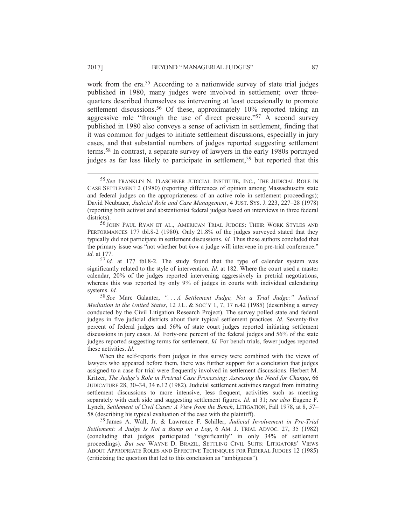work from the era.55 According to a nationwide survey of state trial judges published in 1980, many judges were involved in settlement; over threequarters described themselves as intervening at least occasionally to promote settlement discussions.<sup>56</sup> Of these, approximately 10% reported taking an aggressive role "through the use of direct pressure."57 A second survey published in 1980 also conveys a sense of activism in settlement, finding that it was common for judges to initiate settlement discussions, especially in jury cases, and that substantial numbers of judges reported suggesting settlement terms.58 In contrast, a separate survey of lawyers in the early 1980s portrayed judges as far less likely to participate in settlement,<sup>59</sup> but reported that this

 <sup>55</sup> *See* FRANKLIN N. FLASCHNER JUDICIAL INSTITUTE, INC., THE JUDICIAL ROLE IN CASE SETTLEMENT 2 (1980) (reporting differences of opinion among Massachusetts state and federal judges on the appropriateness of an active role in settlement proceedings); David Neubauer, *Judicial Role and Case Management*,4JUST. SYS. J. 223, 227–28 (1978) (reporting both activist and abstentionist federal judges based on interviews in three federal districts).

<sup>56</sup> JOHN PAUL RYAN ET AL., AMERICAN TRIAL JUDGES: THEIR WORK STYLES AND PERFORMANCES 177 tbl.8-2 (1980). Only 21.8% of the judges surveyed stated that they typically did not participate in settlement discussions. *Id.* Thus these authors concluded that the primary issue was "not whether but *how* a judge will intervene in pre-trial conference." *Id.* at 177.

<sup>57</sup> *Id.* at 177 tbl.8-2. The study found that the type of calendar system was significantly related to the style of intervention. *Id.* at 182. Where the court used a master calendar, 20% of the judges reported intervening aggressively in pretrial negotiations, whereas this was reported by only 9% of judges in courts with individual calendaring systems. *Id.*

<sup>58</sup> *See* Marc Galanter, *". . . A Settlement Judge, Not a Trial Judge:" Judicial Mediation in the United States*, 12 J.L. & SOC'Y 1, 7, 17 n.42 (1985) (describing a survey conducted by the Civil Litigation Research Project). The survey polled state and federal judges in five judicial districts about their typical settlement practices. *Id.* Seventy-five percent of federal judges and 56% of state court judges reported initiating settlement discussions in jury cases. *Id.* Forty-one percent of the federal judges and 56% of the state judges reported suggesting terms for settlement. *Id.* For bench trials, fewer judges reported these activities. *Id.*

When the self-reports from judges in this survey were combined with the views of lawyers who appeared before them, there was further support for a conclusion that judges assigned to a case for trial were frequently involved in settlement discussions. Herbert M. Kritzer, *The Judge's Role in Pretrial Case Processing: Assessing the Need for Change*, 66 JUDICATURE 28, 30–34, 34 n.12 (1982). Judicial settlement activities ranged from initiating settlement discussions to more intensive, less frequent, activities such as meeting separately with each side and suggesting settlement figures. *Id.* at 31; *see also* Eugene F. Lynch, *Settlement of Civil Cases: A View from the Bench*, LITIGATION, Fall 1978, at 8, 57– 58 (describing his typical evaluation of the case with the plaintiff).

<sup>59</sup> James A. Wall, Jr. & Lawrence F. Schiller, *Judicial Involvement in Pre-Trial Settlement: A Judge Is Not a Bump on a Log*,6AM. J. TRIAL ADVOC. 27, 35 (1982) (concluding that judges participated "significantly" in only 34% of settlement proceedings). *But see* WAYNE D. BRAZIL, SETTLING CIVIL SUITS: LITIGATORS' VIEWS ABOUT APPROPRIATE ROLES AND EFFECTIVE TECHNIQUES FOR FEDERAL JUDGES 12 (1985) (criticizing the question that led to this conclusion as "ambiguous").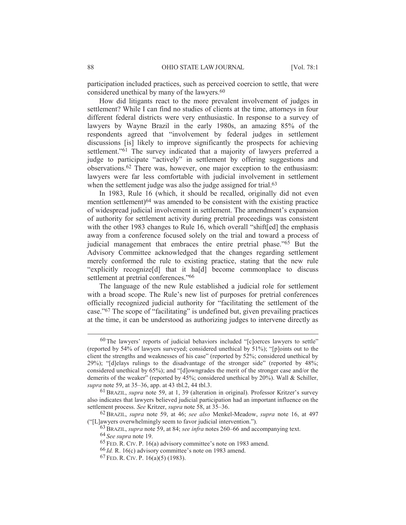participation included practices, such as perceived coercion to settle, that were considered unethical by many of the lawyers.<sup>60</sup>

How did litigants react to the more prevalent involvement of judges in settlement? While I can find no studies of clients at the time, attorneys in four different federal districts were very enthusiastic. In response to a survey of lawyers by Wayne Brazil in the early 1980s, an amazing 85% of the respondents agreed that "involvement by federal judges in settlement discussions [is] likely to improve significantly the prospects for achieving settlement."<sup>61</sup> The survey indicated that a majority of lawyers preferred a judge to participate "actively" in settlement by offering suggestions and observations.62 There was, however, one major exception to the enthusiasm: lawyers were far less comfortable with judicial involvement in settlement when the settlement judge was also the judge assigned for trial.<sup>63</sup>

In 1983, Rule 16 (which, it should be recalled, originally did not even mention settlement)<sup>64</sup> was amended to be consistent with the existing practice of widespread judicial involvement in settlement. The amendment's expansion of authority for settlement activity during pretrial proceedings was consistent with the other 1983 changes to Rule 16, which overall "shift[ed] the emphasis away from a conference focused solely on the trial and toward a process of judicial management that embraces the entire pretrial phase."65 But the Advisory Committee acknowledged that the changes regarding settlement merely conformed the rule to existing practice, stating that the new rule "explicitly recognize[d] that it ha[d] become commonplace to discuss settlement at pretrial conferences."<sup>66</sup>

The language of the new Rule established a judicial role for settlement with a broad scope. The Rule's new list of purposes for pretrial conferences officially recognized judicial authority for "facilitating the settlement of the case."67 The scope of "facilitating" is undefined but, given prevailing practices at the time, it can be understood as authorizing judges to intervene directly as

 <sup>60</sup> The lawyers' reports of judicial behaviors included "[c]oerces lawyers to settle" (reported by  $54\%$  of lawyers surveyed; considered unethical by  $51\%$ ); "[p]oints out to the client the strengths and weaknesses of his case" (reported by 52%; considered unethical by 29%); "[d]elays rulings to the disadvantage of the stronger side" (reported by 48%; considered unethical by 65%); and "[d]owngrades the merit of the stronger case and/or the demerits of the weaker" (reported by 45%; considered unethical by 20%). Wall & Schiller, *supra* note 59, at 35–36, app. at 43 tbl.2, 44 tbl.3.

<sup>61</sup>BRAZIL, *supra* note 59, at 1, 39 (alteration in original). Professor Kritzer's survey also indicates that lawyers believed judicial participation had an important influence on the settlement process. *See* Kritzer, *supra* note 58, at 35–36.

<sup>62</sup>BRAZIL, *supra* note 59, at 46; *see also* Menkel-Meadow, *supra* note 16, at 497 ("[L]awyers overwhelmingly seem to favor judicial intervention.").

<sup>63</sup>BRAZIL, *supra* note 59, at 84; *see infra* notes 260–66 and accompanying text.

<sup>64</sup> *See supra* note 19.

<sup>65</sup> FED. R. CIV. P. 16(a) advisory committee's note on 1983 amend.

<sup>66</sup> *Id.* R. 16(c) advisory committee's note on 1983 amend.

<sup>67</sup> FED. R. CIV. P. 16(a)(5) (1983).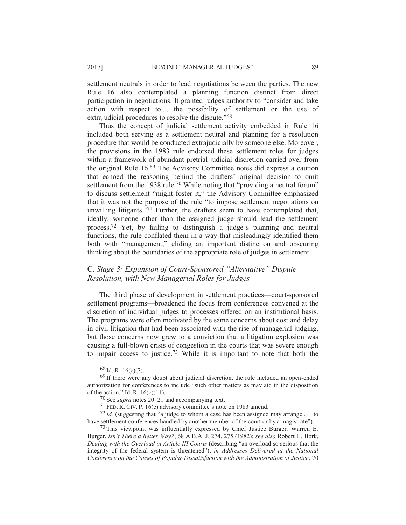settlement neutrals in order to lead negotiations between the parties. The new Rule 16 also contemplated a planning function distinct from direct participation in negotiations. It granted judges authority to "consider and take action with respect to . . . the possibility of settlement or the use of extrajudicial procedures to resolve the dispute."<sup>68</sup>

Thus the concept of judicial settlement activity embedded in Rule 16 included both serving as a settlement neutral and planning for a resolution procedure that would be conducted extrajudicially by someone else. Moreover, the provisions in the 1983 rule endorsed these settlement roles for judges within a framework of abundant pretrial judicial discretion carried over from the original Rule 16.69 The Advisory Committee notes did express a caution that echoed the reasoning behind the drafters' original decision to omit settlement from the 1938 rule.<sup>70</sup> While noting that "providing a neutral forum" to discuss settlement "might foster it," the Advisory Committee emphasized that it was not the purpose of the rule "to impose settlement negotiations on unwilling litigants."71 Further, the drafters seem to have contemplated that, ideally, someone other than the assigned judge should lead the settlement process.72 Yet, by failing to distinguish a judge's planning and neutral functions, the rule conflated them in a way that misleadingly identified them both with "management," eliding an important distinction and obscuring thinking about the boundaries of the appropriate role of judges in settlement.

# C. *Stage 3: Expansion of Court-Sponsored "Alternative" Dispute Resolution, with New Managerial Roles for Judges*

The third phase of development in settlement practices—court-sponsored settlement programs—broadened the focus from conferences convened at the discretion of individual judges to processes offered on an institutional basis. The programs were often motivated by the same concerns about cost and delay in civil litigation that had been associated with the rise of managerial judging, but those concerns now grew to a conviction that a litigation explosion was causing a full-blown crisis of congestion in the courts that was severe enough to impair access to justice.73 While it is important to note that both the

 $72$  *Id.* (suggesting that "a judge to whom a case has been assigned may arrange ... to have settlement conferences handled by another member of the court or by a magistrate").

 $^{73}$  This viewpoint was influentially expressed by Chief Justice Burger. Warren E. Burger, *Isn't There a Better Way?*, 68 A.B.A. J. 274, 275 (1982); *see also* Robert H. Bork, *Dealing with the Overload in Article III Courts* (describing "an overload so serious that the integrity of the federal system is threatened"), *in Addresses Delivered at the National Conference on the Causes of Popular Dissatisfaction with the Administration of Justice*, 70

 $68$  Id. R. 16(c)(7).

<sup>69</sup> If there were any doubt about judicial discretion, the rule included an open-ended authorization for conferences to include "such other matters as may aid in the disposition of the action." Id. R. 16(c)(11).

<sup>70</sup> See *supra* notes 20–21 and accompanying text.

<sup>71</sup> FED. R. CIV. P. 16(c) advisory committee's note on 1983 amend.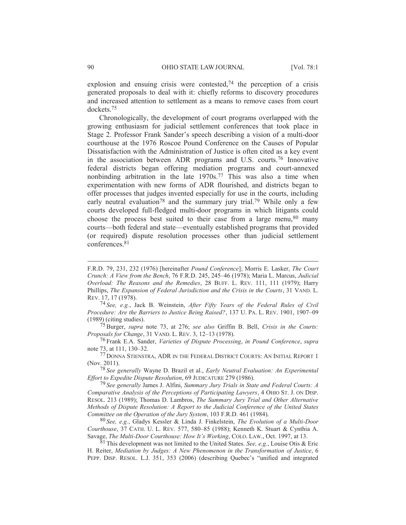explosion and ensuing crisis were contested,<sup>74</sup> the perception of a crisis generated proposals to deal with it: chiefly reforms to discovery procedures and increased attention to settlement as a means to remove cases from court dockets.75

Chronologically, the development of court programs overlapped with the growing enthusiasm for judicial settlement conferences that took place in Stage 2. Professor Frank Sander's speech describing a vision of a multi-door courthouse at the 1976 Roscoe Pound Conference on the Causes of Popular Dissatisfaction with the Administration of Justice is often cited as a key event in the association between ADR programs and U.S. courts.76 Innovative federal districts began offering mediation programs and court-annexed nonbinding arbitration in the late  $1970s$ <sup>77</sup> This was also a time when experimentation with new forms of ADR flourished, and districts began to offer processes that judges invented especially for use in the courts, including early neutral evaluation<sup>78</sup> and the summary jury trial.<sup>79</sup> While only a few courts developed full-fledged multi-door programs in which litigants could choose the process best suited to their case from a large menu,  $80$  many courts—both federal and state—eventually established programs that provided (or required) dispute resolution processes other than judicial settlement conferences.81

74 *See, e.g.*, Jack B. Weinstein, *After Fifty Years of the Federal Rules of Civil Procedure: Are the Barriers to Justice Being Raised?*, 137 U. PA. L. REV. 1901, 1907–09 (1989) (citing studies).

75Burger, *supra* note 73, at 276; *see also* Griffin B. Bell, *Crisis in the Courts: Proposals for Change*, 31 VAND. L. REV. 3, 12–13 (1978).

76 Frank E.A. Sander, *Varieties of Dispute Processing*, *in Pound Conference*, *supra* note 73, at 111, 130–32.

77 DONNA STIENSTRA, ADR IN THE FEDERAL DISTRICT COURTS: AN INITIAL REPORT 1 (Nov. 2011).

78 *See generally* Wayne D. Brazil et al., *Early Neutral Evaluation: An Experimental Effort to Expedite Dispute Resolution*, 69 JUDICATURE 279 (1986).

79 *See generally* James J. Alfini, *Summary Jury Trials in State and Federal Courts: A Comparative Analysis of the Perceptions of Participating Lawyers*,4OHIO ST. J. ON DISP. RESOL. 213 (1989); Thomas D. Lambros, *The Summary Jury Trial and Other Alternative Methods of Dispute Resolution: A Report to the Judicial Conference of the United States Committee on the Operation of the Jury System*, 103 F.R.D. 461 (1984).

80 *See, e.g.*, Gladys Kessler & Linda J. Finkelstein, *The Evolution of a Multi-Door Courthouse*, 37 CATH. U. L. REV. 577, 580–85 (1988); Kenneth K. Stuart & Cynthia A. Savage, *The Multi-Door Courthouse: How It's Working*, COLO. LAW., Oct. 1997, at 13.

81 This development was not limited to the United States. *See, e.g.*, Louise Otis & Eric H. Reiter, *Mediation by Judges: A New Phenomenon in the Transformation of Justice*, 6 PEPP. DISP. RESOL. L.J. 351, 353 (2006) (describing Quebec's "unified and integrated

F.R.D. 79, 231, 232 (1976) [hereinafter *Pound Conference*]; Morris E. Lasker, *The Court Crunch: A View from the Bench*, 76 F.R.D. 245, 245–46 (1978); Maria L. Marcus, *Judicial Overload: The Reasons and the Remedies*, 28 BUFF. L. REV. 111, 111 (1979); Harry Phillips, *The Expansion of Federal Jurisdiction and the Crisis in the Courts*, 31 VAND. L. REV. 17, 17 (1978).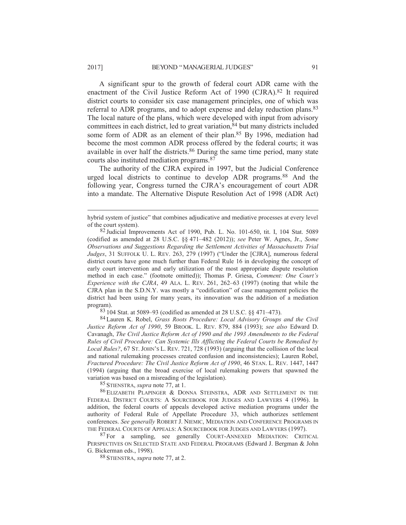A significant spur to the growth of federal court ADR came with the enactment of the Civil Justice Reform Act of 1990 (CJRA).82 It required district courts to consider six case management principles, one of which was referral to ADR programs, and to adopt expense and delay reduction plans.83 The local nature of the plans, which were developed with input from advisory committees in each district, led to great variation, <sup>84</sup> but many districts included some form of ADR as an element of their plan.<sup>85</sup> By 1996, mediation had become the most common ADR process offered by the federal courts; it was available in over half the districts.86 During the same time period, many state courts also instituted mediation programs.87

The authority of the CJRA expired in 1997, but the Judicial Conference urged local districts to continue to develop ADR programs.88 And the following year, Congress turned the CJRA's encouragement of court ADR into a mandate. The Alternative Dispute Resolution Act of 1998 (ADR Act)

83 104 Stat. at 5089–93 (codified as amended at 28 U.S.C. §§ 471–473).

84 Lauren K. Robel, *Grass Roots Procedure: Local Advisory Groups and the Civil Justice Reform Act of 1990*, 59 BROOK. L. REV. 879, 884 (1993); *see also* Edward D. Cavanagh, *The Civil Justice Reform Act of 1990 and the 1993 Amendments to the Federal Rules of Civil Procedure: Can Systemic Ills Afflicting the Federal Courts be Remedied by Local Rules?*, 67 ST. JOHN'S L. REV. 721, 728 (1993) (arguing that the collision of the local and national rulemaking processes created confusion and inconsistencies); Lauren Robel, *Fractured Procedure: The Civil Justice Reform Act of 1990*, 46 STAN. L. REV. 1447, 1447 (1994) (arguing that the broad exercise of local rulemaking powers that spawned the variation was based on a misreading of the legislation).

85 STIENSTRA, *supra* note 77, at 1.

86 ELIZABETH PLAPINGER & DONNA STEINSTRA, ADR AND SETTLEMENT IN THE FEDERAL DISTRICT COURTS: A SOURCEBOOK FOR JUDGES AND LAWYERS 4 (1996). In addition, the federal courts of appeals developed active mediation programs under the authority of Federal Rule of Appellate Procedure 33, which authorizes settlement conferences. *See generally* ROBERT J. NIEMIC, MEDIATION AND CONFERENCE PROGRAMS IN THE FEDERAL COURTS OF APPEALS: A SOURCEBOOK FOR JUDGES AND LAWYERS (1997).

<sup>87</sup> For a sampling, see generally COURT-ANNEXED MEDIATION: CRITICAL PERSPECTIVES ON SELECTED STATE AND FEDERAL PROGRAMS (Edward J. Bergman & John G. Bickerman eds., 1998).

88 STIENSTRA, *supra* note 77, at 2.

hybrid system of justice" that combines adjudicative and mediative processes at every level of the court system).

<sup>82</sup> Judicial Improvements Act of 1990, Pub. L. No. 101-650, tit. I, 104 Stat. 5089 (codified as amended at 28 U.S.C. §§ 471–482 (2012)); *see* Peter W. Agnes, Jr., *Some Observations and Suggestions Regarding the Settlement Activities of Massachusetts Trial Judges*, 31 SUFFOLK U. L. REV. 263, 279 (1997) ("Under the [CJRA], numerous federal district courts have gone much further than Federal Rule 16 in developing the concept of early court intervention and early utilization of the most appropriate dispute resolution method in each case." (footnote omitted)); Thomas P. Griesa, *Comment: One Court's Experience with the CJRA*, 49 ALA. L. REV. 261, 262–63 (1997) (noting that while the CJRA plan in the S.D.N.Y. was mostly a "codification" of case management policies the district had been using for many years, its innovation was the addition of a mediation program).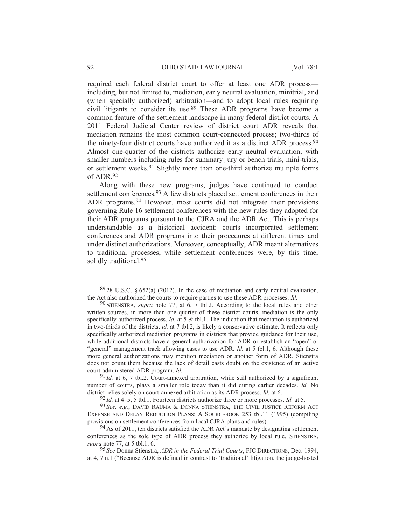required each federal district court to offer at least one ADR process including, but not limited to, mediation, early neutral evaluation, minitrial, and (when specially authorized) arbitration—and to adopt local rules requiring civil litigants to consider its use.89 These ADR programs have become a common feature of the settlement landscape in many federal district courts. A 2011 Federal Judicial Center review of district court ADR reveals that mediation remains the most common court-connected process; two-thirds of the ninety-four district courts have authorized it as a distinct ADR process.<sup>90</sup> Almost one-quarter of the districts authorize early neutral evaluation, with smaller numbers including rules for summary jury or bench trials, mini-trials, or settlement weeks.91 Slightly more than one-third authorize multiple forms of  $ADR$ <sup>92</sup>

Along with these new programs, judges have continued to conduct settlement conferences.<sup>93</sup> A few districts placed settlement conferences in their ADR programs.<sup>94</sup> However, most courts did not integrate their provisions governing Rule 16 settlement conferences with the new rules they adopted for their ADR programs pursuant to the CJRA and the ADR Act. This is perhaps understandable as a historical accident: courts incorporated settlement conferences and ADR programs into their procedures at different times and under distinct authorizations. Moreover, conceptually, ADR meant alternatives to traditional processes, while settlement conferences were, by this time, solidly traditional.<sup>95</sup>

91 *Id.* at 6, 7 tbl.2. Court-annexed arbitration, while still authorized by a significant number of courts, plays a smaller role today than it did during earlier decades. *Id.* No district relies solely on court-annexed arbitration as its ADR process. *Id.* at 6.

92 *Id.* at 4–5, 5 tbl.1. Fourteen districts authorize three or more processes. *Id.* at 5.

93 *See, e.g.*, DAVID RAUMA & DONNA STIENSTRA, THE CIVIL JUSTICE REFORM ACT EXPENSE AND DELAY REDUCTION PLANS: A SOURCEBOOK 253 tbl.11 (1995) (compiling provisions on settlement conferences from local CJRA plans and rules).

 $8928$  U.S.C.  $\frac{652(a)}{2012}$ . In the case of mediation and early neutral evaluation, the Act also authorized the courts to require parties to use these ADR processes. *Id.*

<sup>90</sup> STIENSTRA, *supra* note 77, at 6, 7 tbl.2. According to the local rules and other written sources, in more than one-quarter of these district courts, mediation is the only specifically-authorized process. *Id.* at 5 & tbl.1. The indication that mediation is authorized in two-thirds of the districts, *id.* at 7 tbl.2, is likely a conservative estimate. It reflects only specifically authorized mediation programs in districts that provide guidance for their use, while additional districts have a general authorization for ADR or establish an "open" or "general" management track allowing cases to use ADR. *Id.* at 5 tbl.1, 6*.* Although these more general authorizations may mention mediation or another form of ADR, Stienstra does not count them because the lack of detail casts doubt on the existence of an active court-administered ADR program. *Id.*

<sup>&</sup>lt;sup>94</sup> As of 2011, ten districts satisfied the ADR Act's mandate by designating settlement conferences as the sole type of ADR process they authorize by local rule. STIENSTRA, *supra* note 77, at 5 tbl.1, 6.

<sup>95</sup> *See* Donna Stienstra, *ADR in the Federal Trial Courts*, FJC DIRECTIONS, Dec. 1994, at 4, 7 n.1 ("Because ADR is defined in contrast to 'traditional' litigation, the judge-hosted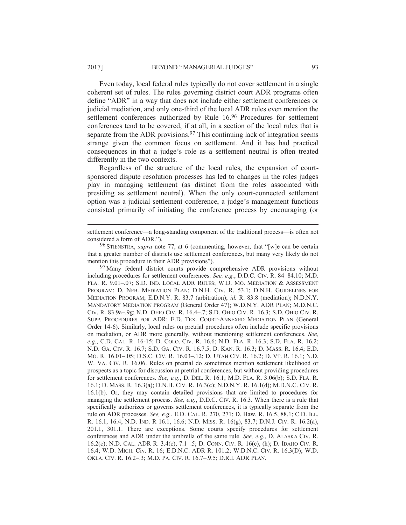Even today, local federal rules typically do not cover settlement in a single coherent set of rules. The rules governing district court ADR programs often define "ADR" in a way that does not include either settlement conferences or judicial mediation, and only one-third of the local ADR rules even mention the settlement conferences authorized by Rule 16.96 Procedures for settlement conferences tend to be covered, if at all, in a section of the local rules that is separate from the ADR provisions.<sup>97</sup> This continuing lack of integration seems strange given the common focus on settlement. And it has had practical consequences in that a judge's role as a settlement neutral is often treated differently in the two contexts.

Regardless of the structure of the local rules, the expansion of courtsponsored dispute resolution processes has led to changes in the roles judges play in managing settlement (as distinct from the roles associated with presiding as settlement neutral). When the only court-connected settlement option was a judicial settlement conference, a judge's management functions consisted primarily of initiating the conference process by encouraging (or

<sup>97</sup> Many federal district courts provide comprehensive ADR provisions without including procedures for settlement conferences. *See, e.g.*, D.D.C. CIV. R. 84–84.10; M.D. FLA. R. 9.01–.07; S.D. IND. LOCAL ADR RULES; W.D. MO. MEDIATION & ASSESSMENT PROGRAM; D. NEB. MEDIATION PLAN; D.N.H. CIV. R. 53.1; D.N.H. GUIDELINES FOR MEDIATION PROGRAM; E.D.N.Y. R. 83.7 (arbitration); *id.* R. 83.8 (mediation); N.D.N.Y. MANDATORY MEDIATION PROGRAM (General Order 47); W.D.N.Y. ADR PLAN; M.D.N.C. CIV. R. 83.9a–.9g; N.D. OHIO CIV. R. 16.4–.7; S.D. OHIO CIV. R. 16.3; S.D. OHIO CIV. R. SUPP. PROCEDURES FOR ADR; E.D. TEX. COURT-ANNEXED MEDIATION PLAN (General Order 14-6). Similarly, local rules on pretrial procedures often include specific provisions on mediation, or ADR more generally, without mentioning settlement conferences. *See, e.g.*, C.D. CAL. R. 16-15; D. COLO. CIV. R. 16.6; N.D. FLA. R. 16.3; S.D. FLA. R. 16.2; N.D. GA. CIV. R. 16.7; S.D. GA. CIV. R. 16.7.5; D. KAN. R. 16.3; D. MASS. R. 16.4; E.D. MO. R. 16.01–.05; D.S.C. CIV. R. 16.03–.12; D. UTAH CIV. R. 16.2; D. VT. R. 16.1; N.D. W. VA. CIV. R. 16.06. Rules on pretrial do sometimes mention settlement likelihood or prospects as a topic for discussion at pretrial conferences, but without providing procedures for settlement conferences. *See, e.g.*, D. DEL. R. 16.1; M.D. FLA. R. 3.06(b); S.D. FLA. R. 16.1; D. MASS. R. 16.3(a); D.N.H. CIV. R. 16.3(c); N.D.N.Y. R. 16.1(d); M.D.N.C. CIV. R. 16.1(b). Or, they may contain detailed provisions that are limited to procedures for managing the settlement process. *See, e.g.*, D.D.C. CIV. R. 16.3. When there is a rule that specifically authorizes or governs settlement conferences, it is typically separate from the rule on ADR processes. *See, e.g.*, E.D. CAL. R. 270, 271; D. Haw. R. 16.5, 88.1; C.D. ILL. R. 16.1, 16.4; N.D. IND. R 16.1, 16.6; N.D. MISS. R. 16(g), 83.7; D.N.J. CIV. R. 16.2(a), 201.1, 301.1. There are exceptions. Some courts specify procedures for settlement conferences and ADR under the umbrella of the same rule. *See, e.g.*, D. ALASKA CIV. R. 16.2(c); N.D. CAL. ADR R. 3.4(c), 7.1–.5; D. CONN. CIV. R. 16(c), (h); D. IDAHO CIV. R. 16.4; W.D. MICH. Civ. R. 16; E.D.N.C. ADR R. 101.2; W.D.N.C. CIV. R. 16.3(D); W.D. OKLA. CIV. R. 16.2–.3; M.D. PA. CIV. R. 16.7–.9.5; D.R.I. ADR PLAN.

settlement conference—a long-standing component of the traditional process—is often not considered a form of ADR.").

<sup>96</sup> STIENSTRA, *supra* note 77, at 6 (commenting, however, that "[w]e can be certain that a greater number of districts use settlement conferences, but many very likely do not mention this procedure in their ADR provisions").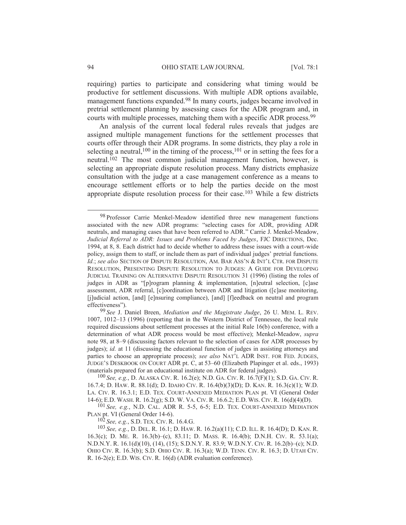requiring) parties to participate and considering what timing would be productive for settlement discussions. With multiple ADR options available, management functions expanded.98 In many courts, judges became involved in pretrial settlement planning by assessing cases for the ADR program and, in courts with multiple processes, matching them with a specific ADR process.<sup>99</sup>

An analysis of the current local federal rules reveals that judges are assigned multiple management functions for the settlement processes that courts offer through their ADR programs. In some districts, they play a role in selecting a neutral,<sup>100</sup> in the timing of the process,<sup>101</sup> or in setting the fees for a neutral.102 The most common judicial management function, however, is selecting an appropriate dispute resolution process. Many districts emphasize consultation with the judge at a case management conference as a means to encourage settlement efforts or to help the parties decide on the most appropriate dispute resolution process for their case.103 While a few districts

99 *See* J. Daniel Breen, *Mediation and the Magistrate Judge*, 26 U. MEM. L. REV. 1007, 1012–13 (1996) (reporting that in the Western District of Tennessee, the local rule required discussions about settlement processes at the initial Rule 16(b) conference, with a determination of what ADR process would be most effective); Menkel-Meadow, *supra* note 98, at 8–9 (discussing factors relevant to the selection of cases for ADR processes by judges); *id.* at 11 (discussing the educational function of judges in assisting attorneys and parties to choose an appropriate process); *see also* NAT'L ADR INST. FOR FED. JUDGES, JUDGE'S DESKBOOK ON COURT ADR pt. C, at 53–60 (Elizabeth Plapinger et al. eds., 1993) (materials prepared for an educational institute on ADR for federal judges).

100 *See, e.g.*, D. ALASKA CIV. R. 16.2(e); N.D. GA. CIV. R. 16.7(F)(1); S.D. GA. CIV. R. 16.7.4; D. HAW. R. 88.1(d); D. IDAHO CIV. R. 16.4(b)(3)(D); D. KAN. R. 16.3(c)(1); W.D. LA. CIV. R. 16.3.1; E.D. TEX. COURT-ANNEXED MEDIATION PLAN pt. VI (General Order 14-6); E.D. WASH. R. 16.2(g); S.D. W. VA. CIV. R. 16.6.2; E.D. WIS. CIV. R. 16(d)(4)(D).

101 *See, e.g.*, N.D. CAL. ADR R. 5-5, 6-5; E.D. TEX. COURT-ANNEXED MEDIATION PLAN pt. VI (General Order 14-6).

102 *See, e.g.*, S.D. TEX. CIV. R. 16.4.G.

103 *See, e.g.*, D. DEL. R. 16.1; D. HAW. R. 16.2(a)(11); C.D. ILL. R. 16.4(D); D. KAN. R. 16.3(c); D. ME. R. 16.3(b)–(c), 83.11; D. MASS. R. 16.4(b); D.N.H. CIV. R. 53.1(a); N.D.N.Y. R. 16.1(d)(10), (14), (15); S.D.N.Y. R. 83.9; W.D.N.Y. CIV. R. 16.2(b)–(c); N.D. OHIO CIV. R. 16.3(b); S.D. OHIO CIV. R. 16.3(a); W.D. TENN. CIV. R. 16.3; D. UTAH CIV. R. 16-2(e); E.D. WIS. CIV. R. 16(d) (ADR evaluation conference).

<sup>98</sup> Professor Carrie Menkel-Meadow identified three new management functions associated with the new ADR programs: "selecting cases for ADR, providing ADR neutrals, and managing cases that have been referred to ADR." Carrie J. Menkel-Meadow, *Judicial Referral to ADR: Issues and Problems Faced by Judges*, FJC DIRECTIONS, Dec. 1994, at 8, 8. Each district had to decide whether to address these issues with a court-wide policy, assign them to staff, or include them as part of individual judges' pretrial functions. *Id.*; see also SECTION OF DISPUTE RESOLUTION, AM. BAR ASS'N & INT'L CTR. FOR DISPUTE RESOLUTION, PRESENTING DISPUTE RESOLUTION TO JUDGES: A GUIDE FOR DEVELOPING JUDICIAL TRAINING ON ALTERNATIVE DISPUTE RESOLUTION 31 (1996) (listing the roles of judges in ADR as "[p]rogram planning & implementation, [n]eutral selection, [c]ase assessment, ADR referral, [c]oordination between ADR and litigation ([c]ase monitoring, [j]udicial action, [and] [e]nsuring compliance), [and] [f]eedback on neutral and program effectiveness").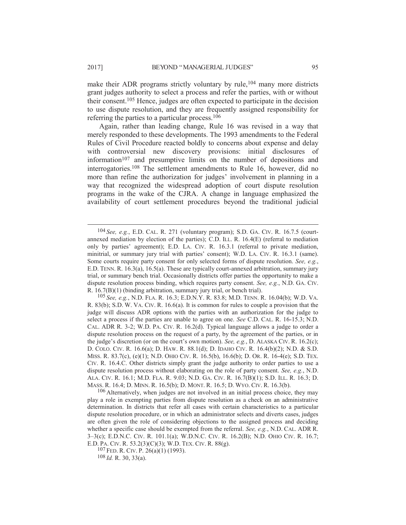make their ADR programs strictly voluntary by rule,<sup>104</sup> many more districts grant judges authority to select a process and refer the parties, with or without their consent.105 Hence, judges are often expected to participate in the decision to use dispute resolution, and they are frequently assigned responsibility for referring the parties to a particular process.106

Again, rather than leading change, Rule 16 was revised in a way that merely responded to these developments. The 1993 amendments to the Federal Rules of Civil Procedure reacted boldly to concerns about expense and delay with controversial new discovery provisions: initial disclosures of information $107$  and presumptive limits on the number of depositions and interrogatories.108 The settlement amendments to Rule 16, however, did no more than refine the authorization for judges' involvement in planning in a way that recognized the widespread adoption of court dispute resolution programs in the wake of the CJRA. A change in language emphasized the availability of court settlement procedures beyond the traditional judicial

 <sup>104</sup> *See, e.g.*, E.D. CAL. R. 271 (voluntary program); S.D. GA. CIV. R. 16.7.5 (courtannexed mediation by election of the parties); C.D. ILL. R. 16.4(E) (referral to mediation only by parties' agreement); E.D. LA. CIV. R. 16.3.1 (referral to private mediation, minitrial, or summary jury trial with parties' consent); W.D. LA. CIV. R. 16.3.1 (same). Some courts require party consent for only selected forms of dispute resolution. *See, e.g.*, E.D. TENN. R. 16.3(a), 16.5(a). These are typically court-annexed arbitration, summary jury trial, or summary bench trial. Occasionally districts offer parties the opportunity to make a dispute resolution process binding, which requires party consent. *See, e.g.*, N.D. GA. CIV. R. 16.7(B)(1) (binding arbitration, summary jury trial, or bench trial).

<sup>105</sup> *See, e.g.*, N.D. FLA. R. 16.3; E.D.N.Y. R. 83.8; M.D. TENN. R. 16.04(b); W.D. VA. R. 83(b); S.D. W. VA. CIV. R. 16.6(a). It is common for rules to couple a provision that the judge will discuss ADR options with the parties with an authorization for the judge to select a process if the parties are unable to agree on one. *See* C.D. CAL. R. 16-15.3; N.D. CAL. ADR R. 3-2; W.D. PA. CIV. R. 16.2(d). Typical language allows a judge to order a dispute resolution process on the request of a party, by the agreement of the parties, or in the judge's discretion (or on the court's own motion). *See, e.g.*, D. ALASKA CIV. R. 16.2(c); D. COLO. CIV. R. 16.6(a); D. HAW. R. 88.1(d); D. IDAHO CIV. R. 16.4(b)(2); N.D. & S.D. MISS. R. 83.7(c), (e)(1); N.D. OHIO CIV. R. 16.5(b), 16.6(b); D. OR. R. 16-4(e); S.D. TEX. CIV. R. 16.4.C. Other districts simply grant the judge authority to order parties to use a dispute resolution process without elaborating on the role of party consent. *See, e.g.*, N.D. ALA. CIV. R. 16.1; M.D. FLA. R. 9.03; N.D. GA. CIV. R. 16.7(B)(1); S.D. ILL. R. 16.3; D. MASS. R. 16.4; D. MINN. R. 16.5(b); D. MONT. R. 16.5; D. WYO. CIV. R. 16.3(b).

<sup>&</sup>lt;sup>106</sup> Alternatively, when judges are not involved in an initial process choice, they may play a role in exempting parties from dispute resolution as a check on an administrative determination. In districts that refer all cases with certain characteristics to a particular dispute resolution procedure, or in which an administrator selects and diverts cases, judges are often given the role of considering objections to the assigned process and deciding whether a specific case should be exempted from the referral. *See, e.g.*, N.D. CAL. ADR R. 3–3(c); E.D.N.C. CIV. R. 101.1(a); W.D.N.C. CIV. R. 16.2(B); N.D. OHIO CIV. R. 16.7; E.D. PA. CIV. R. 53.2(3)(C)(3); W.D. TEX. CIV. R. 88(g).

 $107$  FED. R. CIV. P.  $26(a)(1)$  (1993).

<sup>108</sup> *Id.* R. 30, 33(a).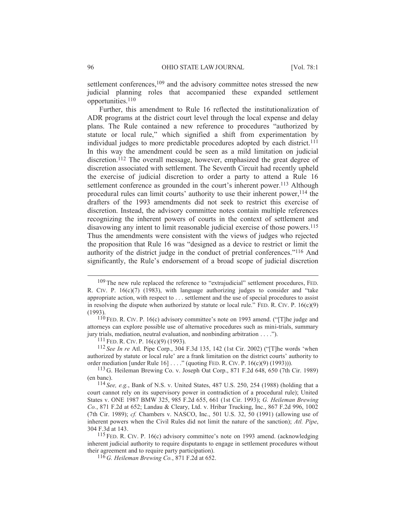settlement conferences,<sup>109</sup> and the advisory committee notes stressed the new judicial planning roles that accompanied these expanded settlement opportunities.110

Further, this amendment to Rule 16 reflected the institutionalization of ADR programs at the district court level through the local expense and delay plans. The Rule contained a new reference to procedures "authorized by statute or local rule," which signified a shift from experimentation by individual judges to more predictable procedures adopted by each district.<sup>111</sup> In this way the amendment could be seen as a mild limitation on judicial discretion.112 The overall message, however, emphasized the great degree of discretion associated with settlement. The Seventh Circuit had recently upheld the exercise of judicial discretion to order a party to attend a Rule 16 settlement conference as grounded in the court's inherent power.<sup>113</sup> Although procedural rules can limit courts' authority to use their inherent power,<sup>114</sup> the drafters of the 1993 amendments did not seek to restrict this exercise of discretion. Instead, the advisory committee notes contain multiple references recognizing the inherent powers of courts in the context of settlement and disavowing any intent to limit reasonable judicial exercise of those powers.115 Thus the amendments were consistent with the views of judges who rejected the proposition that Rule 16 was "designed as a device to restrict or limit the authority of the district judge in the conduct of pretrial conferences."116 And significantly, the Rule's endorsement of a broad scope of judicial discretion

<sup>&</sup>lt;sup>109</sup> The new rule replaced the reference to "extrajudicial" settlement procedures, FED. R. CIV. P.  $16(c)(7)$  (1983), with language authorizing judges to consider and "take appropriate action, with respect to . . . settlement and the use of special procedures to assist in resolving the dispute when authorized by statute or local rule." FED. R. CIV. P.  $16(c)(9)$ (1993).

 $110$  FED. R. CIV. P. 16(c) advisory committee's note on 1993 amend. ("The judge and attorneys can explore possible use of alternative procedures such as mini-trials, summary jury trials, mediation, neutral evaluation, and nonbinding arbitration . . . .").

 $111$  FED. R. CIV. P. 16(c)(9) (1993).

<sup>112</sup> *See In re* Atl. Pipe Corp., 304 F.3d 135, 142 (1st Cir. 2002) ("[T]he words 'when authorized by statute or local rule' are a frank limitation on the district courts' authority to order mediation [under Rule 16] . . . ." (quoting FED. R. CIV. P. 16(c)(9) (1993))).

<sup>113</sup> G. Heileman Brewing Co. v. Joseph Oat Corp., 871 F.2d 648, 650 (7th Cir. 1989) (en banc).

<sup>114</sup> *See, e.g.*, Bank of N.S. v. United States, 487 U.S. 250, 254 (1988) (holding that a court cannot rely on its supervisory power in contradiction of a procedural rule); United States v. ONE 1987 BMW 325, 985 F.2d 655, 661 (1st Cir. 1993); *G. Heileman Brewing Co.*, 871 F.2d at 652; Landau & Cleary, Ltd. v. Hribar Trucking, Inc., 867 F.2d 996, 1002 (7th Cir. 1989); *cf.* Chambers v. NASCO, Inc., 501 U.S. 32, 50 (1991) (allowing use of inherent powers when the Civil Rules did not limit the nature of the sanction); *Atl. Pipe*, 304 F.3d at 143.

<sup>115</sup> FED. R. CIV. P. 16(c) advisory committee's note on 1993 amend. (acknowledging inherent judicial authority to require disputants to engage in settlement procedures without their agreement and to require party participation).

<sup>116</sup> *G. Heileman Brewing Co.*, 871 F.2d at 652.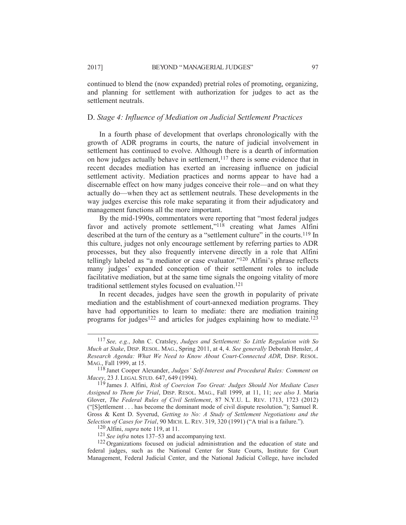continued to blend the (now expanded) pretrial roles of promoting, organizing, and planning for settlement with authorization for judges to act as the settlement neutrals.

### D. *Stage 4: Influence of Mediation on Judicial Settlement Practices*

In a fourth phase of development that overlaps chronologically with the growth of ADR programs in courts, the nature of judicial involvement in settlement has continued to evolve. Although there is a dearth of information on how judges actually behave in settlement,<sup>117</sup> there is some evidence that in recent decades mediation has exerted an increasing influence on judicial settlement activity. Mediation practices and norms appear to have had a discernable effect on how many judges conceive their role—and on what they actually do—when they act as settlement neutrals. These developments in the way judges exercise this role make separating it from their adjudicatory and management functions all the more important.

By the mid-1990s, commentators were reporting that "most federal judges favor and actively promote settlement,"<sup>118</sup> creating what James Alfini described at the turn of the century as a "settlement culture" in the courts.119 In this culture, judges not only encourage settlement by referring parties to ADR processes, but they also frequently intervene directly in a role that Alfini tellingly labeled as "a mediator or case evaluator."120 Alfini's phrase reflects many judges' expanded conception of their settlement roles to include facilitative mediation, but at the same time signals the ongoing vitality of more traditional settlement styles focused on evaluation.121

In recent decades, judges have seen the growth in popularity of private mediation and the establishment of court-annexed mediation programs. They have had opportunities to learn to mediate: there are mediation training programs for judges<sup>122</sup> and articles for judges explaining how to mediate.<sup>123</sup>

 <sup>117</sup> *See, e.g.*, John C. Cratsley, *Judges and Settlement: So Little Regulation with So Much at Stake*, DISP. RESOL. MAG., Spring 2011, at 4, 4. *See generally* Deborah Hensler, *A Research Agenda: What We Need to Know About Court-Connected ADR*, DISP. RESOL. MAG., Fall 1999, at 15.

<sup>118</sup> Janet Cooper Alexander, *Judges' Self-Interest and Procedural Rules: Comment on Macey*, 23 J. LEGAL STUD. 647, 649 (1994).

<sup>119</sup> James J. Alfini, *Risk of Coercion Too Great: Judges Should Not Mediate Cases Assigned to Them for Trial*, DISP. RESOL. MAG., Fall 1999, at 11, 11; *see also* J. Maria Glover, *The Federal Rules of Civil Settlement*, 87 N.Y.U. L. REV. 1713, 1723 (2012) ("[S]ettlement ... has become the dominant mode of civil dispute resolution."); Samuel R. Gross & Kent D. Syverud, *Getting to No: A Study of Settlement Negotiations and the Selection of Cases for Trial*, 90 MICH. L. REV. 319, 320 (1991) ("A trial is a failure.").

<sup>120</sup> Alfini, *supra* note 119, at 11.

<sup>121</sup> *See infra* notes 137–53 and accompanying text.

<sup>122</sup> Organizations focused on judicial administration and the education of state and federal judges, such as the National Center for State Courts, Institute for Court Management, Federal Judicial Center, and the National Judicial College, have included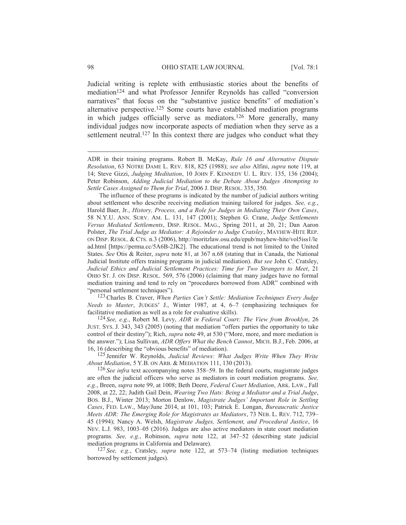Judicial writing is replete with enthusiastic stories about the benefits of mediation124 and what Professor Jennifer Reynolds has called "conversion narratives" that focus on the "substantive justice benefits" of mediation's alternative perspective.125 Some courts have established mediation programs in which judges officially serve as mediators.126 More generally, many individual judges now incorporate aspects of mediation when they serve as a settlement neutral.<sup>127</sup> In this context there are judges who conduct what they

The influence of these programs is indicated by the number of judicial authors writing about settlement who describe receiving mediation training tailored for judges. *See, e.g.*, Harold Baer, Jr., *History, Process, and a Role for Judges in Mediating Their Own Cases*, 58 N.Y.U. ANN. SURV. AM. L. 131, 147 (2001); Stephen G. Crane, *Judge Settlements Versus Mediated Settlements*, DISP. RESOL. MAG., Spring 2011, at 20, 21; Dan Aaron Polster, *The Trial Judge as Mediator: A Rejoinder to Judge Cratsley*, MAYHEW-HITE REP. ON DISP. RESOL.&CTS. n.3 (2006), http://moritzlaw.osu.edu/epub/mayhew-hite/vol5iss1/le ad.html [https://perma.cc/5A6B-2JK2]. The educational trend is not limited to the United States. *See* Otis & Reiter, *supra* note 81, at 367 n.68 (stating that in Canada, the National Judicial Institute offers training programs in judicial mediation). *But see* John C. Cratsley, *Judicial Ethics and Judicial Settlement Practices: Time for Two Strangers to Meet*, 21 OHIO ST. J. ON DISP. RESOL. 569, 576 (2006) (claiming that many judges have no formal mediation training and tend to rely on "procedures borrowed from ADR" combined with "personal settlement techniques").

123Charles B. Craver, *When Parties Can't Settle: Mediation Techniques Every Judge Needs to Master*, JUDGES' J., Winter 1987, at 4, 6–7 (emphasizing techniques for facilitative mediation as well as a role for evaluative skills).

124 *See, e.g.*, Robert M. Levy, *ADR in Federal Court: The View from Brooklyn*, 26 JUST. SYS. J. 343, 343 (2005) (noting that mediation "offers parties the opportunity to take control of their destiny"); Rich, *supra* note 49, at 530 ("More, more, and more mediation is the answer."); Lisa Sullivan, *ADR Offers What the Bench Cannot*, MICH. B.J., Feb. 2006, at 16, 16 (describing the "obvious benefits" of mediation).

125 Jennifer W. Reynolds, *Judicial Reviews: What Judges Write When They Write About Mediation*, 5 Y.B. ON ARB.&MEDIATION 111, 130 (2013).

126 *See infra* text accompanying notes 358–59. In the federal courts, magistrate judges are often the judicial officers who serve as mediators in court mediation programs. *See, e.g.*, Breen, *supra* note 99, at 1008; Beth Deere, *Federal Court Mediation*, ARK. LAW., Fall 2008, at 22, 22; Judith Gail Dein, *Wearing Two Hats: Being a Mediator and a Trial Judge*, BOS. B.J., Winter 2013; Morton Denlow, *Magistrate Judges' Important Role in Settling Cases*, FED. LAW., May/June 2014, at 101, 103; Patrick E. Longan, *Bureaucratic Justice Meets ADR: The Emerging Role for Magistrates as Mediators*, 73 NEB. L. REV. 712, 739– 45 (1994); Nancy A. Welsh, *Magistrate Judges, Settlement, and Procedural Justice*, 16 NEV. L.J. 983, 1003–05 (2016). Judges are also active mediators in state court mediation programs. *See, e.g.*, Robinson, *supra* note 122, at 347–52 (describing state judicial mediation programs in California and Delaware).

127 *See, e.g.*, Cratsley, *supra* note 122, at 573–74 (listing mediation techniques borrowed by settlement judges).

ADR in their training programs. Robert B. McKay, *Rule 16 and Alternative Dispute Resolution*, 63 NOTRE DAME L. REV. 818, 825 (1988); *see also* Alfini, *supra* note 119, at 14; Steve Gizzi, *Judging Meditation*, 10 JOHN F. KENNEDY U. L. REV. 135, 136 (2004); Peter Robinson, *Adding Judicial Mediation to the Debate About Judges Attempting to Settle Cases Assigned to Them for Trial*, 2006 J. DISP. RESOL. 335, 350.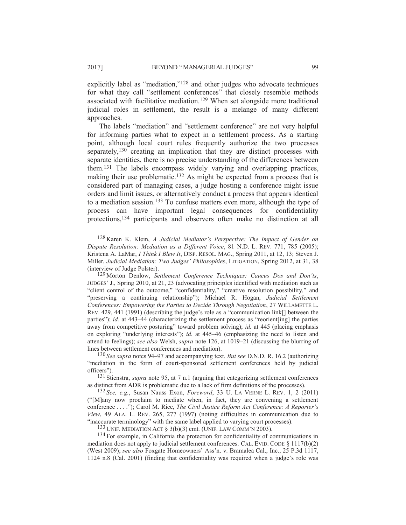explicitly label as "mediation,"128 and other judges who advocate techniques for what they call "settlement conferences" that closely resemble methods associated with facilitative mediation.129 When set alongside more traditional judicial roles in settlement, the result is a melange of many different approaches.

The labels "mediation" and "settlement conference" are not very helpful for informing parties what to expect in a settlement process. As a starting point, although local court rules frequently authorize the two processes separately,<sup>130</sup> creating an implication that they are distinct processes with separate identities, there is no precise understanding of the differences between them.131 The labels encompass widely varying and overlapping practices, making their use problematic.<sup>132</sup> As might be expected from a process that is considered part of managing cases, a judge hosting a conference might issue orders and limit issues, or alternatively conduct a process that appears identical to a mediation session.133 To confuse matters even more, although the type of process can have important legal consequences for confidentiality protections,134 participants and observers often make no distinction at all

as distinct from ADR is problematic due to a lack of firm definitions of the processes).

132 *See, e.g.*, Susan Nauss Exon, *Foreword*, 33 U. LA VERNE L. REV. 1, 2 (2011) ("[M]any now proclaim to mediate when, in fact, they are convening a settlement conference . . . ."); Carol M. Rice, *The Civil Justice Reform Act Conference: A Reporter's View*, 49 ALA. L. REV. 265, 277 (1997) (noting difficulties in communication due to "inaccurate terminology" with the same label applied to varying court processes).

<sup>133</sup> UNIF. MEDIATION ACT  $\S$  3(b)(3) cmt. (UNIF. LAW COMM'N 2003).

<sup>134</sup> For example, in California the protection for confidentiality of communications in mediation does not apply to judicial settlement conferences. CAL. EVID. CODE § 1117(b)(2) (West 2009); *see also* Foxgate Homeowners' Ass'n. v. Bramalea Cal., Inc., 25 P.3d 1117, 1124 n.8 (Cal. 2001) (finding that confidentiality was required when a judge's role was

 <sup>128</sup> Karen K. Klein, *A Judicial Mediator's Perspective: The Impact of Gender on Dispute Resolution: Mediation as a Different Voice*, 81 N.D. L. REV. 771, 785 (2005); Kristena A. LaMar, *I Think I Blew It*, DISP. RESOL. MAG., Spring 2011, at 12, 13; Steven J. Miller, *Judicial Mediation: Two Judges' Philosophies*, LITIGATION, Spring 2012, at 31, 38 (interview of Judge Polster).

<sup>129</sup> Morton Denlow, *Settlement Conference Techniques: Caucus Dos and Don'ts*, JUDGES' J., Spring 2010, at 21, 23 (advocating principles identified with mediation such as "client control of the outcome," "confidentiality," "creative resolution possibility," and "preserving a continuing relationship"); Michael R. Hogan, *Judicial Settlement Conferences: Empowering the Parties to Decide Through Negotiation*, 27 WILLAMETTE L. REV. 429, 441 (1991) (describing the judge's role as a "communication link[] between the parties"); *id.* at 443–44 (characterizing the settlement process as "reorient [ing] the parties away from competitive posturing" toward problem solving); *id.* at 445 (placing emphasis on exploring "underlying interests"); *id.* at 445–46 (emphasizing the need to listen and attend to feelings); *see also* Welsh, *supra* note 126, at 1019–21 (discussing the blurring of lines between settlement conferences and mediation).

<sup>130</sup> *See supra* notes 94–97 and accompanying text. *But see* D.N.D. R. 16.2 (authorizing "mediation in the form of court-sponsored settlement conferences held by judicial officers"). <sup>131</sup> Stienstra, *supra* note 95, at 7 n.1 (arguing that categorizing settlement conferences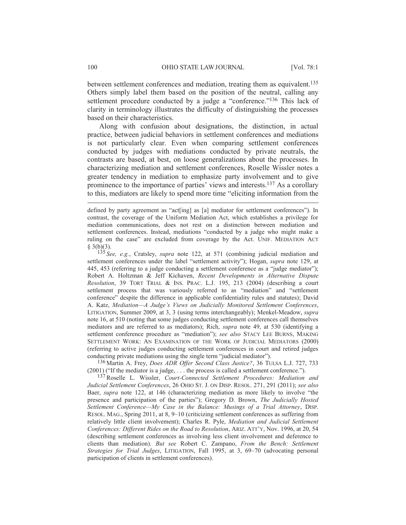between settlement conferences and mediation, treating them as equivalent.135 Others simply label them based on the position of the neutral, calling any settlement procedure conducted by a judge a "conference."<sup>136</sup> This lack of clarity in terminology illustrates the difficulty of distinguishing the processes based on their characteristics.

Along with confusion about designations, the distinction, in actual practice, between judicial behaviors in settlement conferences and mediations is not particularly clear. Even when comparing settlement conferences conducted by judges with mediations conducted by private neutrals, the contrasts are based, at best, on loose generalizations about the processes. In characterizing mediation and settlement conferences, Roselle Wissler notes a greater tendency in mediation to emphasize party involvement and to give prominence to the importance of parties' views and interests.137 As a corollary to this, mediators are likely to spend more time "eliciting information from the

135 *See, e.g.*, Cratsley, *supra* note 122, at 571 (combining judicial mediation and settlement conferences under the label "settlement activity"); Hogan, *supra* note 129, at 445, 453 (referring to a judge conducting a settlement conference as a "judge mediator"); Robert A. Holtzman & Jeff Kichaven, *Recent Developments in Alternative Dispute Resolution*, 39 TORT TRIAL & INS. PRAC. L.J. 195, 213 (2004) (describing a court settlement process that was variously referred to as "mediation" and "settlement conference" despite the difference in applicable confidentiality rules and statutes); David A. Katz, *Mediation—A Judge's Views on Judicially Monitored Settlement Conferences*, LITIGATION, Summer 2009, at 3, 3 (using terms interchangeably); Menkel-Meadow, *supra* note 16, at 510 (noting that some judges conducting settlement conferences call themselves mediators and are referred to as mediators); Rich, *supra* note 49, at 530 (identifying a settlement conference procedure as "mediation"); *see also* STACY LEE BURNS, MAKING SETTLEMENT WORK: AN EXAMINATION OF THE WORK OF JUDICIAL MEDIATORS (2000) (referring to active judges conducting settlement conferences in court and retired judges conducting private mediations using the single term "judicial mediator").

136 Martin A. Frey, *Does ADR Offer Second Class Justice?*, 36 TULSA L.J. 727, 733 (2001) ("If the mediator is a judge,... the process is called a settlement conference.").

137Roselle L. Wissler, *Court-Connected Settlement Procedures: Mediation and Judicial Settlement Conferences*, 26 OHIO ST. J. ON DISP. RESOL. 271, 291 (2011); *see also* Baer, *supra* note 122, at 146 (characterizing mediation as more likely to involve "the presence and participation of the parties"); Gregory D. Brown, *The Judicially Hosted Settlement Conference—My Case in the Balance: Musings of a Trial Attorney*, DISP. RESOL. MAG., Spring 2011, at 8, 9–10 (criticizing settlement conferences as suffering from relatively little client involvement); Charles R. Pyle, *Mediation and Judicial Settlement Conferences: Different Rides on the Road to Resolution*, ARIZ. ATT'Y, Nov. 1996, at 20, 54 (describing settlement conferences as involving less client involvement and deference to clients than mediation). *But see* Robert C. Zampano, *From the Bench: Settlement Strategies for Trial Judges*, LITIGATION, Fall 1995, at 3, 69–70 (advocating personal participation of clients in settlement conferences).

defined by party agreement as "act[ing] as [a] mediator for settlement conferences"). In contrast, the coverage of the Uniform Mediation Act, which establishes a privilege for mediation communications, does not rest on a distinction between mediation and settlement conferences. Instead, mediations "conducted by a judge who might make a ruling on the case" are excluded from coverage by the Act. UNIF. MEDIATION ACT  $§$  3(b)(3).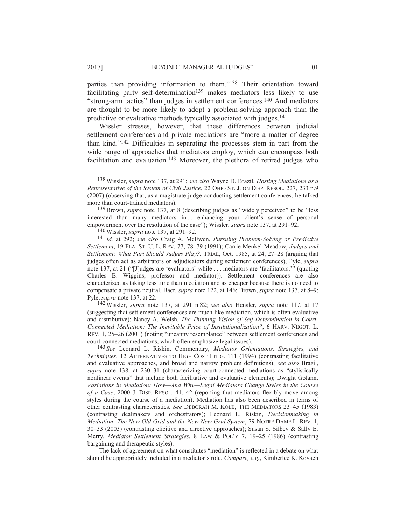parties than providing information to them."138 Their orientation toward facilitating party self-determination<sup>139</sup> makes mediators less likely to use "strong-arm tactics" than judges in settlement conferences.140 And mediators are thought to be more likely to adopt a problem-solving approach than the predictive or evaluative methods typically associated with judges.141

Wissler stresses, however, that these differences between judicial settlement conferences and private mediations are "more a matter of degree than kind."142 Difficulties in separating the processes stem in part from the wide range of approaches that mediators employ, which can encompass both facilitation and evaluation.<sup>143</sup> Moreover, the plethora of retired judges who

139Brown, *supra* note 137, at 8 (describing judges as "widely perceived" to be "less interested than many mediators in . . . enhancing your client's sense of personal empowerment over the resolution of the case"); Wissler, *supra* note 137, at 291–92.

140 Wissler, *supra* note 137, at 291–92.

141 *Id.* at 292; *see also* Craig A. McEwen, *Pursuing Problem-Solving or Predictive Settlement*, 19 FLA. ST. U. L. REV. 77, 78–79 (1991); Carrie Menkel-Meadow, *Judges and Settlement: What Part Should Judges Play?*, TRIAL, Oct. 1985, at 24, 27–28 (arguing that judges often act as arbitrators or adjudicators during settlement conferences); Pyle, *supra* note 137, at 21 ("[J]udges are 'evaluators' while . . . mediators are 'facilitators.'" (quoting Charles B. Wiggins, professor and mediator)). Settlement conferences are also characterized as taking less time than mediation and as cheaper because there is no need to compensate a private neutral. Baer, *supra* note 122, at 146; Brown, *supra* note 137, at 8–9; Pyle, *supra* note 137, at 22.

142 Wissler, *supra* note 137, at 291 n.82; *see also* Hensler, *supra* note 117, at 17 (suggesting that settlement conferences are much like mediation, which is often evaluative and distributive); Nancy A. Welsh, *The Thinning Vision of Self-Determination in Court-Connected Mediation: The Inevitable Price of Institutionalization?*, 6 HARV. NEGOT. L. REV. 1, 25–26 (2001) (noting "uncanny resemblance" between settlement conferences and court-connected mediations, which often emphasize legal issues).

143 *See* Leonard L. Riskin, Commentary, *Mediator Orientations, Strategies, and Techniques*, 12 ALTERNATIVES TO HIGH COST LITIG. 111 (1994) (contrasting facilitative and evaluative approaches, and broad and narrow problem definitions); *see also* Brazil, *supra* note 138, at 230–31 (characterizing court-connected mediations as "stylistically nonlinear events" that include both facilitative and evaluative elements); Dwight Golann, *Variations in Mediation: How—And Why—Legal Mediators Change Styles in the Course of a Case*, 2000 J. DISP. RESOL. 41, 42 (reporting that mediators flexibly move among styles during the course of a mediation). Mediation has also been described in terms of other contrasting characteristics. *See* DEBORAH M. KOLB, THE MEDIATORS 23–45 (1983) (contrasting dealmakers and orchestrators); Leonard L. Riskin, *Decisionmaking in Mediation: The New Old Grid and the New New Grid System*, 79 NOTRE DAME L. REV. 1, 30–33 (2003) (contrasting elicitive and directive approaches); Susan S. Silbey & Sally E. Merry, *Mediator Settlement Strategies*, 8 LAW & POL'Y 7, 19–25 (1986) (contrasting bargaining and therapeutic styles).

The lack of agreement on what constitutes "mediation" is reflected in a debate on what should be appropriately included in a mediator's role. *Compare, e.g.*, Kimberlee K. Kovach

 <sup>138</sup> Wissler, *supra* note 137, at 291; *see also* Wayne D. Brazil, *Hosting Mediations as a Representative of the System of Civil Justice*, 22 OHIO ST. J. ON DISP. RESOL. 227, 233 n.9 (2007) (observing that, as a magistrate judge conducting settlement conferences, he talked more than court-trained mediators).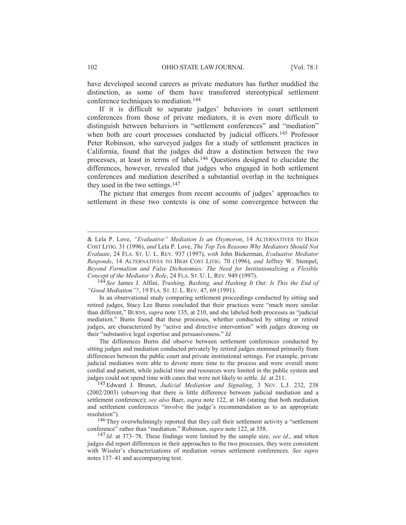have developed second careers as private mediators has further muddied the distinction, as some of them have transferred stereotypical settlement conference techniques to mediation.144

If it is difficult to separate judges' behaviors in court settlement conferences from those of private mediators, it is even more difficult to distinguish between behaviors in "settlement conferences" and "mediation" when both are court processes conducted by judicial officers.<sup>145</sup> Professor Peter Robinson, who surveyed judges for a study of settlement practices in California, found that the judges did draw a distinction between the two processes, at least in terms of labels.146 Questions designed to elucidate the differences, however, revealed that judges who engaged in both settlement conferences and mediation described a substantial overlap in the techniques they used in the two settings.147

The picture that emerges from recent accounts of judges' approaches to settlement in these two contexts is one of some convergence between the

The differences Burns did observe between settlement conferences conducted by sitting judges and mediation conducted privately by retired judges stemmed primarily from differences between the public court and private institutional settings. For example, private judicial mediators were able to devote more time to the process and were overall more cordial and patient, while judicial time and resources were limited in the public system and judges could not spend time with cases that were not likely to settle. *Id.* at 211.

145 Edward J. Brunet, *Judicial Mediation and Signaling*,3NEV. L.J. 232, 238 (2002/2003) (observing that there is little difference between judicial mediation and a settlement conference); *see also* Baer, *supra* note 122, at 146 (stating that both mediation and settlement conferences "involve the judge's recommendation as to an appropriate resolution").

<sup>146</sup> They overwhelmingly reported that they call their settlement activity a "settlement" conference" rather than "mediation." Robinson, *supra* note 122, at 358.

147 *Id.* at 373–78. These findings were limited by the sample size, *see id.*, and when judges did report differences in their approaches to the two processes, they were consistent with Wissler's characterizations of mediation verses settlement conferences. *See supra* notes 137–41 and accompanying text.

<sup>&</sup>amp; Lela P. Love, *"Evaluative" Mediation Is an Oxymoron*, 14 ALTERNATIVES TO HIGH COST LITIG. 31 (1996), *and* Lela P. Love, *The Top Ten Reasons Why Mediators Should Not Evaluate*, 24 FLA. ST. U. L. REV. 937 (1997), *with* John Bickerman, *Evaluative Mediator Responds*, 14 ALTERNATIVES TO HIGH COST LITIG. 70 (1996), *and* Jeffrey W. Stempel, *Beyond Formalism and False Dichotomies: The Need for Institutionalizing a Flexible Concept of the Mediator's Role*, 24 FLA. ST. U. L. REV. 949 (1997).

<sup>144</sup> *See* James J. Alfini, *Trashing, Bashing, and Hashing It Out: Is This the End of "Good Mediation"?*, 19 FLA. ST. U. L. REV. 47, 69 (1991).

In an observational study comparing settlement proceedings conducted by sitting and retired judges, Stacy Lee Burns concluded that their practices were "much more similar than different," BURNS, *supra* note 135, at 210, and she labeled both processes as "judicial mediation." Burns found that these processes, whether conducted by sitting or retired judges, are characterized by "active and directive intervention" with judges drawing on their "substantive legal expertise and persuasiveness." *Id.*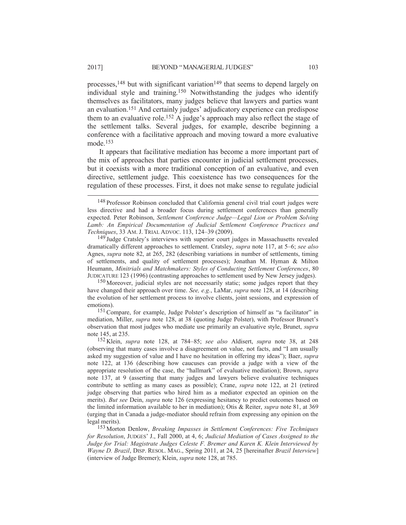processes,<sup>148</sup> but with significant variation<sup>149</sup> that seems to depend largely on individual style and training.150 Notwithstanding the judges who identify themselves as facilitators, many judges believe that lawyers and parties want an evaluation.151 And certainly judges' adjudicatory experience can predispose them to an evaluative role.<sup>152</sup> A judge's approach may also reflect the stage of the settlement talks. Several judges, for example, describe beginning a conference with a facilitative approach and moving toward a more evaluative mode.153

It appears that facilitative mediation has become a more important part of the mix of approaches that parties encounter in judicial settlement processes, but it coexists with a more traditional conception of an evaluative, and even directive, settlement judge. This coexistence has two consequences for the regulation of these processes. First, it does not make sense to regulate judicial

<sup>149</sup> Judge Cratsley's interviews with superior court judges in Massachusetts revealed dramatically different approaches to settlement. Cratsley, *supra* note 117, at 5–6; *see also* Agnes, *supra* note 82, at 265, 282 (describing variations in number of settlements, timing of settlements, and quality of settlement processes); Jonathan M. Hyman & Milton Heumann, *Minitrials and Matchmakers: Styles of Conducting Settlement Conferences*, 80 JUDICATURE 123 (1996) (contrasting approaches to settlement used by New Jersey judges).

150 Moreover, judicial styles are not necessarily static; some judges report that they have changed their approach over time. *See, e.g.*, LaMar, *supra* note 128, at 14 (describing the evolution of her settlement process to involve clients, joint sessions, and expression of emotions).

<sup>151</sup> Compare, for example, Judge Polster's description of himself as "a facilitator" in mediation, Miller, *supra* note 128, at 38 (quoting Judge Polster), with Professor Brunet's observation that most judges who mediate use primarily an evaluative style, Brunet, *supra* note 145, at 235.

152 Klein, *supra* note 128, at 784–85; *see also* Aldisert, *supra* note 38, at 248 (observing that many cases involve a disagreement on value, not facts, and "I am usually asked my suggestion of value and I have no hesitation in offering my ideas"); Baer, *supra* note 122, at 136 (describing how caucuses can provide a judge with a view of the appropriate resolution of the case, the "hallmark" of evaluative mediation); Brown, *supra* note 137, at 9 (asserting that many judges and lawyers believe evaluative techniques contribute to settling as many cases as possible); Crane, *supra* note 122, at 21 (retired judge observing that parties who hired him as a mediator expected an opinion on the merits). *But see* Dein, *supra* note 126 (expressing hesitancy to predict outcomes based on the limited information available to her in mediation); Otis & Reiter, *supra* note 81, at 369 (urging that in Canada a judge-mediator should refrain from expressing any opinion on the legal merits).

153 Morton Denlow, *Breaking Impasses in Settlement Conferences: Five Techniques for Resolution*, JUDGES' J., Fall 2000, at 4, 6; *Judicial Mediation of Cases Assigned to the Judge for Trial: Magistrate Judges Celeste F. Bremer and Karen K. Klein Interviewed by Wayne D. Brazil*, DISP. RESOL. MAG., Spring 2011, at 24, 25 [hereinafter *Brazil Interview*] (interview of Judge Bremer); Klein, *supra* note 128, at 785.

 <sup>148</sup> Professor Robinson concluded that California general civil trial court judges were less directive and had a broader focus during settlement conferences than generally expected. Peter Robinson, *Settlement Conference Judge—Legal Lion or Problem Solving*  Lamb: An Empirical Documentation of Judicial Settlement Conference Practices and *Techniques*, 33 AM. J. TRIAL ADVOC. 113, 124–39 (2009).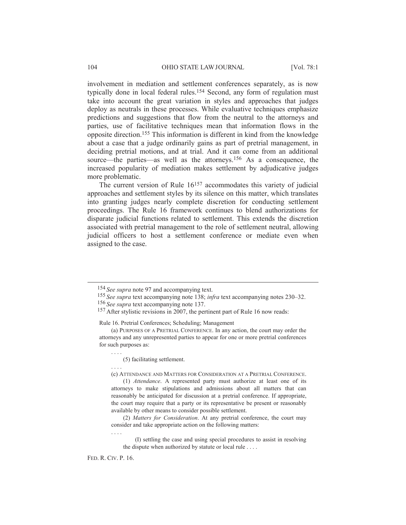involvement in mediation and settlement conferences separately, as is now typically done in local federal rules.154 Second, any form of regulation must take into account the great variation in styles and approaches that judges deploy as neutrals in these processes. While evaluative techniques emphasize predictions and suggestions that flow from the neutral to the attorneys and parties, use of facilitative techniques mean that information flows in the opposite direction.155 This information is different in kind from the knowledge about a case that a judge ordinarily gains as part of pretrial management, in deciding pretrial motions, and at trial. And it can come from an additional source—the parties—as well as the attorneys.<sup>156</sup> As a consequence, the increased popularity of mediation makes settlement by adjudicative judges more problematic.

The current version of Rule 16157 accommodates this variety of judicial approaches and settlement styles by its silence on this matter, which translates into granting judges nearly complete discretion for conducting settlement proceedings. The Rule 16 framework continues to blend authorizations for disparate judicial functions related to settlement. This extends the discretion associated with pretrial management to the role of settlement neutral, allowing judicial officers to host a settlement conference or mediate even when assigned to the case.

Rule 16. Pretrial Conferences; Scheduling; Management

(c) ATTENDANCE AND MATTERS FOR CONSIDERATION AT A PRETRIAL CONFERENCE.

(1) *Attendance*. A represented party must authorize at least one of its attorneys to make stipulations and admissions about all matters that can reasonably be anticipated for discussion at a pretrial conference. If appropriate, the court may require that a party or its representative be present or reasonably available by other means to consider possible settlement.

(2) *Matters for Consideration*. At any pretrial conference, the court may consider and take appropriate action on the following matters:

(I) settling the case and using special procedures to assist in resolving the dispute when authorized by statute or local rule . . . .

FED. R. CIV. P. 16.

....

....

....

 <sup>154</sup> *See supra* note 97 and accompanying text.

<sup>155</sup> *See supra* text accompanying note 138; *infra* text accompanying notes 230–32. 156 *See supra* text accompanying note 137.

<sup>157</sup> After stylistic revisions in 2007, the pertinent part of Rule 16 now reads:

<sup>(</sup>a) PURPOSES OF A PRETRIAL CONFERENCE. In any action, the court may order the attorneys and any unrepresented parties to appear for one or more pretrial conferences for such purposes as:

<sup>(5)</sup> facilitating settlement.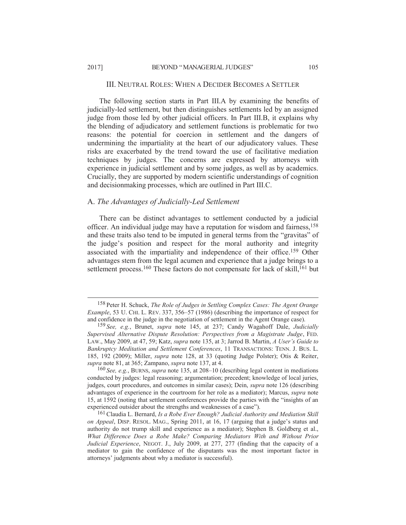The following section starts in Part III.A by examining the benefits of judicially-led settlement, but then distinguishes settlements led by an assigned judge from those led by other judicial officers. In Part III.B, it explains why the blending of adjudicatory and settlement functions is problematic for two reasons: the potential for coercion in settlement and the dangers of undermining the impartiality at the heart of our adjudicatory values. These risks are exacerbated by the trend toward the use of facilitative mediation techniques by judges. The concerns are expressed by attorneys with experience in judicial settlement and by some judges, as well as by academics. Crucially, they are supported by modern scientific understandings of cognition and decisionmaking processes, which are outlined in Part III.C.

### A. *The Advantages of Judicially-Led Settlement*

There can be distinct advantages to settlement conducted by a judicial officer. An individual judge may have a reputation for wisdom and fairness,158 and these traits also tend to be imputed in general terms from the "gravitas" of the judge's position and respect for the moral authority and integrity associated with the impartiality and independence of their office.159 Other advantages stem from the legal acumen and experience that a judge brings to a settlement process.<sup>160</sup> These factors do not compensate for lack of skill,<sup>161</sup> but

160 *See, e.g.*, BURNS, *supra* note 135, at 208–10 (describing legal content in mediations conducted by judges: legal reasoning; argumentation; precedent; knowledge of local juries, judges, court procedures, and outcomes in similar cases); Dein, *supra* note 126 (describing advantages of experience in the courtroom for her role as a mediator); Marcus, *supra* note 15, at 1592 (noting that settlement conferences provide the parties with the "insights of an experienced outsider about the strengths and weaknesses of a case").

 <sup>158</sup> Peter H. Schuck, *The Role of Judges in Settling Complex Cases: The Agent Orange Example*, 53 U. CHI. L. REV. 337, 356–57 (1986) (describing the importance of respect for and confidence in the judge in the negotiation of settlement in the Agent Orange case).

<sup>159</sup> *See, e.g.*, Brunet, *supra* note 145, at 237; Candy Wagahoff Dale, *Judicially Supervised Alternative Dispute Resolution: Perspectives from a Magistrate Judge*, FED. LAW., May 2009, at 47, 59; Katz, *supra* note 135, at 3; Jarrod B. Martin, *A User's Guide to Bankruptcy Meditation and Settlement Conferences*, 11 TRANSACTIONS: TENN. J. BUS. L. 185, 192 (2009); Miller, *supra* note 128, at 33 (quoting Judge Polster); Otis & Reiter, *supra* note 81, at 365; Zampano, *supra* note 137, at 4.

<sup>161</sup>Claudia L. Bernard, *Is a Robe Ever Enough? Judicial Authority and Mediation Skill on Appeal*, DISP. RESOL. MAG., Spring 2011, at 16, 17 (arguing that a judge's status and authority do not trump skill and experience as a mediator); Stephen B. Goldberg et al., *What Difference Does a Robe Make? Comparing Mediators With and Without Prior Judicial Experience*, NEGOT. J., July 2009, at 277, 277 (finding that the capacity of a mediator to gain the confidence of the disputants was the most important factor in attorneys' judgments about why a mediator is successful).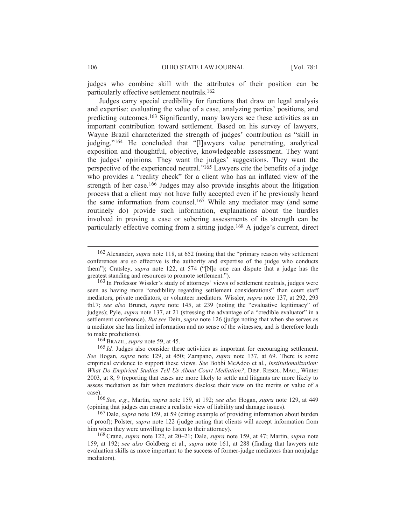judges who combine skill with the attributes of their position can be particularly effective settlement neutrals.162

Judges carry special credibility for functions that draw on legal analysis and expertise: evaluating the value of a case, analyzing parties' positions, and predicting outcomes.163 Significantly, many lawyers see these activities as an important contribution toward settlement. Based on his survey of lawyers, Wayne Brazil characterized the strength of judges' contribution as "skill in judging."164 He concluded that "[l]awyers value penetrating, analytical exposition and thoughtful, objective, knowledgeable assessment. They want the judges' opinions. They want the judges' suggestions. They want the perspective of the experienced neutral."165 Lawyers cite the benefits of a judge who provides a "reality check" for a client who has an inflated view of the strength of her case.<sup>166</sup> Judges may also provide insights about the litigation process that a client may not have fully accepted even if he previously heard the same information from counsel.167 While any mediator may (and some routinely do) provide such information, explanations about the hurdles involved in proving a case or sobering assessments of its strength can be particularly effective coming from a sitting judge.168 A judge's current, direct

164BRAZIL, *supra* note 59, at 45.

 <sup>162</sup> Alexander, *supra* note 118, at 652 (noting that the "primary reason why settlement conferences are so effective is the authority and expertise of the judge who conducts them"); Cratsley, *supra* note 122, at 574 ("[N]o one can dispute that a judge has the greatest standing and resources to promote settlement.").

<sup>163</sup> In Professor Wissler's study of attorneys' views of settlement neutrals, judges were seen as having more "credibility regarding settlement considerations" than court staff mediators, private mediators, or volunteer mediators. Wissler, *supra* note 137, at 292, 293 tbl.7; *see also* Brunet, *supra* note 145, at 239 (noting the "evaluative legitimacy" of judges); Pyle, *supra* note 137, at 21 (stressing the advantage of a "credible evaluator" in a settlement conference). *But see* Dein, *supra* note 126 (judge noting that when she serves as a mediator she has limited information and no sense of the witnesses, and is therefore loath to make predictions).

<sup>165</sup> *Id.* Judges also consider these activities as important for encouraging settlement. *See* Hogan, *supra* note 129, at 450; Zampano, *supra* note 137, at 69. There is some empirical evidence to support these views. *See* Bobbi McAdoo et al., *Institutionalization: What Do Empirical Studies Tell Us About Court Mediation?*, DISP. RESOL. MAG., Winter 2003, at 8, 9 (reporting that cases are more likely to settle and litigants are more likely to assess mediation as fair when mediators disclose their view on the merits or value of a case).

<sup>166</sup> *See, e.g.*, Martin, *supra* note 159, at 192; *see also* Hogan, *supra* note 129, at 449 (opining that judges can ensure a realistic view of liability and damage issues).

<sup>167</sup> Dale, *supra* note 159, at 59 (citing example of providing information about burden of proof); Polster, *supra* note 122 (judge noting that clients will accept information from him when they were unwilling to listen to their attorney).

<sup>168</sup>Crane, *supra* note 122, at 20–21; Dale, *supra* note 159, at 47; Martin, *supra* note 159, at 192; *see also* Goldberg et al., *supra* note 161, at 288 (finding that lawyers rate evaluation skills as more important to the success of former-judge mediators than nonjudge mediators).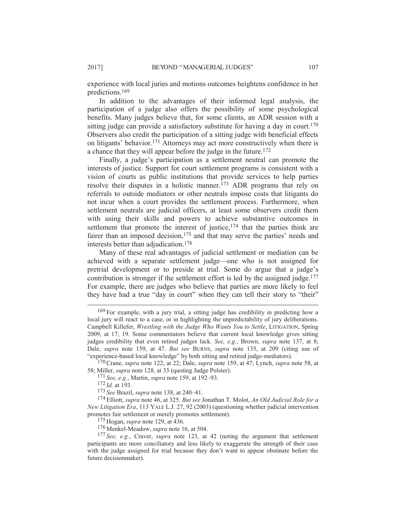experience with local juries and motions outcomes heightens confidence in her predictions.169

In addition to the advantages of their informed legal analysis, the participation of a judge also offers the possibility of some psychological benefits. Many judges believe that, for some clients, an ADR session with a sitting judge can provide a satisfactory substitute for having a day in court.<sup>170</sup> Observers also credit the participation of a sitting judge with beneficial effects on litigants' behavior.171 Attorneys may act more constructively when there is a chance that they will appear before the judge in the future.172

Finally, a judge's participation as a settlement neutral can promote the interests of justice. Support for court settlement programs is consistent with a vision of courts as public institutions that provide services to help parties resolve their disputes in a holistic manner.173 ADR programs that rely on referrals to outside mediators or other neutrals impose costs that litigants do not incur when a court provides the settlement process. Furthermore, when settlement neutrals are judicial officers, at least some observers credit them with using their skills and powers to achieve substantive outcomes in settlement that promote the interest of justice, $174$  that the parties think are fairer than an imposed decision,<sup>175</sup> and that may serve the parties' needs and interests better than adjudication.176

Many of these real advantages of judicial settlement or mediation can be achieved with a separate settlement judge—one who is not assigned for pretrial development or to preside at trial. Some do argue that a judge's contribution is stronger if the settlement effort is led by the assigned judge.177 For example, there are judges who believe that parties are more likely to feel they have had a true "day in court" when they can tell their story to "their"

170Crane, *supra* note 122, at 22; Dale, *supra* note 159, at 47; Lynch, *supra* note 58, at 58; Miller, *supra* note 128, at 33 (quoting Judge Polster).

171 *See, e.g.*, Martin, *supra* note 159, at 192–93.

172 *Id.* at 193.

173 *See* Brazil, *supra* note 138, at 240–41.

174 Elliott, *supra* note 46, at 325. *But see* Jonathan T. Molot, *An Old Judicial Role for a New Litigation Era*, 113 YALE L.J. 27, 92 (2003) (questioning whether judicial intervention promotes fair settlement or merely promotes settlement).

175 Hogan, *supra* note 129, at 436.

176 Menkel-Meadow, *supra* note 16, at 504.

177 *See, e.g.*, Craver, *supra* note 123, at 42 (noting the argument that settlement participants are more conciliatory and less likely to exaggerate the strength of their case with the judge assigned for trial because they don't want to appear obstinate before the future decisionmaker).

 <sup>169</sup> For example, with a jury trial, a sitting judge has credibility in predicting how a local jury will react to a case, or in highlighting the unpredictability of jury deliberations. Campbell Killefer, *Wrestling with the Judge Who Wants You to Settle*, LITIGATION, Spring 2009, at 17, 19. Some commentators believe that current local knowledge gives sitting judges credibility that even retired judges lack. *See, e.g.*, Brown, *supra* note 137, at 8; Dale, *supra* note 159, at 47. *But see* BURNS, *supra* note 135, at 209 (citing use of "experience-based local knowledge" by both sitting and retired judge-mediators).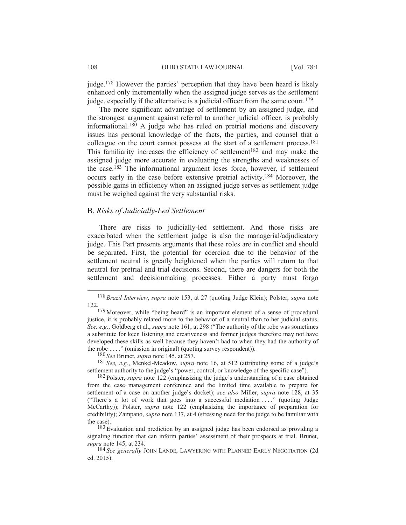judge.<sup>178</sup> However the parties' perception that they have been heard is likely enhanced only incrementally when the assigned judge serves as the settlement judge, especially if the alternative is a judicial officer from the same court.<sup>179</sup>

The more significant advantage of settlement by an assigned judge, and the strongest argument against referral to another judicial officer, is probably informational.180 A judge who has ruled on pretrial motions and discovery issues has personal knowledge of the facts, the parties, and counsel that a colleague on the court cannot possess at the start of a settlement process.<sup>181</sup> This familiarity increases the efficiency of settlement<sup>182</sup> and may make the assigned judge more accurate in evaluating the strengths and weaknesses of the case.183 The informational argument loses force, however, if settlement occurs early in the case before extensive pretrial activity.184 Moreover, the possible gains in efficiency when an assigned judge serves as settlement judge must be weighed against the very substantial risks.

### B. *Risks of Judicially-Led Settlement*

There are risks to judicially-led settlement. And those risks are exacerbated when the settlement judge is also the managerial/adjudicatory judge. This Part presents arguments that these roles are in conflict and should be separated. First, the potential for coercion due to the behavior of the settlement neutral is greatly heightened when the parties will return to that neutral for pretrial and trial decisions. Second, there are dangers for both the settlement and decisionmaking processes. Either a party must forgo

180 *See* Brunet, *supra* note 145, at 257.

181 *See, e.g.*, Menkel-Meadow, *supra* note 16, at 512 (attributing some of a judge's settlement authority to the judge's "power, control, or knowledge of the specific case").

 <sup>178</sup> *Brazil Interview*, *supra* note 153, at 27 (quoting Judge Klein); Polster, *supra* note 122.

<sup>&</sup>lt;sup>179</sup> Moreover, while "being heard" is an important element of a sense of procedural justice, it is probably related more to the behavior of a neutral than to her judicial status. *See, e.g.*, Goldberg et al., *supra* note 161, at 298 ("The authority of the robe was sometimes a substitute for keen listening and creativeness and former judges therefore may not have developed these skills as well because they haven't had to when they had the authority of the robe . . . ." (omission in original) (quoting survey respondent)).

<sup>182</sup> Polster, *supra* note 122 (emphasizing the judge's understanding of a case obtained from the case management conference and the limited time available to prepare for settlement of a case on another judge's docket); *see also* Miller, *supra* note 128, at 35 ("There's a lot of work that goes into a successful mediation . . . ." (quoting Judge McCarthy)); Polster, *supra* note 122 (emphasizing the importance of preparation for credibility); Zampano, *supra* note 137, at 4 (stressing need for the judge to be familiar with the case).

<sup>183</sup> Evaluation and prediction by an assigned judge has been endorsed as providing a signaling function that can inform parties' assessment of their prospects at trial. Brunet, *supra* note 145, at 234.

<sup>184</sup> *See generally* JOHN LANDE, LAWYERING WITH PLANNED EARLY NEGOTIATION (2d ed. 2015).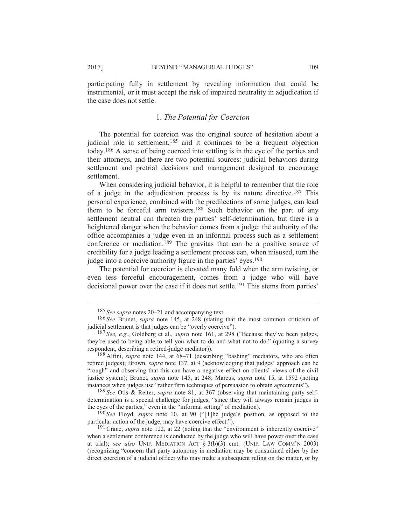participating fully in settlement by revealing information that could be instrumental, or it must accept the risk of impaired neutrality in adjudication if the case does not settle.

# 1. *The Potential for Coercion*

The potential for coercion was the original source of hesitation about a judicial role in settlement,<sup>185</sup> and it continues to be a frequent objection today.186 A sense of being coerced into settling is in the eye of the parties and their attorneys, and there are two potential sources: judicial behaviors during settlement and pretrial decisions and management designed to encourage settlement.

When considering judicial behavior, it is helpful to remember that the role of a judge in the adjudication process is by its nature directive.187 This personal experience, combined with the predilections of some judges, can lead them to be forceful arm twisters.<sup>188</sup> Such behavior on the part of any settlement neutral can threaten the parties' self-determination, but there is a heightened danger when the behavior comes from a judge: the authority of the office accompanies a judge even in an informal process such as a settlement conference or mediation.189 The gravitas that can be a positive source of credibility for a judge leading a settlement process can, when misused, turn the judge into a coercive authority figure in the parties' eyes.<sup>190</sup>

The potential for coercion is elevated many fold when the arm twisting, or even less forceful encouragement, comes from a judge who will have decisional power over the case if it does not settle.<sup>191</sup> This stems from parties'

189 *See* Otis & Reiter, *supra* note 81, at 367 (observing that maintaining party selfdetermination is a special challenge for judges, "since they will always remain judges in the eyes of the parties," even in the "informal setting" of mediation).

190 *See* Floyd, *supra* note 10, at 90 ("[T]he judge's position, as opposed to the particular action of the judge, may have coercive effect.").

<sup>191</sup> Crane, *supra* note 122, at 22 (noting that the "environment is inherently coercive" when a settlement conference is conducted by the judge who will have power over the case at trial); *see also* UNIF. MEDIATION ACT § 3(b)(3) cmt. (UNIF. LAW COMM'N 2003) (recognizing "concern that party autonomy in mediation may be constrained either by the direct coercion of a judicial officer who may make a subsequent ruling on the matter, or by

 <sup>185</sup> *See supra* notes 20–21 and accompanying text.

<sup>186</sup> *See* Brunet, *supra* note 145, at 248 (stating that the most common criticism of judicial settlement is that judges can be "overly coercive").

<sup>187</sup> *See, e.g.*, Goldberg et al., *supra* note 161, at 298 ("Because they've been judges, they're used to being able to tell you what to do and what not to do." (quoting a survey respondent, describing a retired-judge mediator)).

<sup>188</sup> Alfini, *supra* note 144, at 68–71 (describing "bashing" mediators, who are often retired judges); Brown, *supra* note 137, at 9 (acknowledging that judges' approach can be "rough" and observing that this can have a negative effect on clients' views of the civil justice system); Brunet, *supra* note 145, at 248; Marcus, *supra* note 15, at 1592 (noting instances when judges use "rather firm techniques of persuasion to obtain agreements").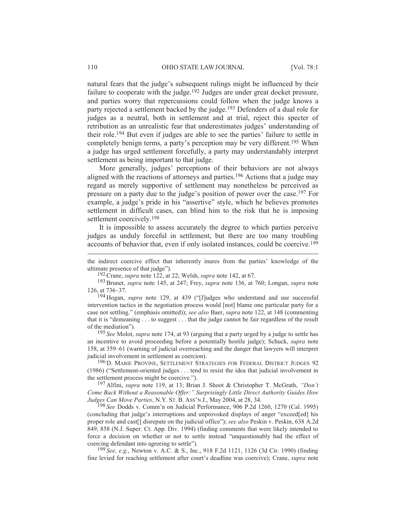natural fears that the judge's subsequent rulings might be influenced by their failure to cooperate with the judge.<sup>192</sup> Judges are under great docket pressure, and parties worry that repercussions could follow when the judge knows a party rejected a settlement backed by the judge.193 Defenders of a dual role for judges as a neutral, both in settlement and at trial, reject this specter of retribution as an unrealistic fear that underestimates judges' understanding of their role.194 But even if judges are able to see the parties' failure to settle in completely benign terms, a party's perception may be very different.195 When a judge has urged settlement forcefully, a party may understandably interpret settlement as being important to that judge.

More generally, judges' perceptions of their behaviors are not always aligned with the reactions of attorneys and parties.196 Actions that a judge may regard as merely supportive of settlement may nonetheless be perceived as pressure on a party due to the judge's position of power over the case.197 For example, a judge's pride in his "assertive" style, which he believes promotes settlement in difficult cases, can blind him to the risk that he is imposing settlement coercively.198

It is impossible to assess accurately the degree to which parties perceive judges as unduly forceful in settlement, but there are too many troubling accounts of behavior that, even if only isolated instances, could be coercive.199

192Crane, *supra* note 122, at 22; Welsh, *supra* note 142, at 67.

194 Hogan, *supra* note 129, at 439 ("[J]udges who understand and use successful intervention tactics in the negotiation process would [not] blame one particular party for a case not settling." (emphasis omitted)); *see also* Baer, *supra* note 122, at 148 (commenting that it is "demeaning . . . to suggest . . . that the judge cannot be fair regardless of the result of the mediation").

195 *See* Molot, *supra* note 174, at 93 (arguing that a party urged by a judge to settle has an incentive to avoid proceeding before a potentially hostile judge); Schuck, *supra* note 158, at 359–61 (warning of judicial overreaching and the danger that lawyers will interpret judicial involvement in settlement as coercion).

<sup>196</sup> D. MARIE PROVINE, SETTLEMENT STRATEGIES FOR FEDERAL DISTRICT JUDGES 92 (1986) ("Settlement-oriented judges . . . tend to resist the idea that judicial involvement in the settlement process might be coercive.").

197 Alfini, *supra* note 119, at 13; Brian J. Shoot & Christopher T. McGrath, *"Don't Come Back Without a Reasonable Offer:" Surprisingly Little Direct Authority Guides How Judges Can Move Parties*, N.Y. ST. B. ASS'N J., May 2004, at 28, 34.

198 *See* Dodds v. Comm'n on Judicial Performance, 906 P.2d 1260, 1270 (Cal. 1995) (concluding that judge's interruptions and unprovoked displays of anger "exceed[ed] his proper role and cast[] disrepute on the judicial office"); *see also* Peskin v. Peskin, 638 A.2d 849, 858 (N.J. Super. Ct. App. Div. 1994) (finding comments that were likely intended to force a decision on whether or not to settle instead "unquestionably had the effect of coercing defendant into agreeing to settle").

199 *See, e.g.*, Newton v. A.C. & S., Inc., 918 F.2d 1121, 1126 (3d Cir. 1990) (finding fine levied for reaching settlement after court's deadline was coercive); Crane, *supra* note

the indirect coercive effect that inherently inures from the parties' knowledge of the ultimate presence of that judge").

<sup>193</sup>Brunet, *supra* note 145, at 247; Frey, *supra* note 136, at 760; Longan, *supra* note 126, at 736–37.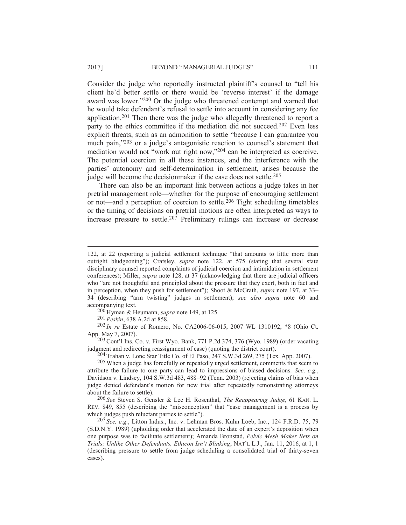Consider the judge who reportedly instructed plaintiff's counsel to "tell his client he'd better settle or there would be 'reverse interest' if the damage award was lower."200 Or the judge who threatened contempt and warned that he would take defendant's refusal to settle into account in considering any fee application.201 Then there was the judge who allegedly threatened to report a party to the ethics committee if the mediation did not succeed.<sup>202</sup> Even less explicit threats, such as an admonition to settle "because I can guarantee you much pain,"203 or a judge's antagonistic reaction to counsel's statement that mediation would not "work out right now,"204 can be interpreted as coercive. The potential coercion in all these instances, and the interference with the parties' autonomy and self-determination in settlement, arises because the judge will become the decision maker if the case does not settle.<sup>205</sup>

There can also be an important link between actions a judge takes in her pretrial management role—whether for the purpose of encouraging settlement or not—and a perception of coercion to settle.206 Tight scheduling timetables or the timing of decisions on pretrial motions are often interpreted as ways to increase pressure to settle.207 Preliminary rulings can increase or decrease

200 Hyman & Heumann, *supra* note 149, at 125.

201 *Peskin*, 638 A.2d at 858.

 $\overline{a}$ 

202 *In re* Estate of Romero, No. CA2006-06-015, 2007 WL 1310192, \*8 (Ohio Ct. App. May 7, 2007).

203Cont'l Ins. Co. v. First Wyo. Bank, 771 P.2d 374, 376 (Wyo. 1989) (order vacating judgment and redirecting reassignment of case) (quoting the district court).

204 Trahan v. Lone Star Title Co. of El Paso, 247 S.W.3d 269, 275 (Tex. App. 2007).

205 When a judge has forcefully or repeatedly urged settlement, comments that seem to attribute the failure to one party can lead to impressions of biased decisions. *See, e.g.*, Davidson v. Lindsey, 104 S.W.3d 483, 488–92 (Tenn. 2003) (rejecting claims of bias when judge denied defendant's motion for new trial after repeatedly remonstrating attorneys about the failure to settle).

206 *See* Steven S. Gensler & Lee H. Rosenthal, *The Reappearing Judge*, 61 KAN. L. REV. 849, 855 (describing the "misconception" that "case management is a process by which judges push reluctant parties to settle").

207 *See, e.g.*, Litton Indus., Inc. v. Lehman Bros. Kuhn Loeb, Inc., 124 F.R.D. 75, 79 (S.D.N.Y. 1989) (upholding order that accelerated the date of an expert's deposition when one purpose was to facilitate settlement); Amanda Bronstad, *Pelvic Mesh Maker Bets on Trials; Unlike Other Defendants, Ethicon Isn't Blinking*, NAT'L L.J., Jan. 11, 2016, at 1, 1 (describing pressure to settle from judge scheduling a consolidated trial of thirty-seven cases).

<sup>122,</sup> at 22 (reporting a judicial settlement technique "that amounts to little more than outright bludgeoning"); Cratsley, *supra* note 122, at 575 (stating that several state disciplinary counsel reported complaints of judicial coercion and intimidation in settlement conferences); Miller, *supra* note 128, at 37 (acknowledging that there are judicial officers who "are not thoughtful and principled about the pressure that they exert, both in fact and in perception, when they push for settlement"); Shoot & McGrath, *supra* note 197, at 33– 34 (describing "arm twisting" judges in settlement); *see also supra* note 60 and accompanying text.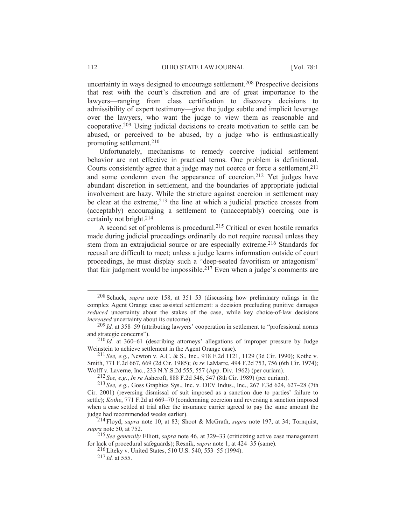uncertainty in ways designed to encourage settlement.208 Prospective decisions that rest with the court's discretion and are of great importance to the lawyers—ranging from class certification to discovery decisions to admissibility of expert testimony—give the judge subtle and implicit leverage over the lawyers, who want the judge to view them as reasonable and cooperative.209 Using judicial decisions to create motivation to settle can be abused, or perceived to be abused, by a judge who is enthusiastically promoting settlement.210

Unfortunately, mechanisms to remedy coercive judicial settlement behavior are not effective in practical terms. One problem is definitional. Courts consistently agree that a judge may not coerce or force a settlement,<sup>211</sup> and some condemn even the appearance of coercion.212 Yet judges have abundant discretion in settlement, and the boundaries of appropriate judicial involvement are hazy. While the stricture against coercion in settlement may be clear at the extreme,  $2^{13}$  the line at which a judicial practice crosses from (acceptably) encouraging a settlement to (unacceptably) coercing one is certainly not bright.214

A second set of problems is procedural.215 Critical or even hostile remarks made during judicial proceedings ordinarily do not require recusal unless they stem from an extrajudicial source or are especially extreme.<sup>216</sup> Standards for recusal are difficult to meet; unless a judge learns information outside of court proceedings, he must display such a "deep-seated favoritism or antagonism" that fair judgment would be impossible.<sup>217</sup> Even when a judge's comments are

211 *See, e.g.*, Newton v. A.C. & S., Inc., 918 F.2d 1121, 1129 (3d Cir. 1990); Kothe v. Smith, 771 F.2d 667, 669 (2d Cir. 1985); *In re* LaMarre, 494 F.2d 753, 756 (6th Cir. 1974); Wolff v. Laverne, Inc., 233 N.Y.S.2d 555, 557 (App. Div. 1962) (per curiam).

212 *See, e.g.*, *In re* Ashcroft, 888 F.2d 546, 547 (8th Cir. 1989) (per curiam).

216 Liteky v. United States, 510 U.S. 540, 553–55 (1994).

217 *Id.* at 555.

 <sup>208</sup> Schuck, *supra* note 158, at 351–53 (discussing how preliminary rulings in the complex Agent Orange case assisted settlement: a decision precluding punitive damages *reduced* uncertainty about the stakes of the case, while key choice-of-law decisions *increased* uncertainty about its outcome).

<sup>209</sup> *Id.* at 358–59 (attributing lawyers' cooperation in settlement to "professional norms and strategic concerns").

<sup>210</sup> *Id.* at 360–61 (describing attorneys' allegations of improper pressure by Judge Weinstein to achieve settlement in the Agent Orange case).

<sup>213</sup> *See, e.g.*, Goss Graphics Sys., Inc. v. DEV Indus., Inc., 267 F.3d 624, 627–28 (7th Cir. 2001) (reversing dismissal of suit imposed as a sanction due to parties' failure to settle); *Kothe*, 771 F.2d at 669–70 (condemning coercion and reversing a sanction imposed when a case settled at trial after the insurance carrier agreed to pay the same amount the judge had recommended weeks earlier).

<sup>214</sup> Floyd, *supra* note 10, at 83; Shoot & McGrath, *supra* note 197, at 34; Tornquist, *supra* note 50, at 752.

<sup>215</sup> *See generally* Elliott, *supra* note 46, at 329–33 (criticizing active case management for lack of procedural safeguards); Resnik, *supra* note 1, at 424–35 (same).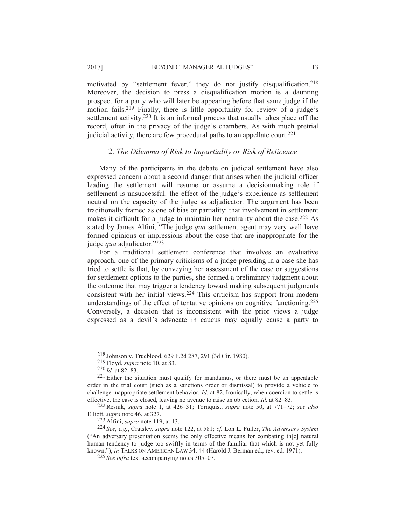motivated by "settlement fever," they do not justify disqualification.218 Moreover, the decision to press a disqualification motion is a daunting prospect for a party who will later be appearing before that same judge if the motion fails.219 Finally, there is little opportunity for review of a judge's settlement activity.<sup>220</sup> It is an informal process that usually takes place off the record, often in the privacy of the judge's chambers. As with much pretrial judicial activity, there are few procedural paths to an appellate court.<sup>221</sup>

# 2. *The Dilemma of Risk to Impartiality or Risk of Reticence*

Many of the participants in the debate on judicial settlement have also expressed concern about a second danger that arises when the judicial officer leading the settlement will resume or assume a decisionmaking role if settlement is unsuccessful: the effect of the judge's experience as settlement neutral on the capacity of the judge as adjudicator. The argument has been traditionally framed as one of bias or partiality: that involvement in settlement makes it difficult for a judge to maintain her neutrality about the case.<sup>222</sup> As stated by James Alfini, "The judge *qua* settlement agent may very well have formed opinions or impressions about the case that are inappropriate for the judge *qua* adjudicator."<sup>223</sup>

For a traditional settlement conference that involves an evaluative approach, one of the primary criticisms of a judge presiding in a case she has tried to settle is that, by conveying her assessment of the case or suggestions for settlement options to the parties, she formed a preliminary judgment about the outcome that may trigger a tendency toward making subsequent judgments consistent with her initial views.224 This criticism has support from modern understandings of the effect of tentative opinions on cognitive functioning.225 Conversely, a decision that is inconsistent with the prior views a judge expressed as a devil's advocate in caucus may equally cause a party to

 <sup>218</sup> Johnson v. Trueblood, 629 F.2d 287, 291 (3d Cir. 1980).

<sup>219</sup> Floyd, *supra* note 10, at 83.

<sup>220</sup> *Id.* at 82–83.

 $221$  Either the situation must qualify for mandamus, or there must be an appealable order in the trial court (such as a sanctions order or dismissal) to provide a vehicle to challenge inappropriate settlement behavior. *Id.* at 82. Ironically, when coercion to settle is effective, the case is closed, leaving no avenue to raise an objection. *Id.* at 82–83.

<sup>222</sup>Resnik, *supra* note 1, at 426–31; Tornquist, *supra* note 50, at 771–72; *see also* Elliott, *supra* note 46, at 327.

<sup>223</sup> Alfini, *supra* note 119, at 13.

<sup>224</sup> *See, e.g.*, Cratsley, *supra* note 122, at 581; *cf.* Lon L. Fuller, *The Adversary System* ("An adversary presentation seems the only effective means for combating th[e] natural human tendency to judge too swiftly in terms of the familiar that which is not yet fully known."), *in* TALKS ON AMERICAN LAW 34, 44 (Harold J. Berman ed., rev. ed. 1971).

<sup>225</sup> *See infra* text accompanying notes 305–07.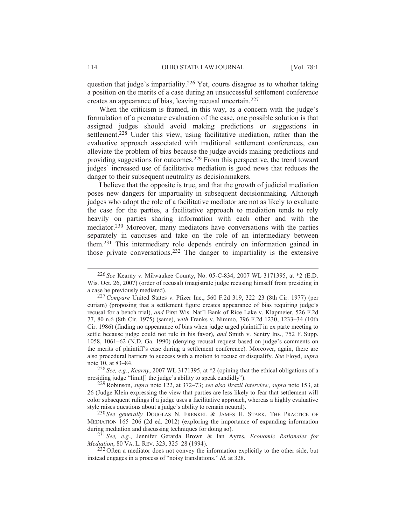question that judge's impartiality.226 Yet, courts disagree as to whether taking a position on the merits of a case during an unsuccessful settlement conference creates an appearance of bias, leaving recusal uncertain.227

When the criticism is framed, in this way, as a concern with the judge's formulation of a premature evaluation of the case, one possible solution is that assigned judges should avoid making predictions or suggestions in settlement.<sup>228</sup> Under this view, using facilitative mediation, rather than the evaluative approach associated with traditional settlement conferences, can alleviate the problem of bias because the judge avoids making predictions and providing suggestions for outcomes.229 From this perspective, the trend toward judges' increased use of facilitative mediation is good news that reduces the danger to their subsequent neutrality as decisionmakers.

I believe that the opposite is true, and that the growth of judicial mediation poses new dangers for impartiality in subsequent decisionmaking. Although judges who adopt the role of a facilitative mediator are not as likely to evaluate the case for the parties, a facilitative approach to mediation tends to rely heavily on parties sharing information with each other and with the mediator.230 Moreover, many mediators have conversations with the parties separately in caucuses and take on the role of an intermediary between them.231 This intermediary role depends entirely on information gained in those private conversations.232 The danger to impartiality is the extensive

228 *See, e.g.*, *Kearny*, 2007 WL 3171395, at \*2 (opining that the ethical obligations of a presiding judge "limit[] the judge's ability to speak candidly").

 <sup>226</sup> *See* Kearny v. Milwaukee County, No. 05-C-834, 2007 WL 3171395, at \*2 (E.D. Wis. Oct. 26, 2007) (order of recusal) (magistrate judge recusing himself from presiding in a case he previously mediated).

<sup>227</sup>*Compare* United States v. Pfizer Inc., 560 F.2d 319, 322–23 (8th Cir. 1977) (per curiam) (proposing that a settlement figure creates appearance of bias requiring judge's recusal for a bench trial), *and* First Wis. Nat'l Bank of Rice Lake v. Klapmeier, 526 F.2d 77, 80 n.6 (8th Cir. 1975) (same), *with* Franks v. Nimmo, 796 F.2d 1230, 1233–34 (10th Cir. 1986) (finding no appearance of bias when judge urged plaintiff in ex parte meeting to settle because judge could not rule in his favor), *and* Smith v. Sentry Ins., 752 F. Supp. 1058, 1061–62 (N.D. Ga. 1990) (denying recusal request based on judge's comments on the merits of plaintiff's case during a settlement conference). Moreover, again, there are also procedural barriers to success with a motion to recuse or disqualify. *See* Floyd, *supra* note 10, at 83–84.

<sup>229</sup>Robinson, *supra* note 122, at 372–73; *see also Brazil Interview*, *supra* note 153, at 26 (Judge Klein expressing the view that parties are less likely to fear that settlement will color subsequent rulings if a judge uses a facilitative approach, whereas a highly evaluative style raises questions about a judge's ability to remain neutral).

<sup>230</sup> *See generally* DOUGLAS N. FRENKEL & JAMES H. STARK, THE PRACTICE OF MEDIATION 165–206 (2d ed. 2012) (exploring the importance of expanding information during mediation and discussing techniques for doing so).

<sup>231</sup> *See, e.g.*, Jennifer Gerarda Brown & Ian Ayres, *Economic Rationales for Mediation*, 80 VA. L. REV. 323, 325–28 (1994).

<sup>232</sup> Often a mediator does not convey the information explicitly to the other side, but instead engages in a process of "noisy translations." *Id.* at 328.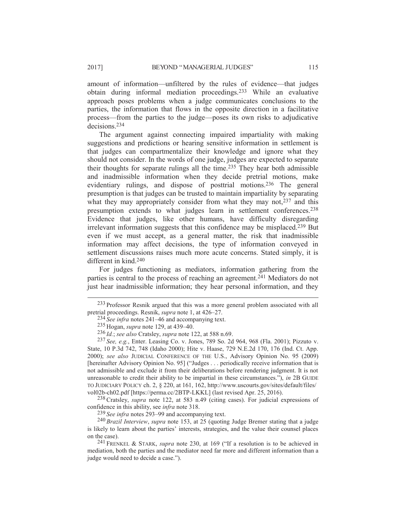amount of information—unfiltered by the rules of evidence—that judges obtain during informal mediation proceedings.233 While an evaluative approach poses problems when a judge communicates conclusions to the parties, the information that flows in the opposite direction in a facilitative process—from the parties to the judge—poses its own risks to adjudicative decisions.234

The argument against connecting impaired impartiality with making suggestions and predictions or hearing sensitive information in settlement is that judges can compartmentalize their knowledge and ignore what they should not consider. In the words of one judge, judges are expected to separate their thoughts for separate rulings all the time.235 They hear both admissible and inadmissible information when they decide pretrial motions, make evidentiary rulings, and dispose of posttrial motions.<sup>236</sup> The general presumption is that judges can be trusted to maintain impartiality by separating what they may appropriately consider from what they may not,  $237$  and this presumption extends to what judges learn in settlement conferences.238 Evidence that judges, like other humans, have difficulty disregarding irrelevant information suggests that this confidence may be misplaced.<sup>239</sup> But even if we must accept, as a general matter, the risk that inadmissible information may affect decisions, the type of information conveyed in settlement discussions raises much more acute concerns. Stated simply, it is different in kind.240

For judges functioning as mediators, information gathering from the parties is central to the process of reaching an agreement.<sup>241</sup> Mediators do not just hear inadmissible information; they hear personal information, and they

238Cratsley, *supra* note 122, at 583 n.49 (citing cases). For judicial expressions of confidence in this ability, see *infra* note 318.

239 *See infra* notes 293–99 and accompanying text.

240 *Brazil Interview*, *supra* note 153, at 25 (quoting Judge Bremer stating that a judge is likely to learn about the parties' interests, strategies, and the value their counsel places on the case).

 <sup>233</sup> Professor Resnik argued that this was a more general problem associated with all pretrial proceedings. Resnik, *supra* note 1, at 426–27.

<sup>234</sup> *See infra* notes 241–46 and accompanying text.

<sup>235</sup> Hogan, *supra* note 129, at 439–40.

<sup>236</sup> *Id.*; *see also* Cratsley, *supra* note 122, at 588 n.69.

<sup>237</sup> *See, e.g.*, Enter. Leasing Co. v. Jones, 789 So. 2d 964, 968 (Fla. 2001); Pizzuto v. State, 10 P.3d 742, 748 (Idaho 2000); Hite v. Haase, 729 N.E.2d 170, 176 (Ind. Ct. App. 2000); *see also* JUDICIAL CONFERENCE OF THE U.S., Advisory Opinion No. 95 (2009) [hereinafter Advisory Opinion No. 95] ("Judges . . . periodically receive information that is not admissible and exclude it from their deliberations before rendering judgment. It is not unreasonable to credit their ability to be impartial in these circumstances."), *in* 2B GUIDE TO JUDICIARY POLICY ch. 2, § 220, at 161, 162, http://www.uscourts.gov/sites/default/files/ vol02b-ch02.pdf [https://perma.cc/2BTP-LKKL] (last revised Apr. 25, 2016).

<sup>241</sup> FRENKEL & STARK, *supra* note 230, at 169 ("If a resolution is to be achieved in mediation, both the parties and the mediator need far more and different information than a judge would need to decide a case.").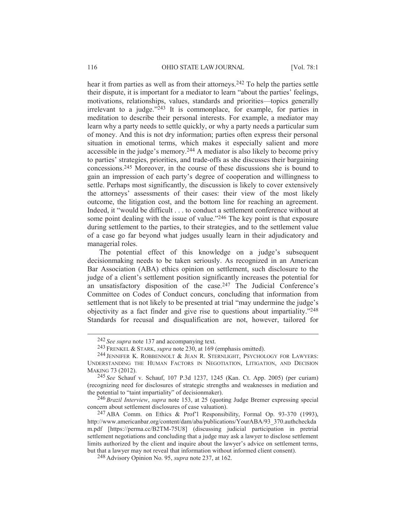hear it from parties as well as from their attorneys.<sup>242</sup> To help the parties settle their dispute, it is important for a mediator to learn "about the parties' feelings, motivations, relationships, values, standards and priorities—topics generally irrelevant to a judge."243 It is commonplace, for example, for parties in meditation to describe their personal interests. For example, a mediator may learn why a party needs to settle quickly, or why a party needs a particular sum of money. And this is not dry information; parties often express their personal situation in emotional terms, which makes it especially salient and more accessible in the judge's memory.244 A mediator is also likely to become privy to parties' strategies, priorities, and trade-offs as she discusses their bargaining concessions.245 Moreover, in the course of these discussions she is bound to gain an impression of each party's degree of cooperation and willingness to settle. Perhaps most significantly, the discussion is likely to cover extensively the attorneys' assessments of their cases: their view of the most likely outcome, the litigation cost, and the bottom line for reaching an agreement. Indeed, it "would be difficult . . . to conduct a settlement conference without at some point dealing with the issue of value."<sup>246</sup> The key point is that exposure during settlement to the parties, to their strategies, and to the settlement value of a case go far beyond what judges usually learn in their adjudicatory and managerial roles.

The potential effect of this knowledge on a judge's subsequent decisionmaking needs to be taken seriously. As recognized in an American Bar Association (ABA) ethics opinion on settlement, such disclosure to the judge of a client's settlement position significantly increases the potential for an unsatisfactory disposition of the case.247 The Judicial Conference's Committee on Codes of Conduct concurs, concluding that information from settlement that is not likely to be presented at trial "may undermine the judge's objectivity as a fact finder and give rise to questions about impartiality."248 Standards for recusal and disqualification are not, however, tailored for

246 *Brazil Interview*, *supra* note 153, at 25 (quoting Judge Bremer expressing special concern about settlement disclosures of case valuation).

<sup>247</sup> ABA Comm. on Ethics & Prof'l Responsibility, Formal Op. 93-370 (1993), http://www.americanbar.org/content/dam/aba/publications/YourABA/93\_370.authcheckda m.pdf [https://perma.cc/B2TM-75U8] (discussing judicial participation in pretrial settlement negotiations and concluding that a judge may ask a lawyer to disclose settlement limits authorized by the client and inquire about the lawyer's advice on settlement terms, but that a lawyer may not reveal that information without informed client consent).

 <sup>242</sup> *See supra* note 137 and accompanying text.

<sup>243</sup> FRENKEL & STARK, *supra* note 230, at 169 (emphasis omitted).

<sup>244</sup> JENNIFER K. ROBBENNOLT & JEAN R. STERNLIGHT, PSYCHOLOGY FOR LAWYERS: UNDERSTANDING THE HUMAN FACTORS IN NEGOTIATION, LITIGATION, AND DECISION MAKING 73 (2012).

<sup>245</sup> *See* Schauf v. Schauf, 107 P.3d 1237, 1245 (Kan. Ct. App. 2005) (per curiam) (recognizing need for disclosures of strategic strengths and weaknesses in mediation and the potential to "taint impartiality" of decisionmaker).

<sup>248</sup> Advisory Opinion No. 95, *supra* note 237, at 162.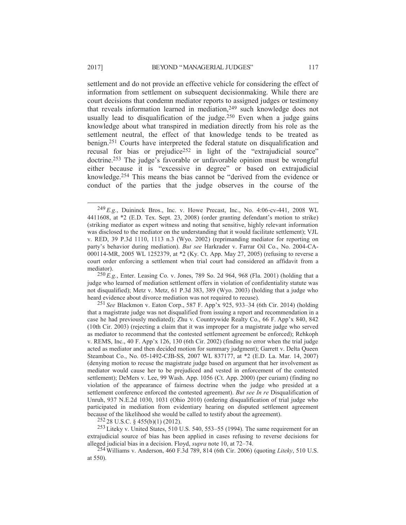settlement and do not provide an effective vehicle for considering the effect of information from settlement on subsequent decisionmaking. While there are court decisions that condemn mediator reports to assigned judges or testimony that reveals information learned in mediation,<sup>249</sup> such knowledge does not usually lead to disqualification of the judge.<sup>250</sup> Even when a judge gains knowledge about what transpired in mediation directly from his role as the settlement neutral, the effect of that knowledge tends to be treated as benign.251 Courts have interpreted the federal statute on disqualification and recusal for bias or prejudice<sup>252</sup> in light of the "extrajudicial source" doctrine.253 The judge's favorable or unfavorable opinion must be wrongful either because it is "excessive in degree" or based on extrajudicial knowledge.254 This means the bias cannot be "derived from the evidence or conduct of the parties that the judge observes in the course of the

250 *E.g.*, Enter. Leasing Co. v. Jones, 789 So. 2d 964, 968 (Fla. 2001) (holding that a judge who learned of mediation settlement offers in violation of confidentiality statute was not disqualified); Metz v. Metz, 61 P.3d 383, 389 (Wyo. 2003) (holding that a judge who heard evidence about divorce mediation was not required to recuse).

251 *See* Blackmon v. Eaton Corp., 587 F. App'x 925, 933–34 (6th Cir. 2014) (holding that a magistrate judge was not disqualified from issuing a report and recommendation in a case he had previously mediated); Zhu v. Countrywide Realty Co., 66 F. App'x 840, 842 (10th Cir. 2003) (rejecting a claim that it was improper for a magistrate judge who served as mediator to recommend that the contested settlement agreement be enforced); Rehkoph v. REMS, Inc., 40 F. App'x 126, 130 (6th Cir. 2002) (finding no error when the trial judge acted as mediator and then decided motion for summary judgment); Garrett v. Delta Queen Steamboat Co., No. 05-1492-CJB-SS, 2007 WL 837177, at \*2 (E.D. La. Mar. 14, 2007) (denying motion to recuse the magistrate judge based on argument that her involvement as mediator would cause her to be prejudiced and vested in enforcement of the contested settlement); DeMers v. Lee, 99 Wash. App. 1056 (Ct. App. 2000) (per curiam) (finding no violation of the appearance of fairness doctrine when the judge who presided at a settlement conference enforced the contested agreement). *But see In re* Disqualification of Unruh, 937 N.E.2d 1030, 1031 (Ohio 2010) (ordering disqualification of trial judge who participated in mediation from evidentiary hearing on disputed settlement agreement because of the likelihood she would be called to testify about the agreement).

252 28 U.S.C. § 455(b)(1) (2012).

253 Liteky v. United States, 510 U.S. 540, 553–55 (1994). The same requirement for an extrajudicial source of bias has been applied in cases refusing to reverse decisions for alleged judicial bias in a decision. Floyd, *supra* note 10, at 72–74.

254 Williams v. Anderson, 460 F.3d 789, 814 (6th Cir. 2006) (quoting *Liteky*, 510 U.S. at 550).

 <sup>249</sup> *E.g.*, Duininck Bros., Inc. v. Howe Precast, Inc., No. 4:06-cv-441, 2008 WL 4411608, at \*2 (E.D. Tex. Sept. 23, 2008) (order granting defendant's motion to strike) (striking mediator as expert witness and noting that sensitive, highly relevant information was disclosed to the mediator on the understanding that it would facilitate settlement); VJL v. RED, 39 P.3d 1110, 1113 n.3 (Wyo. 2002) (reprimanding mediator for reporting on party's behavior during mediation). *But see* Harkrader v. Farrar Oil Co., No. 2004-CA-000114-MR, 2005 WL 1252379, at \*2 (Ky. Ct. App. May 27, 2005) (refusing to reverse a court order enforcing a settlement when trial court had considered an affidavit from a mediator).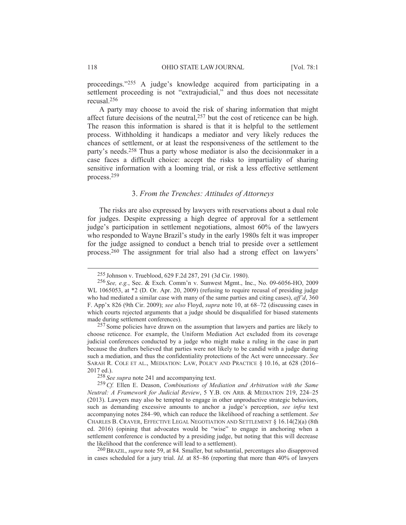proceedings."255 A judge's knowledge acquired from participating in a settlement proceeding is not "extrajudicial," and thus does not necessitate recusal.256

A party may choose to avoid the risk of sharing information that might affect future decisions of the neutral,257 but the cost of reticence can be high. The reason this information is shared is that it is helpful to the settlement process. Withholding it handicaps a mediator and very likely reduces the chances of settlement, or at least the responsiveness of the settlement to the party's needs.258 Thus a party whose mediator is also the decisionmaker in a case faces a difficult choice: accept the risks to impartiality of sharing sensitive information with a looming trial, or risk a less effective settlement process.259

# 3. *From the Trenches: Attitudes of Attorneys*

The risks are also expressed by lawyers with reservations about a dual role for judges. Despite expressing a high degree of approval for a settlement judge's participation in settlement negotiations, almost 60% of the lawyers who responded to Wayne Brazil's study in the early 1980s felt it was improper for the judge assigned to conduct a bench trial to preside over a settlement process.260 The assignment for trial also had a strong effect on lawyers'

258 *See supra* note 241 and accompanying text.

260BRAZIL, *supra* note 59, at 84. Smaller, but substantial, percentages also disapproved in cases scheduled for a jury trial. *Id.* at 85–86 (reporting that more than 40% of lawyers

 <sup>255</sup> Johnson v. Trueblood, 629 F.2d 287, 291 (3d Cir. 1980).

<sup>256</sup> *See, e.g.*, Sec. & Exch. Comm'n v. Sunwest Mgmt., Inc., No. 09-6056-HO, 2009 WL 1065053, at  $*2$  (D. Or. Apr. 20, 2009) (refusing to require recusal of presiding judge who had mediated a similar case with many of the same parties and citing cases), *aff'd*, 360 F. App'x 826 (9th Cir. 2009); *see also* Floyd, *supra* note 10, at 68–72 (discussing cases in which courts rejected arguments that a judge should be disqualified for biased statements made during settlement conferences).

<sup>&</sup>lt;sup>257</sup> Some policies have drawn on the assumption that lawyers and parties are likely to choose reticence. For example, the Uniform Mediation Act excluded from its coverage judicial conferences conducted by a judge who might make a ruling in the case in part because the drafters believed that parties were not likely to be candid with a judge during such a mediation, and thus the confidentiality protections of the Act were unnecessary. *See* SARAH R. COLE ET AL., MEDIATION: LAW, POLICY AND PRACTICE § 10.16, at 628 (2016– 2017 ed.).

<sup>259</sup>*Cf.* Ellen E. Deason, *Combinations of Mediation and Arbitration with the Same Neutral: A Framework for Judicial Review*, 5 Y.B. ON ARB. & MEDIATION 219, 224-25 (2013). Lawyers may also be tempted to engage in other unproductive strategic behaviors, such as demanding excessive amounts to anchor a judge's perception, *see infra* text accompanying notes 284–90, which can reduce the likelihood of reaching a settlement. *See*  CHARLES B. CRAVER, EFFECTIVE LEGAL NEGOTIATION AND SETTLEMENT § 16.14(2)(a) (8th ed. 2016) (opining that advocates would be "wise" to engage in anchoring when a settlement conference is conducted by a presiding judge, but noting that this will decrease the likelihood that the conference will lead to a settlement).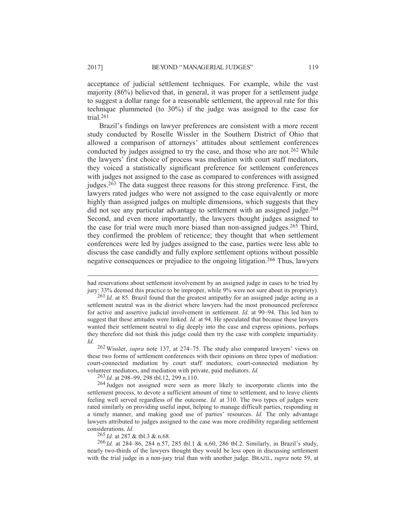acceptance of judicial settlement techniques. For example, while the vast majority (86%) believed that, in general, it was proper for a settlement judge to suggest a dollar range for a reasonable settlement, the approval rate for this technique plummeted (to 30%) if the judge was assigned to the case for trial.261

Brazil's findings on lawyer preferences are consistent with a more recent study conducted by Roselle Wissler in the Southern District of Ohio that allowed a comparison of attorneys' attitudes about settlement conferences conducted by judges assigned to try the case, and those who are not.262 While the lawyers' first choice of process was mediation with court staff mediators, they voiced a statistically significant preference for settlement conferences with judges not assigned to the case as compared to conferences with assigned judges.263 The data suggest three reasons for this strong preference. First, the lawyers rated judges who were not assigned to the case equivalently or more highly than assigned judges on multiple dimensions, which suggests that they did not see any particular advantage to settlement with an assigned judge.264 Second, and even more importantly, the lawyers thought judges assigned to the case for trial were much more biased than non-assigned judges.265 Third, they confirmed the problem of reticence; they thought that when settlement conferences were led by judges assigned to the case, parties were less able to discuss the case candidly and fully explore settlement options without possible negative consequences or prejudice to the ongoing litigation.266 Thus, lawyers

262 Wissler, *supra* note 137, at 274–75. The study also compared lawyers' views on these two forms of settlement conferences with their opinions on three types of mediation: court-connected mediation by court staff mediators, court-connected mediation by volunteer mediators, and mediation with private, paid mediators. *Id.*

263 *Id.* at 298–99, 298 tbl.12, 299 n.110.

265 *Id.* at 287 & tbl.3 & n.68.

266 *Id.* at 284–86, 284 n.57, 285 tbl.1 & n.60, 286 tbl.2. Similarly, in Brazil's study, nearly two-thirds of the lawyers thought they would be less open in discussing settlement with the trial judge in a non-jury trial than with another judge. BRAZIL, *supra* note 59, at

had reservations about settlement involvement by an assigned judge in cases to be tried by jury: 33% deemed this practice to be improper, while 9% were not sure about its propriety).

<sup>261</sup> *Id.* at 85. Brazil found that the greatest antipathy for an assigned judge acting as a settlement neutral was in the district where lawyers had the most pronounced preference for active and assertive judicial involvement in settlement. *Id.* at 90–94. This led him to suggest that these attitudes were linked. *Id.* at 94. He speculated that because these lawyers wanted their settlement neutral to dig deeply into the case and express opinions, perhaps they therefore did not think this judge could then try the case with complete impartiality. *Id.*

<sup>264</sup> Judges not assigned were seen as more likely to incorporate clients into the settlement process, to devote a sufficient amount of time to settlement, and to leave clients feeling well served regardless of the outcome. *Id.* at 310. The two types of judges were rated similarly on providing useful input, helping to manage difficult parties, responding in a timely manner, and making good use of parties' resources. *Id.* The only advantage lawyers attributed to judges assigned to the case was more credibility regarding settlement considerations. *Id.*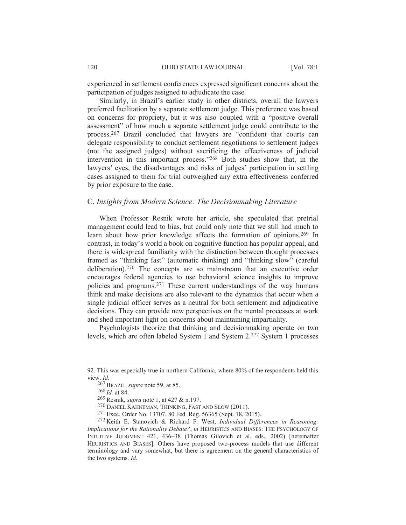experienced in settlement conferences expressed significant concerns about the participation of judges assigned to adjudicate the case.

Similarly, in Brazil's earlier study in other districts, overall the lawyers preferred facilitation by a separate settlement judge. This preference was based on concerns for propriety, but it was also coupled with a "positive overall assessment" of how much a separate settlement judge could contribute to the process.267 Brazil concluded that lawyers are "confident that courts can delegate responsibility to conduct settlement negotiations to settlement judges (not the assigned judges) without sacrificing the effectiveness of judicial intervention in this important process."268 Both studies show that, in the lawyers' eyes, the disadvantages and risks of judges' participation in settling cases assigned to them for trial outweighed any extra effectiveness conferred by prior exposure to the case.

# C. *Insights from Modern Science: The Decisionmaking Literature*

When Professor Resnik wrote her article, she speculated that pretrial management could lead to bias, but could only note that we still had much to learn about how prior knowledge affects the formation of opinions.269 In contrast, in today's world a book on cognitive function has popular appeal, and there is widespread familiarity with the distinction between thought processes framed as "thinking fast" (automatic thinking) and "thinking slow" (careful deliberation).270 The concepts are so mainstream that an executive order encourages federal agencies to use behavioral science insights to improve policies and programs.271 These current understandings of the way humans think and make decisions are also relevant to the dynamics that occur when a single judicial officer serves as a neutral for both settlement and adjudicative decisions. They can provide new perspectives on the mental processes at work and shed important light on concerns about maintaining impartiality.

Psychologists theorize that thinking and decisionmaking operate on two levels, which are often labeled System 1 and System 2.272 System 1 processes

268 *Id.* at 84.

<sup>92.</sup> This was especially true in northern California, where 80% of the respondents held this view. *Id.*

<sup>267</sup>BRAZIL, *supra* note 59, at 85.

<sup>269</sup>Resnik, *supra* note 1, at 427 & n.197.

<sup>270</sup> DANIEL KAHNEMAN, THINKING, FAST AND SLOW (2011).

<sup>271</sup> Exec. Order No. 13707, 80 Fed. Reg. 56365 (Sept. 18, 2015).

<sup>272</sup> Keith E. Stanovich & Richard F. West, *Individual Differences in Reasoning: Implications for the Rationality Debate?*, *in* HEURISTICS AND BIASES: THE PSYCHOLOGY OF INTUITIVE JUDGMENT 421, 436–38 (Thomas Gilovich et al. eds., 2002) [hereinafter HEURISTICS AND BIASES]. Others have proposed two-process models that use different terminology and vary somewhat, but there is agreement on the general characteristics of the two systems. *Id.*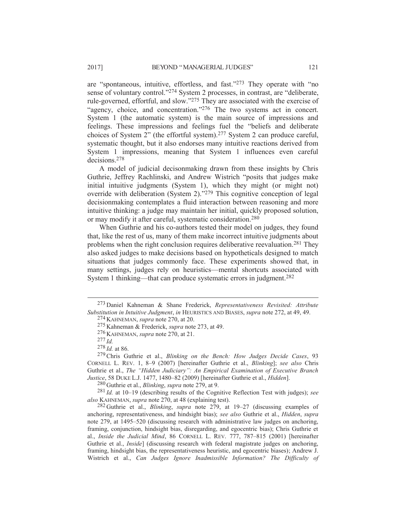are "spontaneous, intuitive, effortless, and fast."273 They operate with "no sense of voluntary control."274 System 2 processes, in contrast, are "deliberate, rule-governed, effortful, and slow."275 They are associated with the exercise of "agency, choice, and concentration."<sup>276</sup> The two systems act in concert. System 1 (the automatic system) is the main source of impressions and feelings. These impressions and feelings fuel the "beliefs and deliberate choices of System 2" (the effortful system).277 System 2 can produce careful, systematic thought, but it also endorses many intuitive reactions derived from System 1 impressions, meaning that System 1 influences even careful decisions.278

A model of judicial decisonmaking drawn from these insights by Chris Guthrie, Jeffrey Rachlinski, and Andrew Wistrich "posits that judges make initial intuitive judgments (System 1), which they might (or might not) override with deliberation (System 2)."279 This cognitive conception of legal decisionmaking contemplates a fluid interaction between reasoning and more intuitive thinking: a judge may maintain her initial, quickly proposed solution, or may modify it after careful, systematic consideration.280

When Guthrie and his co-authors tested their model on judges, they found that, like the rest of us, many of them make incorrect intuitive judgments about problems when the right conclusion requires deliberative reevaluation.281 They also asked judges to make decisions based on hypotheticals designed to match situations that judges commonly face. These experiments showed that, in many settings, judges rely on heuristics—mental shortcuts associated with System 1 thinking—that can produce systematic errors in judgment.282

 <sup>273</sup> Daniel Kahneman & Shane Frederick, *Representativeness Revisited: Attribute Substitution in Intuitive Judgment*, *in* HEURISTICS AND BIASES, *supra* note 272, at 49, 49.

<sup>274</sup> KAHNEMAN, *supra* note 270, at 20.

<sup>275</sup> Kahneman & Frederick, *supra* note 273, at 49.

<sup>276</sup> KAHNEMAN, *supra* note 270, at 21.

<sup>277</sup> *Id.*

<sup>278</sup> *Id.* at 86.

<sup>279</sup>Chris Guthrie et al., *Blinking on the Bench: How Judges Decide Cases*, 93 CORNELL L. REV. 1, 8–9 (2007) [hereinafter Guthrie et al., *Blinking*]; *see also* Chris Guthrie et al., *The "Hidden Judiciary": An Empirical Examination of Executive Branch Justice*, 58 DUKE L.J. 1477, 1480–82 (2009) [hereinafter Guthrie et al., *Hidden*].

<sup>280</sup> Guthrie et al., *Blinking*, *supra* note 279, at 9.

<sup>281</sup> *Id.* at 10–19 (describing results of the Cognitive Reflection Test with judges); *see also* KAHNEMAN, *supra* note 270, at 48 (explaining test).

<sup>282</sup> Guthrie et al., *Blinking*, *supra* note 279, at 19–27 (discussing examples of anchoring, representativeness, and hindsight bias); *see also* Guthrie et al., *Hidden*, *supra* note 279, at 1495–520 (discussing research with administrative law judges on anchoring, framing, conjunction, hindsight bias, disregarding, and egocentric bias); Chris Guthrie et al., *Inside the Judicial Mind*, 86 CORNELL L. REV. 777, 787–815 (2001) [hereinafter Guthrie et al., *Inside*] (discussing research with federal magistrate judges on anchoring, framing, hindsight bias, the representativeness heuristic, and egocentric biases); Andrew J. Wistrich et al., *Can Judges Ignore Inadmissible Information? The Difficulty of*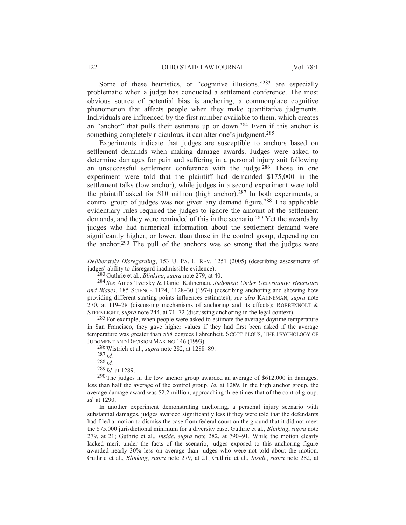Some of these heuristics, or "cognitive illusions,"<sup>283</sup> are especially problematic when a judge has conducted a settlement conference. The most obvious source of potential bias is anchoring, a commonplace cognitive phenomenon that affects people when they make quantitative judgments. Individuals are influenced by the first number available to them, which creates an "anchor" that pulls their estimate up or down.284 Even if this anchor is something completely ridiculous, it can alter one's judgment.<sup>285</sup>

Experiments indicate that judges are susceptible to anchors based on settlement demands when making damage awards. Judges were asked to determine damages for pain and suffering in a personal injury suit following an unsuccessful settlement conference with the judge.286 Those in one experiment were told that the plaintiff had demanded \$175,000 in the settlement talks (low anchor), while judges in a second experiment were told the plaintiff asked for \$10 million (high anchor).287 In both experiments, a control group of judges was not given any demand figure.<sup>288</sup> The applicable evidentiary rules required the judges to ignore the amount of the settlement demands, and they were reminded of this in the scenario.289 Yet the awards by judges who had numerical information about the settlement demand were significantly higher, or lower, than those in the control group, depending on the anchor.290 The pull of the anchors was so strong that the judges were

*Deliberately Disregarding*, 153 U. PA. L. REV. 1251 (2005) (describing assessments of judges' ability to disregard inadmissible evidence).

283 Guthrie et al., *Blinking*, *supra* note 279, at 40.

284 *See* Amos Tversky & Daniel Kahneman, *Judgment Under Uncertainty: Heuristics and Biases*, 185 SCIENCE 1124, 1128–30 (1974) (describing anchoring and showing how providing different starting points influences estimates); *see also* KAHNEMAN, *supra* note 270, at 119–28 (discussing mechanisms of anchoring and its effects); ROBBENNOLT  $\&$ STERNLIGHT, *supra* note 244, at 71–72 (discussing anchoring in the legal context).

<sup>285</sup> For example, when people were asked to estimate the average daytime temperature in San Francisco, they gave higher values if they had first been asked if the average temperature was greater than 558 degrees Fahrenheit. SCOTT PLOUS, THE PSYCHOLOGY OF JUDGMENT AND DECISION MAKING 146 (1993).

286 Wistrich et al., *supra* note 282, at 1288–89.

287 *Id.*

 $\overline{a}$ 

288 *Id.*

289 *Id.* at 1289.

290 The judges in the low anchor group awarded an average of \$612,000 in damages, less than half the average of the control group. *Id.* at 1289. In the high anchor group, the average damage award was \$2.2 million, approaching three times that of the control group. *Id.* at 1290.

In another experiment demonstrating anchoring, a personal injury scenario with substantial damages, judges awarded significantly less if they were told that the defendants had filed a motion to dismiss the case from federal court on the ground that it did not meet the \$75,000 jurisdictional minimum for a diversity case. Guthrie et al., *Blinking*, *supra* note 279, at 21; Guthrie et al., *Inside*, *supra* note 282, at 790–91. While the motion clearly lacked merit under the facts of the scenario, judges exposed to this anchoring figure awarded nearly 30% less on average than judges who were not told about the motion. Guthrie et al., *Blinking*, *supra* note 279, at 21; Guthrie et al., *Inside*, *supra* note 282, at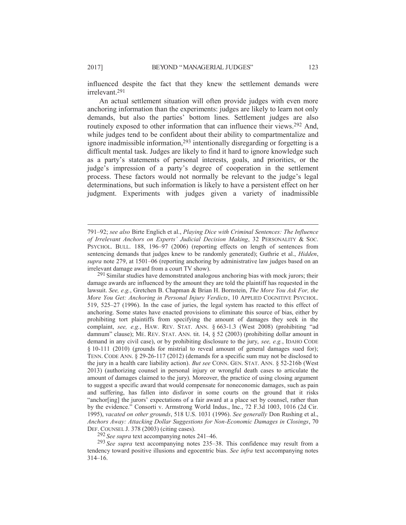influenced despite the fact that they knew the settlement demands were irrelevant.291

An actual settlement situation will often provide judges with even more anchoring information than the experiments: judges are likely to learn not only demands, but also the parties' bottom lines. Settlement judges are also routinely exposed to other information that can influence their views.<sup>292</sup> And, while judges tend to be confident about their ability to compartmentalize and ignore inadmissible information,293 intentionally disregarding or forgetting is a difficult mental task. Judges are likely to find it hard to ignore knowledge such as a party's statements of personal interests, goals, and priorities, or the judge's impression of a party's degree of cooperation in the settlement process. These factors would not normally be relevant to the judge's legal determinations, but such information is likely to have a persistent effect on her judgment. Experiments with judges given a variety of inadmissible

292 *See supra* text accompanying notes 241–46.

293 *See supra* text accompanying notes 235–38. This confidence may result from a tendency toward positive illusions and egocentric bias. *See infra* text accompanying notes 314–16.

<sup>791–92;</sup> *see also* Birte Englich et al., *Playing Dice with Criminal Sentences: The Influence of Irrelevant Anchors on Experts' Judicial Decision Making*, 32 PERSONALITY & SOC. PSYCHOL. BULL. 188, 196–97 (2006) (reporting effects on length of sentences from sentencing demands that judges knew to be randomly generated); Guthrie et al., *Hidden*, *supra* note 279, at 1501–06 (reporting anchoring by administrative law judges based on an irrelevant damage award from a court TV show).

<sup>&</sup>lt;sup>291</sup> Similar studies have demonstrated analogous anchoring bias with mock jurors; their damage awards are influenced by the amount they are told the plaintiff has requested in the lawsuit. *See, e.g.*, Gretchen B. Chapman & Brian H. Bornstein, *The More You Ask For, the More You Get: Anchoring in Personal Injury Verdicts*, 10 APPLIED COGNITIVE PSYCHOL. 519, 525–27 (1996). In the case of juries, the legal system has reacted to this effect of anchoring. Some states have enacted provisions to eliminate this source of bias, either by prohibiting tort plaintiffs from specifying the amount of damages they seek in the complaint, *see, e.g.*, HAW. REV. STAT. ANN. § 663-1.3 (West 2008) (prohibiting "ad damnum" clause); ME. REV. STAT. ANN. tit. 14, § 52 (2003) (prohibiting dollar amount in demand in any civil case), or by prohibiting disclosure to the jury, *see, e.g.*, IDAHO CODE § 10-111 (2010) (grounds for mistrial to reveal amount of general damages sued for); TENN. CODE ANN. § 29-26-117 (2012) (demands for a specific sum may not be disclosed to the jury in a health care liability action). *But see* CONN. GEN. STAT. ANN. § 52-216b (West 2013) (authorizing counsel in personal injury or wrongful death cases to articulate the amount of damages claimed to the jury). Moreover, the practice of using closing argument to suggest a specific award that would compensate for noneconomic damages, such as pain and suffering, has fallen into disfavor in some courts on the ground that it risks "anchor[ing] the jurors' expectations of a fair award at a place set by counsel, rather than by the evidence." Consorti v. Armstrong World Indus., Inc., 72 F.3d 1003, 1016 (2d Cir. 1995), *vacated on other grounds*, 518 U.S. 1031 (1996). *See generally* Don Rushing et al., *Anchors Away: Attacking Dollar Suggestions for Non-Economic Damages in Closings*, 70 DEF. COUNSEL J. 378 (2003) (citing cases).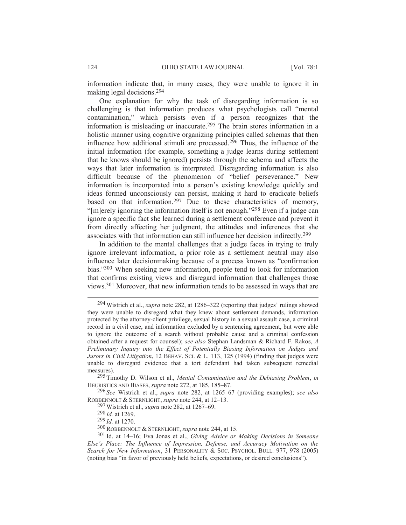information indicate that, in many cases, they were unable to ignore it in making legal decisions.294

One explanation for why the task of disregarding information is so challenging is that information produces what psychologists call "mental contamination," which persists even if a person recognizes that the information is misleading or inaccurate.295 The brain stores information in a holistic manner using cognitive organizing principles called schemas that then influence how additional stimuli are processed.<sup>296</sup> Thus, the influence of the initial information (for example, something a judge learns during settlement that he knows should be ignored) persists through the schema and affects the ways that later information is interpreted. Disregarding information is also difficult because of the phenomenon of "belief perseverance." New information is incorporated into a person's existing knowledge quickly and ideas formed unconsciously can persist, making it hard to eradicate beliefs based on that information.<sup>297</sup> Due to these characteristics of memory, "[m]erely ignoring the information itself is not enough."298 Even if a judge can ignore a specific fact she learned during a settlement conference and prevent it from directly affecting her judgment, the attitudes and inferences that she associates with that information can still influence her decision indirectly.299

In addition to the mental challenges that a judge faces in trying to truly ignore irrelevant information, a prior role as a settlement neutral may also influence later decisionmaking because of a process known as "confirmation bias."300 When seeking new information, people tend to look for information that confirms existing views and disregard information that challenges those views.301 Moreover, that new information tends to be assessed in ways that are

 <sup>294</sup> Wistrich et al., *supra* note 282, at 1286–322 (reporting that judges' rulings showed they were unable to disregard what they knew about settlement demands, information protected by the attorney-client privilege, sexual history in a sexual assault case, a criminal record in a civil case, and information excluded by a sentencing agreement, but were able to ignore the outcome of a search without probable cause and a criminal confession obtained after a request for counsel); *see also* Stephan Landsman & Richard F. Rakos, *A Preliminary Inquiry into the Effect of Potentially Biasing Information on Judges and Jurors in Civil Litigation*, 12 BEHAV. SCI. & L. 113, 125 (1994) (finding that judges were unable to disregard evidence that a tort defendant had taken subsequent remedial measures).

<sup>295</sup> Timothy D. Wilson et al., *Mental Contamination and the Debiasing Problem*, *in*  HEURISTICS AND BIASES, *supra* note 272, at 185, 185–87.

<sup>296</sup> *See* Wistrich et al., *supra* note 282, at 1265–67 (providing examples); *see also* ROBBENNOLT & STERNLIGHT, *supra* note 244, at 12–13.

<sup>297</sup> Wistrich et al., *supra* note 282, at 1267–69.

<sup>298</sup> *Id.* at 1269.

<sup>299</sup> *Id.* at 1270.

<sup>300</sup>ROBBENNOLT & STERNLIGHT, *supra* note 244, at 15.

<sup>301</sup> Id. at 14–16; Eva Jonas et al., *Giving Advice or Making Decisions in Someone Else's Place: The Influence of Impression, Defense, and Accuracy Motivation on the Search for New Information*, 31 PERSONALITY & SOC. PSYCHOL. BULL. 977, 978 (2005) (noting bias "in favor of previously held beliefs, expectations, or desired conclusions").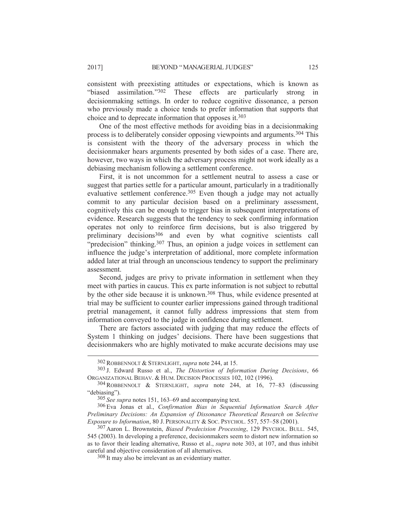consistent with preexisting attitudes or expectations, which is known as "biased assimilation."302 These effects are particularly strong in decisionmaking settings. In order to reduce cognitive dissonance, a person who previously made a choice tends to prefer information that supports that choice and to deprecate information that opposes it.303

One of the most effective methods for avoiding bias in a decisionmaking process is to deliberately consider opposing viewpoints and arguments.304 This is consistent with the theory of the adversary process in which the decisionmaker hears arguments presented by both sides of a case. There are, however, two ways in which the adversary process might not work ideally as a debiasing mechanism following a settlement conference.

First, it is not uncommon for a settlement neutral to assess a case or suggest that parties settle for a particular amount, particularly in a traditionally evaluative settlement conference.<sup>305</sup> Even though a judge may not actually commit to any particular decision based on a preliminary assessment, cognitively this can be enough to trigger bias in subsequent interpretations of evidence. Research suggests that the tendency to seek confirming information operates not only to reinforce firm decisions, but is also triggered by preliminary decisions306 and even by what cognitive scientists call "predecision" thinking.<sup>307</sup> Thus, an opinion a judge voices in settlement can influence the judge's interpretation of additional, more complete information added later at trial through an unconscious tendency to support the preliminary assessment.

Second, judges are privy to private information in settlement when they meet with parties in caucus. This ex parte information is not subject to rebuttal by the other side because it is unknown.<sup>308</sup> Thus, while evidence presented at trial may be sufficient to counter earlier impressions gained through traditional pretrial management, it cannot fully address impressions that stem from information conveyed to the judge in confidence during settlement.

There are factors associated with judging that may reduce the effects of System 1 thinking on judges' decisions. There have been suggestions that decisionmakers who are highly motivated to make accurate decisions may use

 <sup>302</sup>ROBBENNOLT & STERNLIGHT, *supra* note 244, at 15.

<sup>303</sup> J. Edward Russo et al., *The Distortion of Information During Decisions*, 66 ORGANIZATIONAL BEHAV. & HUM. DECISION PROCESSES 102, 102 (1996).

<sup>304</sup>ROBBENNOLT & STERNLIGHT, *supra* note 244, at 16, 77–83 (discussing "debiasing").

<sup>305</sup> *See supra* notes 151, 163–69 and accompanying text.

<sup>306</sup> Eva Jonas et al., *Confirmation Bias in Sequential Information Search After Preliminary Decisions: An Expansion of Dissonance Theoretical Research on Selective Exposure to Information*, 80 J. PERSONALITY & SOC. PSYCHOL. 557, 557–58 (2001).

<sup>307</sup> Aaron L. Brownstein, *Biased Predecision Processing*, 129 PSYCHOL. BULL. 545, 545 (2003). In developing a preference, decisionmakers seem to distort new information so as to favor their leading alternative, Russo et al., *supra* note 303, at 107, and thus inhibit careful and objective consideration of all alternatives.

<sup>308</sup> It may also be irrelevant as an evidentiary matter.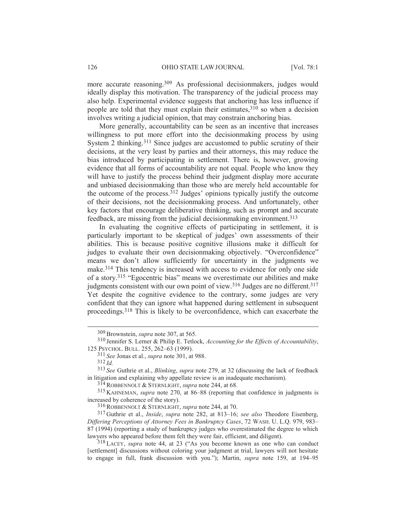more accurate reasoning.309 As professional decisionmakers, judges would ideally display this motivation. The transparency of the judicial process may also help. Experimental evidence suggests that anchoring has less influence if people are told that they must explain their estimates,  $310$  so when a decision involves writing a judicial opinion, that may constrain anchoring bias.

More generally, accountability can be seen as an incentive that increases willingness to put more effort into the decisionmaking process by using System 2 thinking.<sup>311</sup> Since judges are accustomed to public scrutiny of their decisions, at the very least by parties and their attorneys, this may reduce the bias introduced by participating in settlement. There is, however, growing evidence that all forms of accountability are not equal. People who know they will have to justify the process behind their judgment display more accurate and unbiased decisionmaking than those who are merely held accountable for the outcome of the process. $3^{312}$  Judges' opinions typically justify the outcome of their decisions, not the decisionmaking process. And unfortunately, other key factors that encourage deliberative thinking, such as prompt and accurate feedback, are missing from the judicial decisionmaking environment.313

In evaluating the cognitive effects of participating in settlement, it is particularly important to be skeptical of judges' own assessments of their abilities. This is because positive cognitive illusions make it difficult for judges to evaluate their own decisionmaking objectively. "Overconfidence" means we don't allow sufficiently for uncertainty in the judgments we make.314 This tendency is increased with access to evidence for only one side of a story.315 "Egocentric bias" means we overestimate our abilities and make judgments consistent with our own point of view.<sup>316</sup> Judges are no different.<sup>317</sup> Yet despite the cognitive evidence to the contrary, some judges are very confident that they can ignore what happened during settlement in subsequent proceedings.318 This is likely to be overconfidence, which can exacerbate the

311 *See* Jonas et al., *supra* note 301, at 988.

312 *Id.*

 <sup>309</sup>Brownstein, *supra* note 307, at 565.

<sup>310</sup> Jennifer S. Lerner & Philip E. Tetlock, *Accounting for the Effects of Accountability*, 125 PSYCHOL. BULL. 255, 262–63 (1999).

<sup>313</sup> *See* Guthrie et al., *Blinking*, *supra* note 279, at 32 (discussing the lack of feedback in litigation and explaining why appellate review is an inadequate mechanism).

<sup>314</sup>ROBBENNOLT & STERNLIGHT, *supra* note 244, at 68.

<sup>315</sup> KAHNEMAN, *supra* note 270, at 86–88 (reporting that confidence in judgments is increased by coherence of the story).

<sup>316</sup>ROBBENNOLT & STERNLIGHT, *supra* note 244, at 70.

<sup>317</sup> Guthrie et al., *Inside*, *supra* note 282, at 813–16; *see also* Theodore Eisenberg, *Differing Perceptions of Attorney Fees in Bankruptcy Cases*, 72 WASH. U. L.Q. 979, 983– 87 (1994) (reporting a study of bankruptcy judges who overestimated the degree to which lawyers who appeared before them felt they were fair, efficient, and diligent).

<sup>318</sup> LACEY, *supra* note 44, at 23 ("As you become known as one who can conduct [settlement] discussions without coloring your judgment at trial, lawyers will not hesitate to engage in full, frank discussion with you."); Martin, *supra* note 159, at 194–95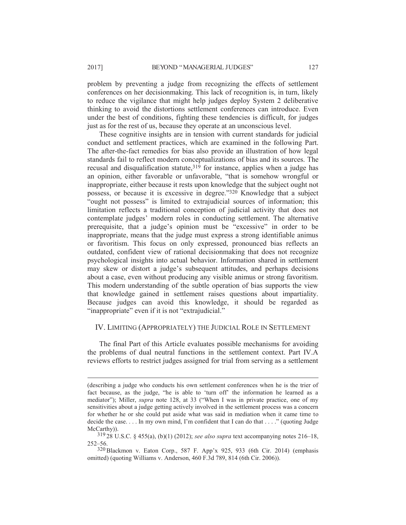problem by preventing a judge from recognizing the effects of settlement conferences on her decisionmaking. This lack of recognition is, in turn, likely to reduce the vigilance that might help judges deploy System 2 deliberative thinking to avoid the distortions settlement conferences can introduce. Even under the best of conditions, fighting these tendencies is difficult, for judges just as for the rest of us, because they operate at an unconscious level.

These cognitive insights are in tension with current standards for judicial conduct and settlement practices, which are examined in the following Part. The after-the-fact remedies for bias also provide an illustration of how legal standards fail to reflect modern conceptualizations of bias and its sources. The recusal and disqualification statute, $31\overline{9}$  for instance, applies when a judge has an opinion, either favorable or unfavorable, "that is somehow wrongful or inappropriate, either because it rests upon knowledge that the subject ought not possess, or because it is excessive in degree."320 Knowledge that a subject "ought not possess" is limited to extrajudicial sources of information; this limitation reflects a traditional conception of judicial activity that does not contemplate judges' modern roles in conducting settlement. The alternative prerequisite, that a judge's opinion must be "excessive" in order to be inappropriate, means that the judge must express a strong identifiable animus or favoritism. This focus on only expressed, pronounced bias reflects an outdated, confident view of rational decisionmaking that does not recognize psychological insights into actual behavior. Information shared in settlement may skew or distort a judge's subsequent attitudes, and perhaps decisions about a case, even without producing any visible animus or strong favoritism. This modern understanding of the subtle operation of bias supports the view that knowledge gained in settlement raises questions about impartiality. Because judges can avoid this knowledge, it should be regarded as "inappropriate" even if it is not "extrajudicial."

# IV. LIMITING (APPROPRIATELY) THE JUDICIAL ROLE IN SETTLEMENT

The final Part of this Article evaluates possible mechanisms for avoiding the problems of dual neutral functions in the settlement context. Part IV.A reviews efforts to restrict judges assigned for trial from serving as a settlement

<sup>(</sup>describing a judge who conducts his own settlement conferences when he is the trier of fact because, as the judge, "he is able to 'turn off' the information he learned as a mediator"); Miller, *supra* note 128, at 33 ("When I was in private practice, one of my sensitivities about a judge getting actively involved in the settlement process was a concern for whether he or she could put aside what was said in mediation when it came time to decide the case... In my own mind, I'm confident that I can do that  $\dots$ ." (quoting Judge McCarthy).

<sup>319</sup> 28 U.S.C. § 455(a), (b)(1) (2012); *see also supra* text accompanying notes 216–18, 252–56.

<sup>320</sup>Blackmon v. Eaton Corp., 587 F. App'x 925, 933 (6th Cir. 2014) (emphasis omitted) (quoting Williams v. Anderson, 460 F.3d 789, 814 (6th Cir. 2006)).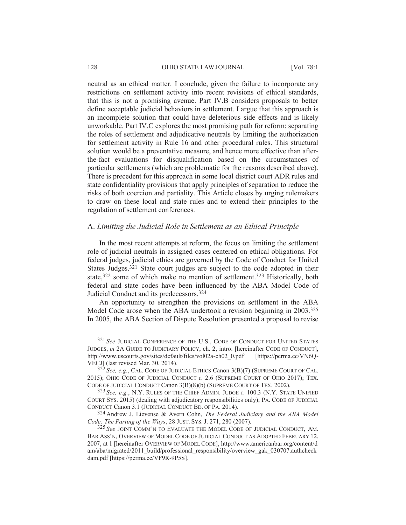#### 128 **OHIO STATE LAW JOURNAL** [Vol. 78:1]

neutral as an ethical matter. I conclude, given the failure to incorporate any restrictions on settlement activity into recent revisions of ethical standards, that this is not a promising avenue. Part IV.B considers proposals to better define acceptable judicial behaviors in settlement. I argue that this approach is an incomplete solution that could have deleterious side effects and is likely unworkable. Part IV.C explores the most promising path for reform: separating the roles of settlement and adjudicative neutrals by limiting the authorization for settlement activity in Rule 16 and other procedural rules. This structural solution would be a preventative measure, and hence more effective than afterthe-fact evaluations for disqualification based on the circumstances of particular settlements (which are problematic for the reasons described above). There is precedent for this approach in some local district court ADR rules and state confidentiality provisions that apply principles of separation to reduce the risks of both coercion and partiality. This Article closes by urging rulemakers to draw on these local and state rules and to extend their principles to the regulation of settlement conferences.

# A. *Limiting the Judicial Role in Settlement as an Ethical Principle*

In the most recent attempts at reform, the focus on limiting the settlement role of judicial neutrals in assigned cases centered on ethical obligations. For federal judges, judicial ethics are governed by the Code of Conduct for United States Judges.321 State court judges are subject to the code adopted in their state,<sup>322</sup> some of which make no mention of settlement.<sup>323</sup> Historically, both federal and state codes have been influenced by the ABA Model Code of Judicial Conduct and its predecessors.324

An opportunity to strengthen the provisions on settlement in the ABA Model Code arose when the ABA undertook a revision beginning in 2003.<sup>325</sup> In 2005, the ABA Section of Dispute Resolution presented a proposal to revise

 <sup>321</sup> *See* JUDICIAL CONFERENCE OF THE U.S., CODE OF CONDUCT FOR UNITED STATES JUDGES, *in* 2A GUIDE TO JUDICIARY POLICY, ch. 2, intro. [hereinafter CODE OF CONDUCT], http://www.uscourts.gov/sites/default/files/vol02a-ch02\_0.pdf [https://perma.cc/VN6Q-VECJ] (last revised Mar. 30, 2014).

<sup>322</sup> *See, e.g.*, CAL. CODE OF JUDICIAL ETHICS Canon 3(B)(7) (SUPREME COURT OF CAL. 2015); OHIO CODE OF JUDICIAL CONDUCT r. 2.6 (SUPREME COURT OF OHIO 2017); TEX. CODE OF JUDICIAL CONDUCT Canon 3(B)(8)(b) (SUPREME COURT OF TEX. 2002).

<sup>323</sup> *See, e.g.*, N.Y. RULES OF THE CHIEF ADMIN. JUDGE r. 100.3 (N.Y. STATE UNIFIED COURT SYS. 2015) (dealing with adjudicatory responsibilities only); PA. CODE OF JUDICIAL CONDUCT Canon 3.1 (JUDICIAL CONDUCT BD. OF PA. 2014).

<sup>324</sup> Andrew J. Lievense & Avern Cohn, *The Federal Judiciary and the ABA Model Code: The Parting of the Ways*, 28 JUST. SYS. J. 271, 280 (2007).

<sup>325</sup> *See* JOINT COMM'N TO EVALUATE THE MODEL CODE OF JUDICIAL CONDUCT, AM. BAR ASS'N, OVERVIEW OF MODEL CODE OF JUDICIAL CONDUCT AS ADOPTED FEBRUARY 12, 2007, at 1 [hereinafter OVERVIEW OF MODEL CODE], http://www.americanbar.org/content/d am/aba/migrated/2011\_build/professional\_responsibility/overview\_gak\_030707.authcheck dam.pdf [https://perma.cc/VF9R-9P5S].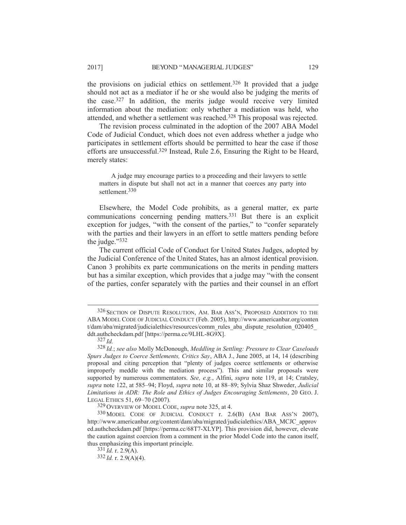the provisions on judicial ethics on settlement.326 It provided that a judge should not act as a mediator if he or she would also be judging the merits of the case.327 In addition, the merits judge would receive very limited information about the mediation: only whether a mediation was held, who attended, and whether a settlement was reached.<sup>328</sup> This proposal was rejected.

The revision process culminated in the adoption of the 2007 ABA Model Code of Judicial Conduct, which does not even address whether a judge who participates in settlement efforts should be permitted to hear the case if those efforts are unsuccessful.329 Instead, Rule 2.6, Ensuring the Right to be Heard, merely states:

A judge may encourage parties to a proceeding and their lawyers to settle matters in dispute but shall not act in a manner that coerces any party into settlement.<sup>330</sup>

Elsewhere, the Model Code prohibits, as a general matter, ex parte communications concerning pending matters.331 But there is an explicit exception for judges, "with the consent of the parties," to "confer separately with the parties and their lawyers in an effort to settle matters pending before the judge."332

The current official Code of Conduct for United States Judges, adopted by the Judicial Conference of the United States, has an almost identical provision. Canon 3 prohibits ex parte communications on the merits in pending matters but has a similar exception, which provides that a judge may "with the consent of the parties, confer separately with the parties and their counsel in an effort

 <sup>326</sup> SECTION OF DISPUTE RESOLUTION, AM. BAR ASS'N, PROPOSED ADDITION TO THE ABA MODEL CODE OF JUDICIAL CONDUCT (Feb. 2005), http://www.americanbar.org/conten t/dam/aba/migrated/judicialethics/resources/comm\_rules\_aba\_dispute\_resolution\_020405\_ ddt.authcheckdam.pdf [https://perma.cc/9LHL-8G9X].

<sup>327</sup> *Id.*

<sup>328</sup> *Id.*; *see also* Molly McDonough, *Meddling in Settling: Pressure to Clear Caseloads Spurs Judges to Coerce Settlements, Critics Say*, ABA J., June 2005, at 14, 14 (describing proposal and citing perception that "plenty of judges coerce settlements or otherwise improperly meddle with the mediation process"). This and similar proposals were supported by numerous commentators. *See, e.g.*, Alfini, *supra* note 119, at 14; Cratsley, *supra* note 122, at 585–94; Floyd, *supra* note 10, at 88–89; Sylvia Shaz Shweder, *Judicial Limitations in ADR: The Role and Ethics of Judges Encouraging Settlements*, 20 GEO. J. LEGAL ETHICS 51, 69–70 (2007)*.* <sup>329</sup> OVERVIEW OF MODEL CODE, *supra* note 325, at 4.

<sup>330</sup> MODEL CODE OF JUDICIAL CONDUCT r. 2.6(B) (AM BAR ASS'N 2007), http://www.americanbar.org/content/dam/aba/migrated/judicialethics/ABA\_MCJC\_approv ed.authcheckdam.pdf [https://perma.cc/68T7-XLYP]. This provision did, however, elevate the caution against coercion from a comment in the prior Model Code into the canon itself, thus emphasizing this important principle.

 $331$   $\tilde{I}$ d. r. 2.9(A).

<sup>332</sup> *Id.* r. 2.9(A)(4).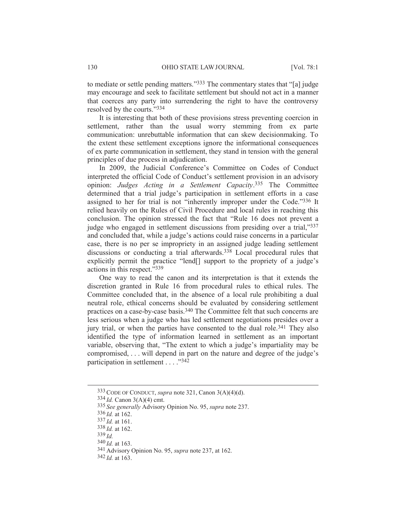to mediate or settle pending matters."333 The commentary states that "[a] judge may encourage and seek to facilitate settlement but should not act in a manner that coerces any party into surrendering the right to have the controversy resolved by the courts."334

It is interesting that both of these provisions stress preventing coercion in settlement, rather than the usual worry stemming from ex parte communication: unrebuttable information that can skew decisionmaking. To the extent these settlement exceptions ignore the informational consequences of ex parte communication in settlement, they stand in tension with the general principles of due process in adjudication.

In 2009, the Judicial Conference's Committee on Codes of Conduct interpreted the official Code of Conduct's settlement provision in an advisory opinion: *Judges Acting in a Settlement Capacity*. <sup>335</sup> The Committee determined that a trial judge's participation in settlement efforts in a case assigned to her for trial is not "inherently improper under the Code."336 It relied heavily on the Rules of Civil Procedure and local rules in reaching this conclusion. The opinion stressed the fact that "Rule 16 does not prevent a judge who engaged in settlement discussions from presiding over a trial,"337 and concluded that, while a judge's actions could raise concerns in a particular case, there is no per se impropriety in an assigned judge leading settlement discussions or conducting a trial afterwards.<sup>338</sup> Local procedural rules that explicitly permit the practice "lend[] support to the propriety of a judge's actions in this respect."339

One way to read the canon and its interpretation is that it extends the discretion granted in Rule 16 from procedural rules to ethical rules. The Committee concluded that, in the absence of a local rule prohibiting a dual neutral role, ethical concerns should be evaluated by considering settlement practices on a case-by-case basis.340 The Committee felt that such concerns are less serious when a judge who has led settlement negotiations presides over a jury trial, or when the parties have consented to the dual role.341 They also identified the type of information learned in settlement as an important variable, observing that, "The extent to which a judge's impartiality may be compromised, . . . will depend in part on the nature and degree of the judge's participation in settlement . . . . "342"

339 *Id.*

 <sup>333</sup>CODE OF CONDUCT, *supra* note 321, Canon 3(A)(4)(d).

<sup>334</sup> *Id.* Canon 3(A)(4) cmt.

<sup>335</sup> *See generally* Advisory Opinion No. 95, *supra* note 237.

<sup>336</sup> *Id.* at 162.

<sup>337</sup> *Id.* at 161.

<sup>338</sup> *Id.* at 162.

<sup>340</sup> *Id.* at 163.

<sup>341</sup> Advisory Opinion No. 95, *supra* note 237, at 162.

<sup>342</sup> *Id.* at 163.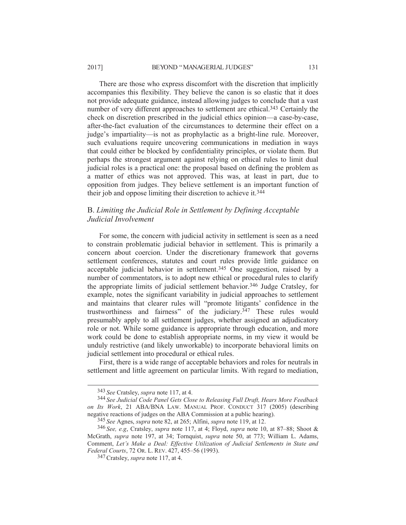#### 2017] BEYOND "MANAGERIAL JUDGES" 131

There are those who express discomfort with the discretion that implicitly accompanies this flexibility. They believe the canon is so elastic that it does not provide adequate guidance, instead allowing judges to conclude that a vast number of very different approaches to settlement are ethical.<sup>343</sup> Certainly the check on discretion prescribed in the judicial ethics opinion—a case-by-case, after-the-fact evaluation of the circumstances to determine their effect on a judge's impartiality—is not as prophylactic as a bright-line rule. Moreover, such evaluations require uncovering communications in mediation in ways that could either be blocked by confidentiality principles, or violate them. But perhaps the strongest argument against relying on ethical rules to limit dual judicial roles is a practical one: the proposal based on defining the problem as a matter of ethics was not approved. This was, at least in part, due to opposition from judges. They believe settlement is an important function of their job and oppose limiting their discretion to achieve it.344

# B. *Limiting the Judicial Role in Settlement by Defining Acceptable Judicial Involvement*

For some, the concern with judicial activity in settlement is seen as a need to constrain problematic judicial behavior in settlement. This is primarily a concern about coercion. Under the discretionary framework that governs settlement conferences, statutes and court rules provide little guidance on acceptable judicial behavior in settlement.345 One suggestion, raised by a number of commentators, is to adopt new ethical or procedural rules to clarify the appropriate limits of judicial settlement behavior.346 Judge Cratsley, for example, notes the significant variability in judicial approaches to settlement and maintains that clearer rules will "promote litigants' confidence in the trustworthiness and fairness" of the judiciary.347 These rules would presumably apply to all settlement judges, whether assigned an adjudicatory role or not. While some guidance is appropriate through education, and more work could be done to establish appropriate norms, in my view it would be unduly restrictive (and likely unworkable) to incorporate behavioral limits on judicial settlement into procedural or ethical rules.

First, there is a wide range of acceptable behaviors and roles for neutrals in settlement and little agreement on particular limits. With regard to mediation,

 <sup>343</sup> *See* Cratsley, *supra* note 117, at 4.

<sup>344</sup> *See Judicial Code Panel Gets Close to Releasing Full Draft, Hears More Feedback on Its Work*, 21 ABA/BNA LAW. MANUAL PROF. CONDUCT 317 (2005) (describing negative reactions of judges on the ABA Commission at a public hearing).

<sup>345</sup> *See* Agnes, *supra* note 82, at 265; Alfini, *supra* note 119, at 12.

<sup>346</sup> *See, e.g*, Cratsley, *supra* note 117, at 4; Floyd, *supra* note 10, at 87–88; Shoot & McGrath, *supra* note 197, at 34; Tornquist, *supra* note 50, at 773; William L. Adams, Comment, *Let's Make a Deal: Effective Utilization of Judicial Settlements in State and Federal Courts*, 72 OR. L. REV. 427, 455–56 (1993).

<sup>347</sup>Cratsley, *supra* note 117, at 4.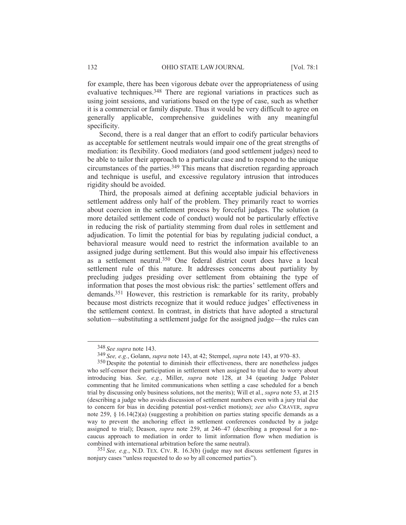for example, there has been vigorous debate over the appropriateness of using evaluative techniques.348 There are regional variations in practices such as using joint sessions, and variations based on the type of case, such as whether it is a commercial or family dispute. Thus it would be very difficult to agree on generally applicable, comprehensive guidelines with any meaningful specificity.

Second, there is a real danger that an effort to codify particular behaviors as acceptable for settlement neutrals would impair one of the great strengths of mediation: its flexibility. Good mediators (and good settlement judges) need to be able to tailor their approach to a particular case and to respond to the unique circumstances of the parties.349 This means that discretion regarding approach and technique is useful, and excessive regulatory intrusion that introduces rigidity should be avoided.

Third, the proposals aimed at defining acceptable judicial behaviors in settlement address only half of the problem. They primarily react to worries about coercion in the settlement process by forceful judges. The solution (a more detailed settlement code of conduct) would not be particularly effective in reducing the risk of partiality stemming from dual roles in settlement and adjudication. To limit the potential for bias by regulating judicial conduct, a behavioral measure would need to restrict the information available to an assigned judge during settlement. But this would also impair his effectiveness as a settlement neutral.350 One federal district court does have a local settlement rule of this nature. It addresses concerns about partiality by precluding judges presiding over settlement from obtaining the type of information that poses the most obvious risk: the parties' settlement offers and demands.351 However, this restriction is remarkable for its rarity, probably because most districts recognize that it would reduce judges' effectiveness in the settlement context. In contrast, in districts that have adopted a structural solution—substituting a settlement judge for the assigned judge—the rules can

351 *See, e.g.*, N.D. TEX. CIV. R. 16.3(b) (judge may not discuss settlement figures in nonjury cases "unless requested to do so by all concerned parties").

 <sup>348</sup> *See supra* note 143.

<sup>349</sup> *See, e.g.*, Golann, *supra* note 143, at 42; Stempel, *supra* note 143, at 970–83.

<sup>&</sup>lt;sup>350</sup> Despite the potential to diminish their effectiveness, there are nonetheless judges who self-censor their participation in settlement when assigned to trial due to worry about introducing bias. *See, e.g.*, Miller, *supra* note 128, at 34 (quoting Judge Polster commenting that he limited communications when settling a case scheduled for a bench trial by discussing only business solutions, not the merits); Will et al., *supra* note 53, at 215 (describing a judge who avoids discussion of settlement numbers even with a jury trial due to concern for bias in deciding potential post-verdict motions); *see also* CRAVER, *supra* note 259, § 16.14(2)(a) (suggesting a prohibition on parties stating specific demands as a way to prevent the anchoring effect in settlement conferences conducted by a judge assigned to trial); Deason, *supra* note 259, at 246–47 (describing a proposal for a nocaucus approach to mediation in order to limit information flow when mediation is combined with international arbitration before the same neutral).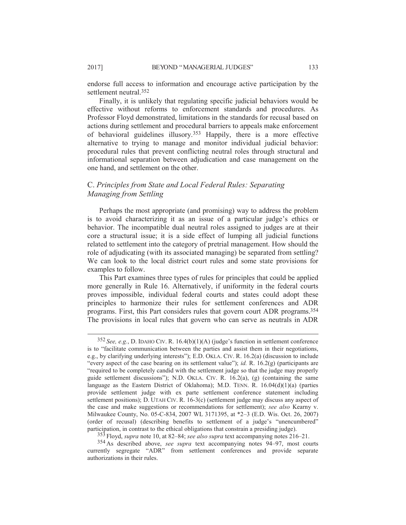endorse full access to information and encourage active participation by the settlement neutral.352

Finally, it is unlikely that regulating specific judicial behaviors would be effective without reforms to enforcement standards and procedures. As Professor Floyd demonstrated, limitations in the standards for recusal based on actions during settlement and procedural barriers to appeals make enforcement of behavioral guidelines illusory.353 Happily, there is a more effective alternative to trying to manage and monitor individual judicial behavior: procedural rules that prevent conflicting neutral roles through structural and informational separation between adjudication and case management on the one hand, and settlement on the other.

# C. *Principles from State and Local Federal Rules: Separating Managing from Settling*

Perhaps the most appropriate (and promising) way to address the problem is to avoid characterizing it as an issue of a particular judge's ethics or behavior. The incompatible dual neutral roles assigned to judges are at their core a structural issue; it is a side effect of lumping all judicial functions related to settlement into the category of pretrial management. How should the role of adjudicating (with its associated managing) be separated from settling? We can look to the local district court rules and some state provisions for examples to follow.

This Part examines three types of rules for principles that could be applied more generally in Rule 16. Alternatively, if uniformity in the federal courts proves impossible, individual federal courts and states could adopt these principles to harmonize their rules for settlement conferences and ADR programs. First, this Part considers rules that govern court ADR programs.354 The provisions in local rules that govern who can serve as neutrals in ADR

353 Floyd, *supra* note 10, at 82–84; *see also supra* text accompanying notes 216–21.

 <sup>352</sup> *See, e.g.*, D. IDAHO CIV. R. 16.4(b)(1)(A) (judge's function in settlement conference is to "facilitate communication between the parties and assist them in their negotiations, e.g., by clarifying underlying interests"); E.D. OKLA. CIV. R. 16.2(a) (discussion to include "every aspect of the case bearing on its settlement value"); *id.* R. 16.2(g) (participants are "required to be completely candid with the settlement judge so that the judge may properly guide settlement discussions"); N.D. OKLA. CIV. R.  $16.2(a)$ , (g) (containing the same language as the Eastern District of Oklahoma); M.D. TENN. R.  $16.04(d)(1)(a)$  (parties provide settlement judge with ex parte settlement conference statement including settlement positions); D. UTAH CIV. R. 16-3(c) (settlement judge may discuss any aspect of the case and make suggestions or recommendations for settlement); *see also* Kearny v. Milwaukee County, No. 05-C-834, 2007 WL 3171395, at \*2–3 (E.D. Wis. Oct. 26, 2007) (order of recusal) (describing benefits to settlement of a judge's "unencumbered" participation, in contrast to the ethical obligations that constrain a presiding judge).

<sup>354</sup> As described above, *see supra* text accompanying notes 94–97, most courts currently segregate "ADR" from settlement conferences and provide separate authorizations in their rules.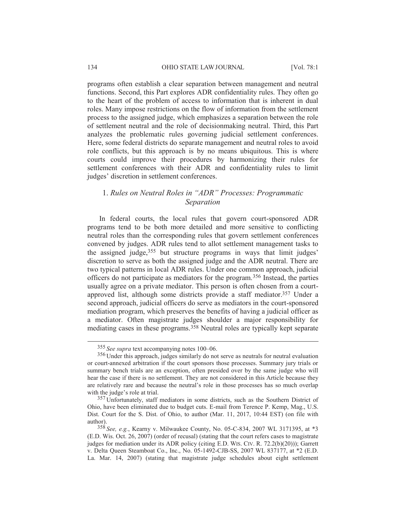programs often establish a clear separation between management and neutral functions. Second, this Part explores ADR confidentiality rules. They often go to the heart of the problem of access to information that is inherent in dual roles. Many impose restrictions on the flow of information from the settlement process to the assigned judge, which emphasizes a separation between the role of settlement neutral and the role of decisionmaking neutral. Third, this Part analyzes the problematic rules governing judicial settlement conferences. Here, some federal districts do separate management and neutral roles to avoid role conflicts, but this approach is by no means ubiquitous. This is where courts could improve their procedures by harmonizing their rules for settlement conferences with their ADR and confidentiality rules to limit judges' discretion in settlement conferences.

# 1. *Rules on Neutral Roles in "ADR" Processes: Programmatic Separation*

In federal courts, the local rules that govern court-sponsored ADR programs tend to be both more detailed and more sensitive to conflicting neutral roles than the corresponding rules that govern settlement conferences convened by judges. ADR rules tend to allot settlement management tasks to the assigned judge,<sup>355</sup> but structure programs in ways that limit judges' discretion to serve as both the assigned judge and the ADR neutral. There are two typical patterns in local ADR rules. Under one common approach, judicial officers do not participate as mediators for the program.356 Instead, the parties usually agree on a private mediator. This person is often chosen from a courtapproved list, although some districts provide a staff mediator.357 Under a second approach, judicial officers do serve as mediators in the court-sponsored mediation program, which preserves the benefits of having a judicial officer as a mediator. Often magistrate judges shoulder a major responsibility for mediating cases in these programs.358 Neutral roles are typically kept separate

 <sup>355</sup> *See supra* text accompanying notes 100–06.

<sup>356</sup> Under this approach, judges similarly do not serve as neutrals for neutral evaluation or court-annexed arbitration if the court sponsors those processes. Summary jury trials or summary bench trials are an exception, often presided over by the same judge who will hear the case if there is no settlement. They are not considered in this Article because they are relatively rare and because the neutral's role in those processes has so much overlap with the judge's role at trial.

<sup>&</sup>lt;sup>357</sup> Unfortunately, staff mediators in some districts, such as the Southern District of Ohio, have been eliminated due to budget cuts. E-mail from Terence P. Kemp, Mag., U.S. Dist. Court for the S. Dist. of Ohio, to author (Mar. 11, 2017, 10:44 EST) (on file with author).

<sup>358</sup> *See, e.g.*, Kearny v. Milwaukee County, No. 05-C-834, 2007 WL 3171395, at \*3 (E.D. Wis. Oct. 26, 2007) (order of recusal) (stating that the court refers cases to magistrate judges for mediation under its ADR policy (citing E.D. WIS. CIV. R. 72.2(b)(20))); Garrett v. Delta Queen Steamboat Co., Inc., No. 05-1492-CJB-SS, 2007 WL 837177, at \*2 (E.D. La. Mar. 14, 2007) (stating that magistrate judge schedules about eight settlement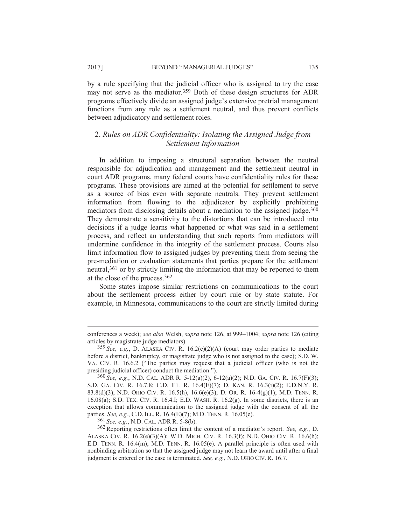by a rule specifying that the judicial officer who is assigned to try the case may not serve as the mediator.<sup>359</sup> Both of these design structures for ADR programs effectively divide an assigned judge's extensive pretrial management functions from any role as a settlement neutral, and thus prevent conflicts between adjudicatory and settlement roles.

# 2. *Rules on ADR Confidentiality: Isolating the Assigned Judge from Settlement Information*

In addition to imposing a structural separation between the neutral responsible for adjudication and management and the settlement neutral in court ADR programs, many federal courts have confidentiality rules for these programs. These provisions are aimed at the potential for settlement to serve as a source of bias even with separate neutrals. They prevent settlement information from flowing to the adjudicator by explicitly prohibiting mediators from disclosing details about a mediation to the assigned judge.<sup>360</sup> They demonstrate a sensitivity to the distortions that can be introduced into decisions if a judge learns what happened or what was said in a settlement process, and reflect an understanding that such reports from mediators will undermine confidence in the integrity of the settlement process. Courts also limit information flow to assigned judges by preventing them from seeing the pre-mediation or evaluation statements that parties prepare for the settlement neutral,361 or by strictly limiting the information that may be reported to them at the close of the process.362

Some states impose similar restrictions on communications to the court about the settlement process either by court rule or by state statute. For example, in Minnesota, communications to the court are strictly limited during

361 *See, e.g.*, N.D. CAL. ADR R. 5-8(b).

conferences a week); *see also* Welsh, *supra* note 126, at 999–1004; *supra* note 126 (citing articles by magistrate judge mediators).

<sup>359</sup> *See, e.g.*, D. ALASKA CIV. R. 16.2(e)(2)(A) (court may order parties to mediate before a district, bankruptcy, or magistrate judge who is not assigned to the case); S.D. W. VA. CIV. R. 16.6.2 ("The parties may request that a judicial officer (who is not the presiding judicial officer) conduct the mediation.").

<sup>360</sup> *See, e.g.*, N.D. CAL. ADR R. 5-12(a)(2), 6-12(a)(2); N.D. GA. CIV. R. 16.7(F)(3); S.D. GA. CIV. R. 16.7.8; C.D. ILL. R. 16.4(E)(7); D. KAN. R. 16.3(i)(2); E.D.N.Y. R. 83.8(d)(3); N.D. OHIO CIV. R. 16.5(h), 16.6(e)(3); D. OR. R. 16-4(g)(1); M.D. TENN. R. 16.08(a); S.D. TEX. CIV. R. 16.4.I; E.D. WASH. R. 16.2(g). In some districts, there is an exception that allows communication to the assigned judge with the consent of all the parties. *See, e.g.*, C.D. ILL. R. 16.4(E)(7); M.D. TENN. R. 16.05(e).

<sup>362</sup>Reporting restrictions often limit the content of a mediator's report. *See, e.g.*, D. ALASKA CIV. R.  $16.2(e)(3)(A)$ ; W.D. MICH. CIV. R.  $16.3(f)$ ; N.D. OHIO CIV. R.  $16.6(h)$ ; E.D. TENN. R. 16.4(m); M.D. TENN. R. 16.05(e). A parallel principle is often used with nonbinding arbitration so that the assigned judge may not learn the award until after a final judgment is entered or the case is terminated. *See, e.g.*, N.D. OHIO CIV. R. 16.7.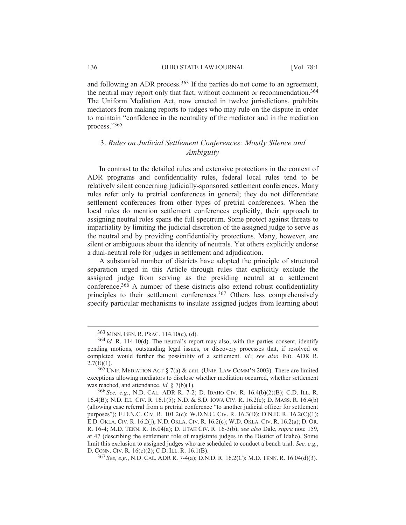and following an ADR process.<sup>363</sup> If the parties do not come to an agreement, the neutral may report only that fact, without comment or recommendation.364 The Uniform Mediation Act, now enacted in twelve jurisdictions, prohibits mediators from making reports to judges who may rule on the dispute in order to maintain "confidence in the neutrality of the mediator and in the mediation process."365

# 3. *Rules on Judicial Settlement Conferences: Mostly Silence and Ambiguity*

In contrast to the detailed rules and extensive protections in the context of ADR programs and confidentiality rules, federal local rules tend to be relatively silent concerning judicially-sponsored settlement conferences. Many rules refer only to pretrial conferences in general; they do not differentiate settlement conferences from other types of pretrial conferences. When the local rules do mention settlement conferences explicitly, their approach to assigning neutral roles spans the full spectrum. Some protect against threats to impartiality by limiting the judicial discretion of the assigned judge to serve as the neutral and by providing confidentiality protections. Many, however, are silent or ambiguous about the identity of neutrals. Yet others explicitly endorse a dual-neutral role for judges in settlement and adjudication.

A substantial number of districts have adopted the principle of structural separation urged in this Article through rules that explicitly exclude the assigned judge from serving as the presiding neutral at a settlement conference.366 A number of these districts also extend robust confidentiality principles to their settlement conferences.<sup>367</sup> Others less comprehensively specify particular mechanisms to insulate assigned judges from learning about

367 *See, e.g.*, N.D. CAL. ADR R. 7-4(a); D.N.D. R. 16.2(C); M.D. TENN. R. 16.04(d)(3).

 <sup>363</sup> MINN. GEN. R. PRAC. 114.10(c), (d).

<sup>364</sup> *Id.* R. 114.10(d). The neutral's report may also, with the parties consent, identify pending motions, outstanding legal issues, or discovery processes that, if resolved or completed would further the possibility of a settlement. *Id.*; *see also* IND. ADR R.  $2.7(E)(1)$ .

 $365$  UNIF. MEDIATION ACT § 7(a) & cmt. (UNIF. LAW COMM'N 2003). There are limited exceptions allowing mediators to disclose whether mediation occurred, whether settlement was reached, and attendance. *Id.* § 7(b)(1).

<sup>366</sup> *See, e.g.*, N.D. CAL. ADR R. 7-2; D. IDAHO CIV. R. 16.4(b)(2)(B); C.D. ILL. R. 16.4(B); N.D. ILL. CIV. R. 16.1(5); N.D. & S.D. IOWA CIV. R. 16.2(e); D. MASS. R. 16.4(b) (allowing case referral from a pretrial conference "to another judicial officer for settlement purposes"); E.D.N.C. CIV. R. 101.2(c); W.D.N.C. CIV. R. 16.3(D); D.N.D. R. 16.2(C)(1); E.D. OKLA. CIV. R. 16.2(j); N.D. OKLA. CIV. R. 16.2(c); W.D. OKLA. CIV. R. 16.2(a); D. OR. R. 16-4; M.D. TENN. R. 16.04(a); D. UTAH CIV. R. 16-3(b); *see also* Dale, *supra* note 159, at 47 (describing the settlement role of magistrate judges in the District of Idaho). Some limit this exclusion to assigned judges who are scheduled to conduct a bench trial. *See, e.g.*, D. CONN. CIV. R. 16(c)(2); C.D. ILL. R. 16.1(B).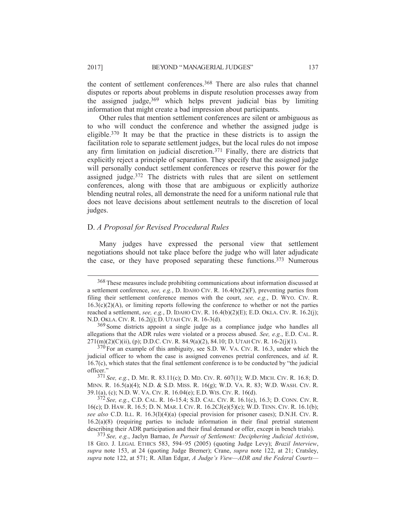the content of settlement conferences.<sup>368</sup> There are also rules that channel disputes or reports about problems in dispute resolution processes away from the assigned judge,369 which helps prevent judicial bias by limiting information that might create a bad impression about participants.

Other rules that mention settlement conferences are silent or ambiguous as to who will conduct the conference and whether the assigned judge is eligible.370 It may be that the practice in these districts is to assign the facilitation role to separate settlement judges, but the local rules do not impose any firm limitation on judicial discretion.371 Finally, there are districts that explicitly reject a principle of separation. They specify that the assigned judge will personally conduct settlement conferences or reserve this power for the assigned judge.372 The districts with rules that are silent on settlement conferences, along with those that are ambiguous or explicitly authorize blending neutral roles, all demonstrate the need for a uniform national rule that does not leave decisions about settlement neutrals to the discretion of local judges.

# D. *A Proposal for Revised Procedural Rules*

Many judges have expressed the personal view that settlement negotiations should not take place before the judge who will later adjudicate the case, or they have proposed separating these functions.373 Numerous

371 *See, e.g.*, D. ME. R. 83.11(c); D. MD. CIV. R. 607(1); W.D. MICH. CIV. R. 16.8; D. MINN. R. 16.5(a)(4); N.D. & S.D. MISS. R. 16(g); W.D. VA. R. 83; W.D. WASH. CIV. R. 39.1(a), (c); N.D. W. VA. CIV. R. 16.04(e); E.D. WIS. CIV. R. 16(d).

372 *See, e.g.*, C.D. CAL. R. 16-15.4; S.D. CAL. CIV. R. 16.1(c), 16.3; D. CONN. CIV. R. 16(c); D. HAW. R. 16.5; D. N. MAR. I. CIV. R. 16.2CJ(e)(5)(c); W.D. TENN. CIV. R. 16.1(b); *see also* C.D. ILL. R. 16.3(I)(4)(a) (special provision for prisoner cases); D.N.H. CIV. R. 16.2(a)(8) (requiring parties to include information in their final pretrial statement describing their ADR participation and their final demand or offer, except in bench trials).

 <sup>368</sup> These measures include prohibiting communications about information discussed at a settlement conference, *see, e.g.*, D. IDAHO CIV. R. 16.4(b)(2)(F), preventing parties from filing their settlement conference memos with the court, *see, e.g.*, D. WYO. CIV. R.  $16.3(c)(2)(A)$ , or limiting reports following the conference to whether or not the parties reached a settlement, *see, e.g.*, D. IDAHO CIV. R. 16.4(b)(2)(E); E.D. OKLA. CIV. R. 16.2(j); N.D. OKLA. CIV. R. 16.2(j); D. UTAH CIV. R. 16-3(d).

<sup>&</sup>lt;sup>369</sup> Some districts appoint a single judge as a compliance judge who handles all allegations that the ADR rules were violated or a process abused. *See, e.g.*, E.D. CAL. R.  $271(m)(2)(C)(ii)$ , (p); D.D.C. CIV. R. 84.9(a)(2), 84.10; D. UTAH CIV. R. 16-2(j)(1).

<sup>&</sup>lt;sup>370</sup> For an example of this ambiguity, see S.D. W. VA. CIV. R. 16.3, under which the judicial officer to whom the case is assigned convenes pretrial conferences, and *id.* R. 16.7(c), which states that the final settlement conference is to be conducted by "the judicial officer."

<sup>373</sup> *See, e.g.*, Jaclyn Barnao, *In Pursuit of Settlement: Deciphering Judicial Activism*, 18 GEO. J. LEGAL ETHICS 583, 594–95 (2005) (quoting Judge Levy); *Brazil Interview*, *supra* note 153, at 24 (quoting Judge Bremer); Crane, *supra* note 122, at 21; Cratsley, *supra* note 122, at 571; R. Allan Edgar, *A Judge's View—ADR and the Federal Courts—*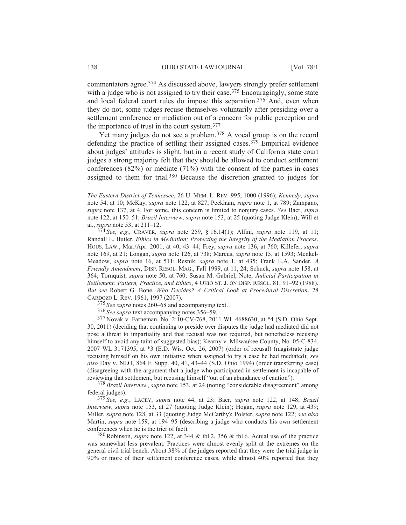commentators agree.<sup>374</sup> As discussed above, lawyers strongly prefer settlement with a judge who is not assigned to try their case.<sup>375</sup> Encouragingly, some state and local federal court rules do impose this separation.<sup>376</sup> And, even when they do not, some judges recuse themselves voluntarily after presiding over a settlement conference or mediation out of a concern for public perception and the importance of trust in the court system.377

Yet many judges do not see a problem.<sup>378</sup> A vocal group is on the record defending the practice of settling their assigned cases.379 Empirical evidence about judges' attitudes is slight, but in a recent study of California state court judges a strong majority felt that they should be allowed to conduct settlement conferences (82%) or mediate (71%) with the consent of the parties in cases assigned to them for trial.380 Because the discretion granted to judges for

374 *See, e.g.*, CRAVER, *supra* note 259, § 16.14(1); Alfini, *supra* note 119, at 11; Randall E. Butler, *Ethics in Mediation: Protecting the Integrity of the Mediation Process*, HOUS. LAW., Mar./Apr. 2001, at 40, 43–44; Frey, *supra* note 136, at 760; Killefer, *supra* note 169, at 21; Longan, *supra* note 126, at 738; Marcus, *supra* note 15, at 1593; Menkel-Meadow, *supra* note 16, at 511; Resnik, *supra* note 1, at 435; Frank E.A. Sander, *A Friendly Amendment*, DISP. RESOL. MAG., Fall 1999, at 11, 24; Schuck, *supra* note 158, at 364; Tornquist, *supra* note 50, at 760; Susan M. Gabriel, Note, *Judicial Participation in Settlement: Pattern, Practice, and Ethics*,4OHIO ST. J. ON DISP. RESOL. 81, 91–92 (1988). *But see* Robert G. Bone, *Who Decides? A Critical Look at Procedural Discretion*, 28 CARDOZO L. REV. 1961, 1997 (2007).

375 *See supra* notes 260–68 and accompanying text.

376 *See supra* text accompanying notes 356–59.

377 Novak v. Farneman, No. 2:10-CV-768, 2011 WL 4688630, at \*4 (S.D. Ohio Sept. 30, 2011) (deciding that continuing to preside over disputes the judge had mediated did not pose a threat to impartiality and that recusal was not required, but nonetheless recusing himself to avoid any taint of suggested bias); Kearny v. Milwaukee County, No. 05-C-834, 2007 WL 3171395, at \*3 (E.D. Wis. Oct. 26, 2007) (order of recusal) (magistrate judge recusing himself on his own initiative when assigned to try a case he had mediated); *see also* Day v. NLO, 864 F. Supp. 40, 41, 43–44 (S.D. Ohio 1994) (order transferring case) (disagreeing with the argument that a judge who participated in settlement is incapable of reviewing that settlement, but recusing himself "out of an abundance of caution").

378 *Brazil Interview*, *supra* note 153, at 24 (noting "considerable disagreement" among federal judges).

379 *See, e.g.*, LACEY, *supra* note 44, at 23; Baer, *supra* note 122, at 148; *Brazil Interview*, *supra* note 153, at 27 (quoting Judge Klein); Hogan, *supra* note 129, at 439; Miller, *supra* note 128, at 33 (quoting Judge McCarthy); Polster, *supra* note 122; *see also* Martin, *supra* note 159, at 194–95 (describing a judge who conducts his own settlement conferences when he is the trier of fact).

380Robinson, *supra* note 122, at 344 & tbl.2, 356 & tbl.6. Actual use of the practice was somewhat less prevalent. Practices were almost evenly split at the extremes on the general civil trial bench. About 38% of the judges reported that they were the trial judge in 90% or more of their settlement conference cases, while almost 40% reported that they

*The Eastern District of Tennessee*, 26 U. MEM. L. REV. 995, 1000 (1996); *Kennedy*, *supra*  note 54, at 10; McKay, *supra* note 122, at 827; Peckham, *supra* note 1, at 789; Zampano, *supra* note 137, at 4. For some, this concern is limited to nonjury cases. *See* Baer, *supra* note 122, at 150–51; *Brazil Interview*, *supra* note 153, at 25 (quoting Judge Klein); Will et al., *supra* note 53, at 211–12.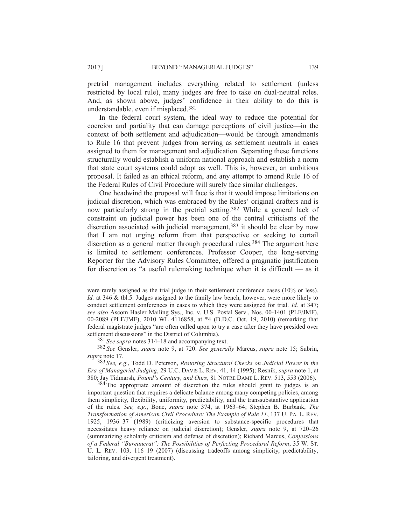pretrial management includes everything related to settlement (unless restricted by local rule), many judges are free to take on dual-neutral roles. And, as shown above, judges' confidence in their ability to do this is understandable, even if misplaced.381

In the federal court system, the ideal way to reduce the potential for coercion and partiality that can damage perceptions of civil justice—in the context of both settlement and adjudication—would be through amendments to Rule 16 that prevent judges from serving as settlement neutrals in cases assigned to them for management and adjudication. Separating these functions structurally would establish a uniform national approach and establish a norm that state court systems could adopt as well. This is, however, an ambitious proposal. It failed as an ethical reform, and any attempt to amend Rule 16 of the Federal Rules of Civil Procedure will surely face similar challenges.

One headwind the proposal will face is that it would impose limitations on judicial discretion, which was embraced by the Rules' original drafters and is now particularly strong in the pretrial setting.382 While a general lack of constraint on judicial power has been one of the central criticisms of the discretion associated with judicial management,<sup>383</sup> it should be clear by now that I am not urging reform from that perspective or seeking to curtail discretion as a general matter through procedural rules.<sup>384</sup> The argument here is limited to settlement conferences. Professor Cooper, the long-serving Reporter for the Advisory Rules Committee, offered a pragmatic justification for discretion as "a useful rulemaking technique when it is difficult — as it

381 *See supra* notes 314–18 and accompanying text.

382 *See* Gensler, *supra* note 9, at 720. *See generally* Marcus, *supra* note 15; Subrin, *supra* note 17.

383 *See, e.g.*, Todd D. Peterson, *Restoring Structural Checks on Judicial Power in the Era of Managerial Judging*, 29 U.C. DAVIS L. REV. 41, 44 (1995); Resnik, *supra* note 1, at 380; Jay Tidmarsh, *Pound's Century, and Ours*, 81 NOTRE DAME L. REV. 513, 553 (2006).

<sup>384</sup> The appropriate amount of discretion the rules should grant to judges is an important question that requires a delicate balance among many competing policies, among them simplicity, flexibility, uniformity, predictability, and the transsubstantive application of the rules. *See, e.g.*, Bone, *supra* note 374, at 1963–64; Stephen B. Burbank, *The Transformation of American Civil Procedure: The Example of Rule 11*, 137 U. PA. L. REV. 1925, 1936–37 (1989) (criticizing aversion to substance-specific procedures that necessitates heavy reliance on judicial discretion); Gensler, *supra* note 9, at 720–26 (summarizing scholarly criticism and defense of discretion); Richard Marcus, *Confessions of a Federal "Bureaucrat": The Possibilities of Perfecting Procedural Reform*, 35 W. ST. U. L. REV. 103, 116–19 (2007) (discussing tradeoffs among simplicity, predictability, tailoring, and divergent treatment).

were rarely assigned as the trial judge in their settlement conference cases (10% or less). *Id.* at 346 & tbl.5. Judges assigned to the family law bench, however, were more likely to conduct settlement conferences in cases to which they were assigned for trial. *Id.* at 347; *see also* Ascom Hasler Mailing Sys., Inc. v. U.S. Postal Serv., Nos. 00-1401 (PLF/JMF), 00-2089 (PLF/JMF), 2010 WL 4116858, at \*4 (D.D.C. Oct. 19, 2010) (remarking that federal magistrate judges "are often called upon to try a case after they have presided over settlement discussions" in the District of Columbia).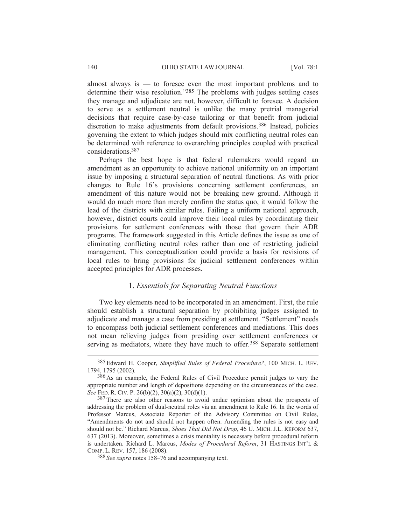almost always is  $-$  to foresee even the most important problems and to determine their wise resolution."385 The problems with judges settling cases they manage and adjudicate are not, however, difficult to foresee. A decision to serve as a settlement neutral is unlike the many pretrial managerial decisions that require case-by-case tailoring or that benefit from judicial discretion to make adjustments from default provisions.<sup>386</sup> Instead, policies governing the extent to which judges should mix conflicting neutral roles can be determined with reference to overarching principles coupled with practical considerations.387

Perhaps the best hope is that federal rulemakers would regard an amendment as an opportunity to achieve national uniformity on an important issue by imposing a structural separation of neutral functions. As with prior changes to Rule 16's provisions concerning settlement conferences, an amendment of this nature would not be breaking new ground. Although it would do much more than merely confirm the status quo, it would follow the lead of the districts with similar rules. Failing a uniform national approach, however, district courts could improve their local rules by coordinating their provisions for settlement conferences with those that govern their ADR programs. The framework suggested in this Article defines the issue as one of eliminating conflicting neutral roles rather than one of restricting judicial management. This conceptualization could provide a basis for revisions of local rules to bring provisions for judicial settlement conferences within accepted principles for ADR processes.

## 1. *Essentials for Separating Neutral Functions*

Two key elements need to be incorporated in an amendment. First, the rule should establish a structural separation by prohibiting judges assigned to adjudicate and manage a case from presiding at settlement. "Settlement" needs to encompass both judicial settlement conferences and mediations. This does not mean relieving judges from presiding over settlement conferences or serving as mediators, where they have much to offer.<sup>388</sup> Separate settlement

 <sup>385</sup> Edward H. Cooper, *Simplified Rules of Federal Procedure?*, 100 MICH. L. REV. 1794, 1795 (2002).

<sup>386</sup> As an example, the Federal Rules of Civil Procedure permit judges to vary the appropriate number and length of depositions depending on the circumstances of the case. *See* FED. R. CIV. P. 26(b)(2), 30(a)(2), 30(d)(1).

<sup>&</sup>lt;sup>387</sup> There are also other reasons to avoid undue optimism about the prospects of addressing the problem of dual-neutral roles via an amendment to Rule 16. In the words of Professor Marcus, Associate Reporter of the Advisory Committee on Civil Rules, "Amendments do not and should not happen often. Amending the rules is not easy and should not be." Richard Marcus, *Shoes That Did Not Drop*, 46 U. MICH. J.L. REFORM 637, 637 (2013). Moreover, sometimes a crisis mentality is necessary before procedural reform is undertaken. Richard L. Marcus, *Modes of Procedural Reform*, 31 HASTINGS INT'L & COMP. L. REV. 157, 186 (2008).

<sup>388</sup> *See supra* notes 158–76 and accompanying text.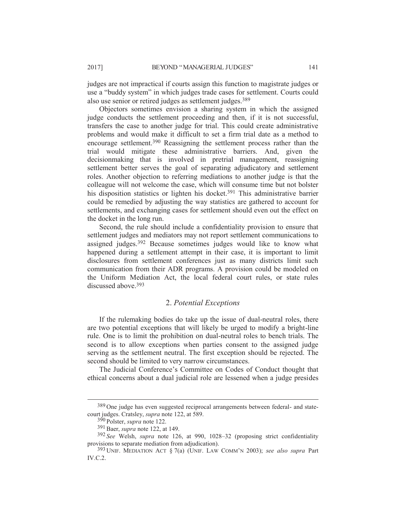judges are not impractical if courts assign this function to magistrate judges or use a "buddy system" in which judges trade cases for settlement. Courts could also use senior or retired judges as settlement judges.389

Objectors sometimes envision a sharing system in which the assigned judge conducts the settlement proceeding and then, if it is not successful, transfers the case to another judge for trial. This could create administrative problems and would make it difficult to set a firm trial date as a method to encourage settlement.390 Reassigning the settlement process rather than the trial would mitigate these administrative barriers. And, given the decisionmaking that is involved in pretrial management, reassigning settlement better serves the goal of separating adjudicatory and settlement roles. Another objection to referring mediations to another judge is that the colleague will not welcome the case, which will consume time but not bolster his disposition statistics or lighten his docket.<sup>391</sup> This administrative barrier could be remedied by adjusting the way statistics are gathered to account for settlements, and exchanging cases for settlement should even out the effect on the docket in the long run.

Second, the rule should include a confidentiality provision to ensure that settlement judges and mediators may not report settlement communications to assigned judges.392 Because sometimes judges would like to know what happened during a settlement attempt in their case, it is important to limit disclosures from settlement conferences just as many districts limit such communication from their ADR programs. A provision could be modeled on the Uniform Mediation Act, the local federal court rules, or state rules discussed above 393

# 2. *Potential Exceptions*

If the rulemaking bodies do take up the issue of dual-neutral roles, there are two potential exceptions that will likely be urged to modify a bright-line rule. One is to limit the prohibition on dual-neutral roles to bench trials. The second is to allow exceptions when parties consent to the assigned judge serving as the settlement neutral. The first exception should be rejected. The second should be limited to very narrow circumstances.

The Judicial Conference's Committee on Codes of Conduct thought that ethical concerns about a dual judicial role are lessened when a judge presides

 <sup>389</sup> One judge has even suggested reciprocal arrangements between federal- and statecourt judges. Cratsley, *supra* note 122, at 589.

<sup>390</sup> Polster, *supra* note 122.

<sup>391</sup>Baer, *supra* note 122, at 149.

<sup>392</sup> *See* Welsh, *supra* note 126, at 990, 1028–32 (proposing strict confidentiality provisions to separate mediation from adjudication).

<sup>393</sup> UNIF. MEDIATION ACT § 7(a) (UNIF. LAW COMM'N 2003); *see also supra* Part IV.C.2.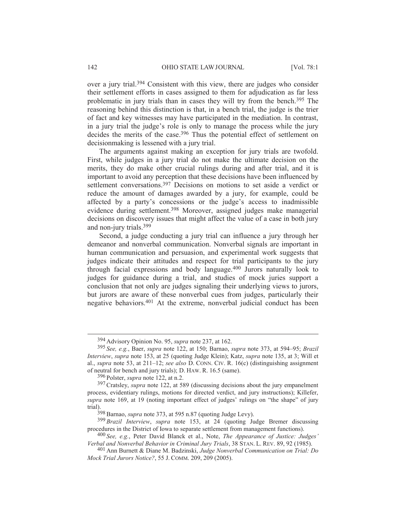over a jury trial.394 Consistent with this view, there are judges who consider their settlement efforts in cases assigned to them for adjudication as far less problematic in jury trials than in cases they will try from the bench.395 The reasoning behind this distinction is that, in a bench trial, the judge is the trier of fact and key witnesses may have participated in the mediation. In contrast, in a jury trial the judge's role is only to manage the process while the jury decides the merits of the case.<sup>396</sup> Thus the potential effect of settlement on decisionmaking is lessened with a jury trial.

The arguments against making an exception for jury trials are twofold. First, while judges in a jury trial do not make the ultimate decision on the merits, they do make other crucial rulings during and after trial, and it is important to avoid any perception that these decisions have been influenced by settlement conversations.<sup>397</sup> Decisions on motions to set aside a verdict or reduce the amount of damages awarded by a jury, for example, could be affected by a party's concessions or the judge's access to inadmissible evidence during settlement.398 Moreover, assigned judges make managerial decisions on discovery issues that might affect the value of a case in both jury and non-jury trials.399

Second, a judge conducting a jury trial can influence a jury through her demeanor and nonverbal communication. Nonverbal signals are important in human communication and persuasion, and experimental work suggests that judges indicate their attitudes and respect for trial participants to the jury through facial expressions and body language.400 Jurors naturally look to judges for guidance during a trial, and studies of mock juries support a conclusion that not only are judges signaling their underlying views to jurors, but jurors are aware of these nonverbal cues from judges, particularly their negative behaviors.401 At the extreme, nonverbal judicial conduct has been

 <sup>394</sup> Advisory Opinion No. 95, *supra* note 237, at 162.

<sup>395</sup> *See, e.g.*, Baer, *supra* note 122, at 150; Barnao, *supra* note 373, at 594–95; *Brazil Interview*, *supra* note 153, at 25 (quoting Judge Klein); Katz, *supra* note 135, at 3; Will et al., *supra* note 53, at 211–12; *see also* D. CONN. CIV. R. 16(c) (distinguishing assignment of neutral for bench and jury trials); D. HAW. R. 16.5 (same).

<sup>396</sup> Polster, *supra* note 122, at n.2.

<sup>397</sup>Cratsley, *supra* note 122, at 589 (discussing decisions about the jury empanelment process, evidentiary rulings, motions for directed verdict, and jury instructions); Killefer, *supra* note 169, at 19 (noting important effect of judges' rulings on "the shape" of jury trial).

<sup>&</sup>lt;sup>398</sup> Barnao, *supra* note 373, at 595 n.87 (quoting Judge Levy).

<sup>399</sup> *Brazil Interview*, *supra* note 153, at 24 (quoting Judge Bremer discussing procedures in the District of Iowa to separate settlement from management functions).

<sup>400</sup> *See, e.g.*, Peter David Blanck et al., Note, *The Appearance of Justice: Judges' Verbal and Nonverbal Behavior in Criminal Jury Trials*, 38 STAN. L. REV. 89, 92 (1985).

<sup>401</sup> Ann Burnett & Diane M. Badzinski, *Judge Nonverbal Communication on Trial: Do Mock Trial Jurors Notice?*, 55 J. COMM. 209, 209 (2005).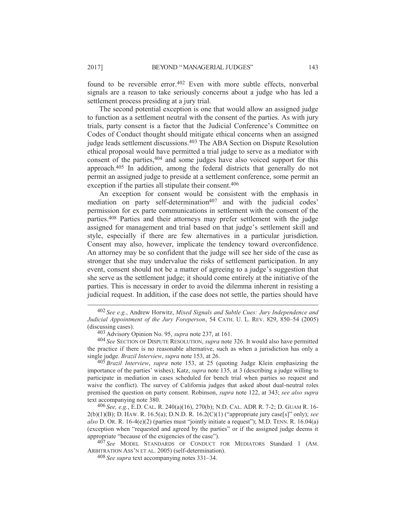found to be reversible error.<sup>402</sup> Even with more subtle effects, nonverbal signals are a reason to take seriously concerns about a judge who has led a settlement process presiding at a jury trial.

The second potential exception is one that would allow an assigned judge to function as a settlement neutral with the consent of the parties. As with jury trials, party consent is a factor that the Judicial Conference's Committee on Codes of Conduct thought should mitigate ethical concerns when an assigned judge leads settlement discussions.403 The ABA Section on Dispute Resolution ethical proposal would have permitted a trial judge to serve as a mediator with consent of the parties,  $404$  and some judges have also voiced support for this approach.405 In addition, among the federal districts that generally do not permit an assigned judge to preside at a settlement conference, some permit an exception if the parties all stipulate their consent.<sup>406</sup>

An exception for consent would be consistent with the emphasis in mediation on party self-determination<sup>407</sup> and with the judicial codes' permission for ex parte communications in settlement with the consent of the parties.408 Parties and their attorneys may prefer settlement with the judge assigned for management and trial based on that judge's settlement skill and style, especially if there are few alternatives in a particular jurisdiction. Consent may also, however, implicate the tendency toward overconfidence. An attorney may be so confident that the judge will see her side of the case as stronger that she may undervalue the risks of settlement participation. In any event, consent should not be a matter of agreeing to a judge's suggestion that she serve as the settlement judge; it should come entirely at the initiative of the parties. This is necessary in order to avoid the dilemma inherent in resisting a judicial request. In addition, if the case does not settle, the parties should have

404 *See* SECTION OF DISPUTE RESOLUTION, *supra* note 326. It would also have permitted the practice if there is no reasonable alternative, such as when a jurisdiction has only a single judge. *Brazil Interview*, *supra* note 153, at 26.

405 *Brazil Interview*, *supra* note 153, at 25 (quoting Judge Klein emphasizing the importance of the parties' wishes); Katz, *supra* note 135, at 3 (describing a judge willing to participate in mediation in cases scheduled for bench trial when parties so request and waive the conflict). The survey of California judges that asked about dual-neutral roles premised the question on party consent. Robinson, *supra* note 122, at 343; *see also supra* text accompanying note 380.

406 *See, e.g.*, E.D. CAL. R. 240(a)(16), 270(b); N.D. CAL. ADR R. 7-2; D. GUAM R. 16- 2(b)(1)(B); D. HAW. R. 16.5(a); D.N.D. R. 16.2(C)(1) ("appropriate jury case[s]" only); *see also* D. OR. R. 16-4(e)(2) (parties must "jointly initiate a request"); M.D. TENN. R. 16.04(a) (exception when "requested and agreed by the parties" or if the assigned judge deems it appropriate "because of the exigencies of the case").

407 *See* MODEL STANDARDS OF CONDUCT FOR MEDIATORS Standard 1 (AM. ARBITRATION ASS'N ET AL. 2005) (self-determination).

 <sup>402</sup> *See e.g.*, Andrew Horwitz, *Mixed Signals and Subtle Cues: Jury Independence and Judicial Appointment of the Jury Foreperson*, 54 CATH. U. L. REV. 829, 850–54 (2005) (discussing cases).

<sup>403</sup> Advisory Opinion No. 95, *supra* note 237, at 161.

<sup>408</sup> *See supra* text accompanying notes 331–34.